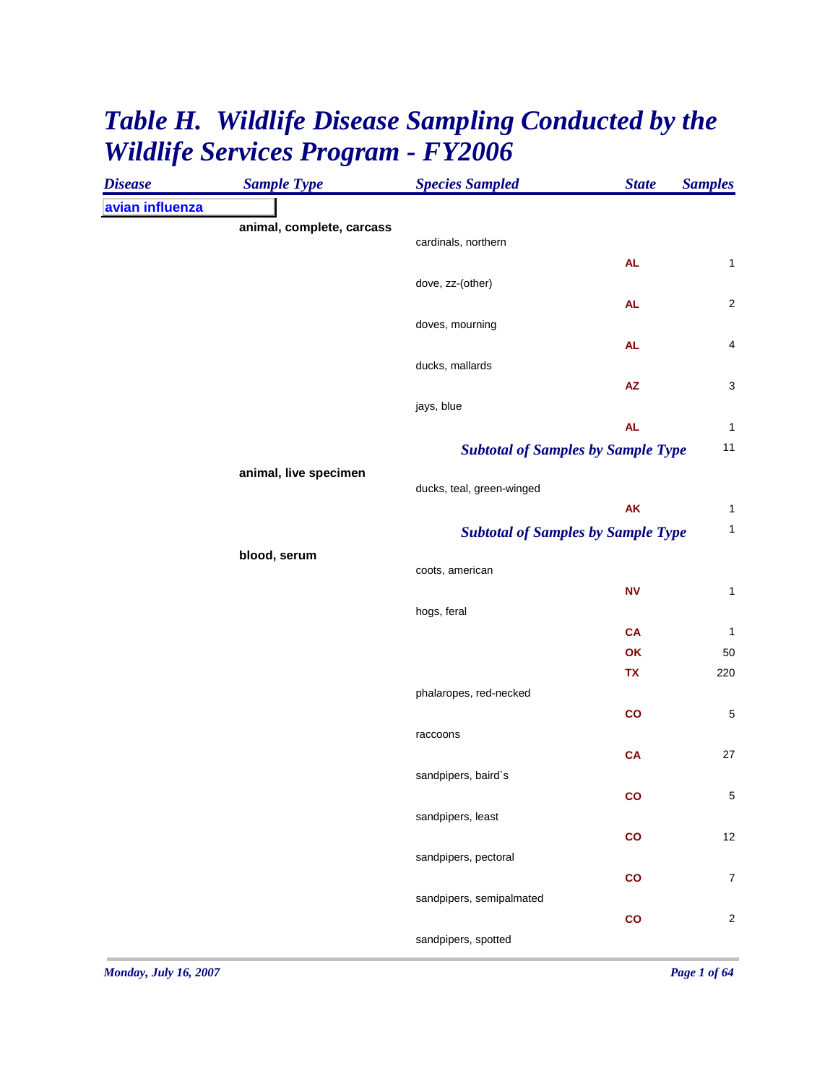## *Table H. Wildlife Disease Sampling Conducted by the Wildlife Services Program - FY2006*

| <b>Disease</b>  | <b>Sample Type</b>        | <b>Species Sampled</b>                    | <b>State</b>  | <b>Samples</b>   |
|-----------------|---------------------------|-------------------------------------------|---------------|------------------|
| avian influenza |                           |                                           |               |                  |
|                 | animal, complete, carcass |                                           |               |                  |
|                 |                           | cardinals, northern                       |               |                  |
|                 |                           |                                           | <b>AL</b>     | 1                |
|                 |                           | dove, zz-(other)                          |               |                  |
|                 |                           | doves, mourning                           | <b>AL</b>     | $\sqrt{2}$       |
|                 |                           |                                           | <b>AL</b>     | 4                |
|                 |                           | ducks, mallards                           |               |                  |
|                 |                           |                                           | AZ            | 3                |
|                 |                           | jays, blue                                |               |                  |
|                 |                           |                                           | <b>AL</b>     | $\mathbf{1}$     |
|                 |                           | <b>Subtotal of Samples by Sample Type</b> |               | 11               |
|                 | animal, live specimen     |                                           |               |                  |
|                 |                           | ducks, teal, green-winged                 |               |                  |
|                 |                           |                                           | AK            | $\mathbf{1}$     |
|                 |                           | <b>Subtotal of Samples by Sample Type</b> |               | $\mathbf{1}$     |
|                 | blood, serum              |                                           |               |                  |
|                 |                           | coots, american                           |               |                  |
|                 |                           |                                           | <b>NV</b>     | $\mathbf{1}$     |
|                 |                           | hogs, feral                               |               |                  |
|                 |                           |                                           | CA            | $\mathbf{1}$     |
|                 |                           |                                           | OK            | 50               |
|                 |                           |                                           | <b>TX</b>     | 220              |
|                 |                           | phalaropes, red-necked                    |               |                  |
|                 |                           |                                           | co            | $\mathbf 5$      |
|                 |                           | raccoons                                  |               |                  |
|                 |                           |                                           | <b>CA</b>     | $27\,$           |
|                 |                           | sandpipers, baird's                       |               | $\mathbf 5$      |
|                 |                           | sandpipers, least                         | $\mathbf{co}$ |                  |
|                 |                           |                                           | $\mathsf{co}$ | 12               |
|                 |                           | sandpipers, pectoral                      |               |                  |
|                 |                           |                                           | $\mathsf{co}$ | $\boldsymbol{7}$ |
|                 |                           | sandpipers, semipalmated                  |               |                  |
|                 |                           |                                           | $\mathsf{co}$ | $\sqrt{2}$       |
|                 |                           | sandpipers, spotted                       |               |                  |
|                 |                           |                                           |               |                  |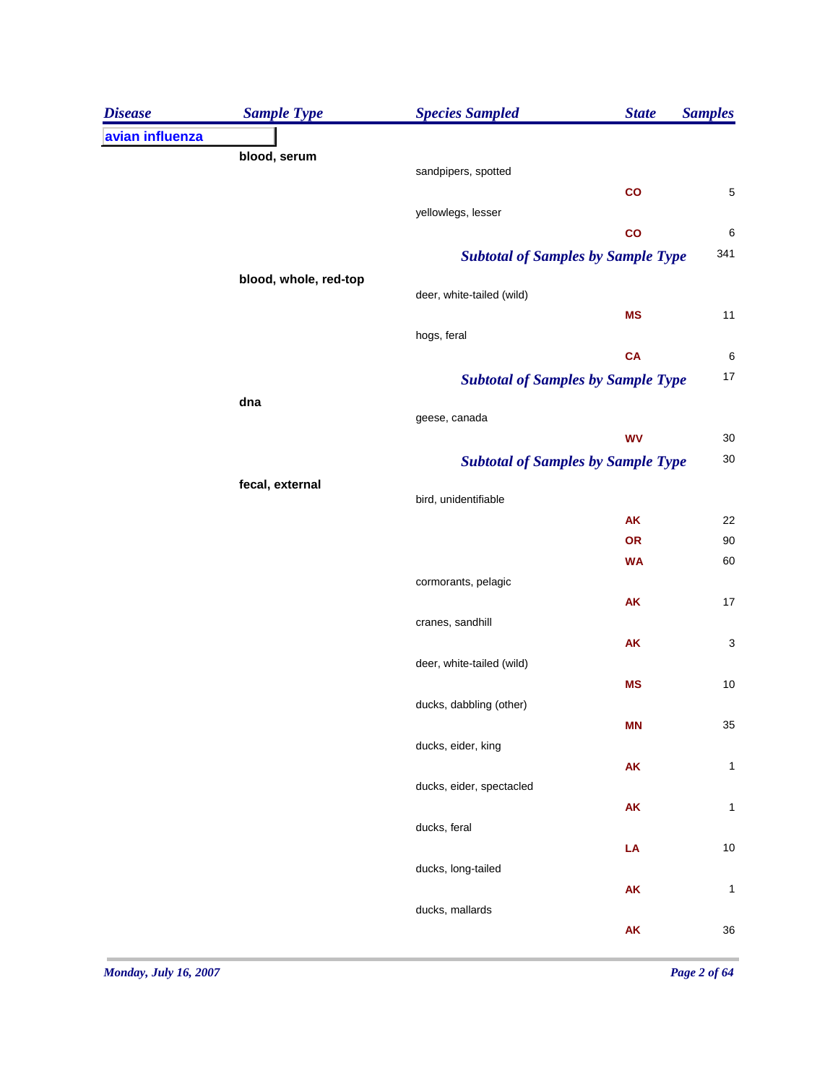| <b>Disease</b>  | <b>Sample Type</b>    | <b>Species Sampled</b>                    | <b>State</b>    | <b>Samples</b> |
|-----------------|-----------------------|-------------------------------------------|-----------------|----------------|
| avian influenza |                       |                                           |                 |                |
|                 | blood, serum          |                                           |                 |                |
|                 |                       | sandpipers, spotted                       | $\mathbf{co}$   | 5              |
|                 |                       | yellowlegs, lesser                        |                 |                |
|                 |                       |                                           | $\mathbf{co}$   | $\,6\,$        |
|                 |                       | <b>Subtotal of Samples by Sample Type</b> |                 | 341            |
|                 | blood, whole, red-top |                                           |                 |                |
|                 |                       | deer, white-tailed (wild)                 |                 |                |
|                 |                       |                                           | <b>MS</b>       | 11             |
|                 |                       | hogs, feral                               | CA              | $\,6\,$        |
|                 |                       | <b>Subtotal of Samples by Sample Type</b> |                 | $17$           |
|                 | dna                   |                                           |                 |                |
|                 |                       | geese, canada                             |                 |                |
|                 |                       |                                           | <b>WV</b>       | $30\,$         |
|                 |                       | <b>Subtotal of Samples by Sample Type</b> |                 | $30\,$         |
|                 | fecal, external       |                                           |                 |                |
|                 |                       | bird, unidentifiable                      |                 |                |
|                 |                       |                                           | <b>AK</b><br>OR | 22<br>90       |
|                 |                       |                                           | <b>WA</b>       | 60             |
|                 |                       | cormorants, pelagic                       |                 |                |
|                 |                       |                                           | AK              | $17$           |
|                 |                       | cranes, sandhill                          |                 |                |
|                 |                       |                                           | AK              | $\mathsf 3$    |
|                 |                       | deer, white-tailed (wild)                 |                 |                |
|                 |                       |                                           | <b>MS</b>       | 10             |
|                 |                       | ducks, dabbling (other)                   | <b>MN</b>       | $35\,$         |
|                 |                       | ducks, eider, king                        |                 |                |
|                 |                       |                                           | AK              | $\mathbf{1}$   |
|                 |                       | ducks, eider, spectacled                  |                 |                |
|                 |                       |                                           | AK              | 1              |
|                 |                       | ducks, feral                              |                 |                |
|                 |                       |                                           | LA              | $10$           |
|                 |                       | ducks, long-tailed                        |                 |                |
|                 |                       | ducks, mallards                           | AK              | $\mathbf{1}$   |
|                 |                       |                                           | AK              | 36             |
|                 |                       |                                           |                 |                |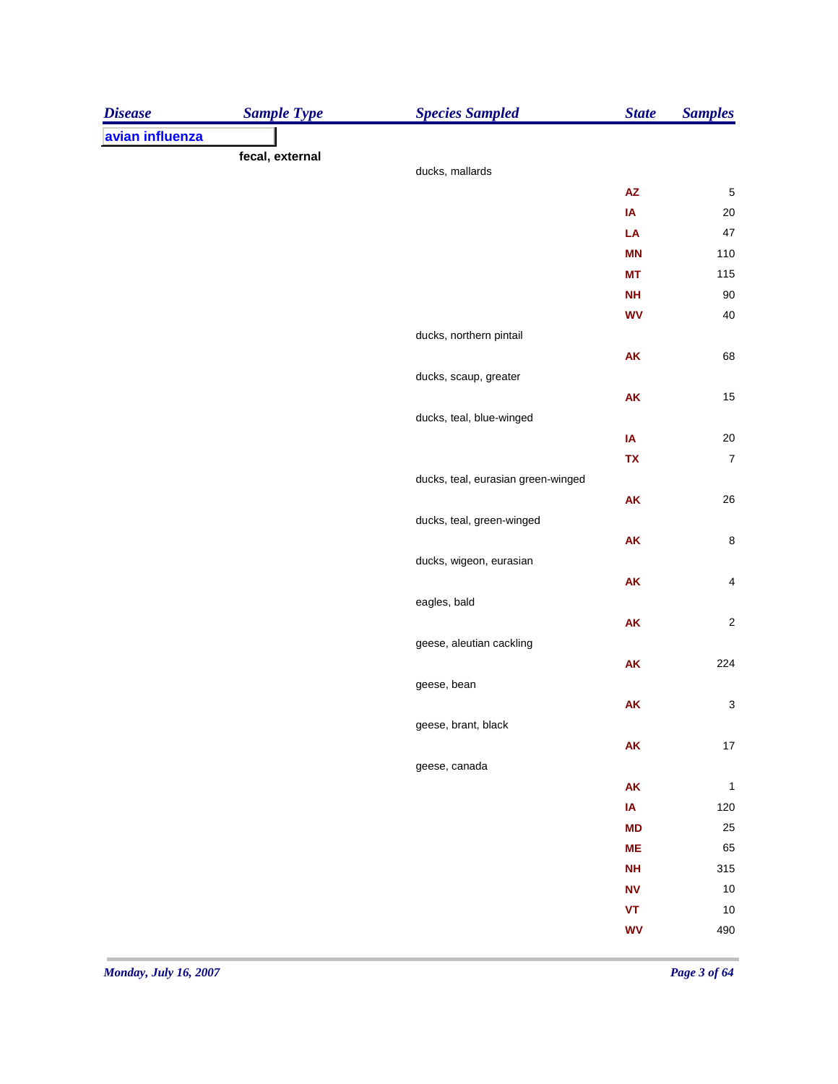| <b>Disease</b>  | <b>Sample Type</b> | <b>Species Sampled</b>             | <b>State</b>        | <b>Samples</b>          |
|-----------------|--------------------|------------------------------------|---------------------|-------------------------|
| avian influenza |                    |                                    |                     |                         |
|                 | fecal, external    |                                    |                     |                         |
|                 |                    | ducks, mallards                    |                     |                         |
|                 |                    |                                    | $\mathsf{AZ}$       | $\sqrt{5}$              |
|                 |                    |                                    | IA                  | $20\,$                  |
|                 |                    |                                    | LA                  | 47                      |
|                 |                    |                                    | <b>MN</b>           | 110                     |
|                 |                    |                                    | <b>MT</b>           | 115                     |
|                 |                    |                                    | <b>NH</b>           | $90\,$                  |
|                 |                    |                                    | <b>WV</b>           | $40\,$                  |
|                 |                    | ducks, northern pintail            |                     |                         |
|                 |                    |                                    | <b>AK</b>           | 68                      |
|                 |                    | ducks, scaup, greater              |                     |                         |
|                 |                    |                                    | <b>AK</b>           | 15                      |
|                 |                    | ducks, teal, blue-winged           |                     |                         |
|                 |                    |                                    | IA                  | $20\,$                  |
|                 |                    |                                    | TX                  | $\boldsymbol{7}$        |
|                 |                    | ducks, teal, eurasian green-winged |                     |                         |
|                 |                    |                                    | <b>AK</b>           | 26                      |
|                 |                    | ducks, teal, green-winged          |                     |                         |
|                 |                    |                                    | <b>AK</b>           | $\bf 8$                 |
|                 |                    | ducks, wigeon, eurasian            |                     |                         |
|                 |                    |                                    | ${\sf AK}$          | $\overline{\mathbf{4}}$ |
|                 |                    | eagles, bald                       |                     |                         |
|                 |                    |                                    | AK                  | $\sqrt{2}$              |
|                 |                    | geese, aleutian cackling           |                     |                         |
|                 |                    |                                    | AK                  | 224                     |
|                 |                    | geese, bean                        |                     |                         |
|                 |                    |                                    | <b>AK</b>           | 3                       |
|                 |                    | geese, brant, black                |                     |                         |
|                 |                    |                                    | ${\sf AK}$          | $17\,$                  |
|                 |                    | geese, canada                      |                     |                         |
|                 |                    |                                    | ${\sf AK}$          | $\mathbf{1}$            |
|                 |                    |                                    | IA                  | $120\,$                 |
|                 |                    |                                    | <b>MD</b>           | 25                      |
|                 |                    |                                    | <b>ME</b>           | 65                      |
|                 |                    |                                    | <b>NH</b>           | 315                     |
|                 |                    |                                    | ${\bf N}{\bf V}$    | $10\,$                  |
|                 |                    |                                    | $\pmb{\mathsf{VT}}$ | $10$                    |
|                 |                    |                                    | <b>WV</b>           | 490                     |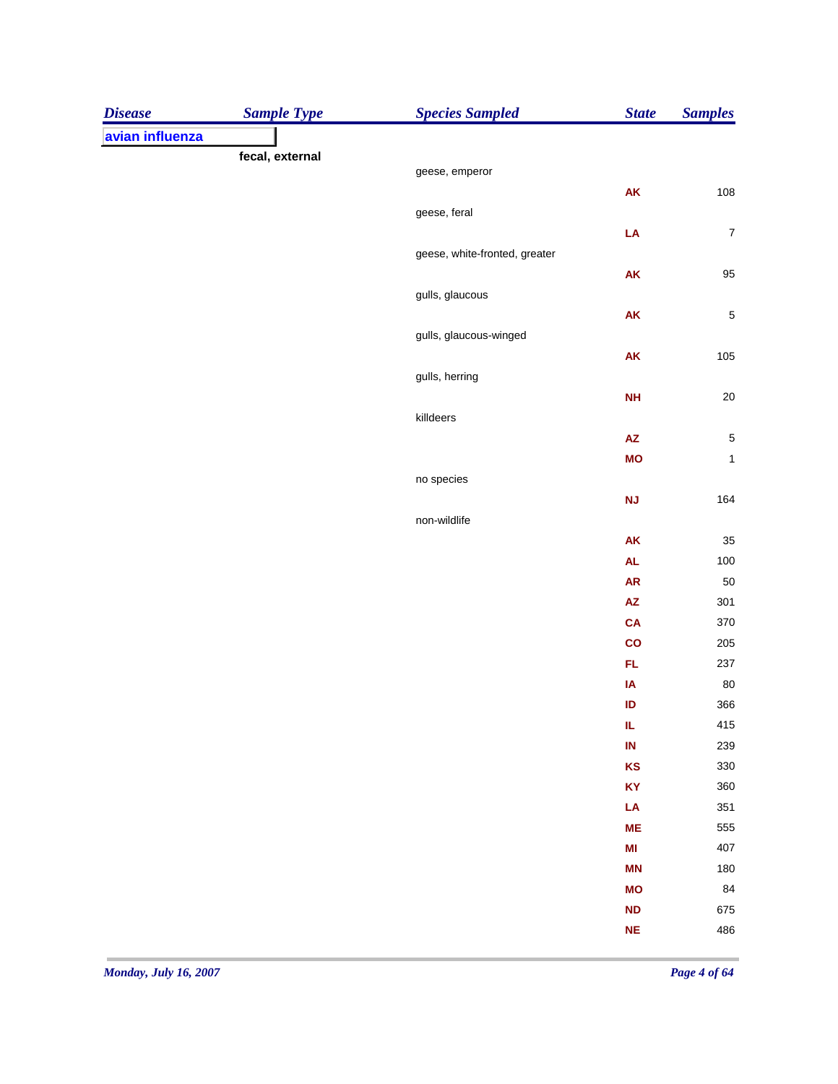| avian influenza<br>fecal, external<br>geese, emperor<br>AK<br>geese, feral<br>LA<br>geese, white-fronted, greater<br>AK<br>gulls, glaucous<br>AK<br>gulls, glaucous-winged<br><b>AK</b><br>gulls, herring<br><b>NH</b><br>killdeers<br>$\pmb{\mathsf{AZ}}$<br><b>MO</b><br>no species<br><b>NJ</b><br>non-wildlife<br><b>AK</b><br>$\mathsf{AL}$<br><b>AR</b><br>$\mathsf{AZ}$<br><b>CA</b><br>$\mathbf{co}$<br>FL<br>IA<br>ID<br>IL.<br>$\mathsf{IN}$<br>KS<br>KY<br>LA<br><b>ME</b><br>M <sub>l</sub><br><b>MN</b><br><b>MO</b><br><b>ND</b><br><b>NE</b> | <b>Disease</b> | <b>Sample Type</b> | <b>Species Sampled</b> | <b>State</b> | <b>Samples</b> |
|-------------------------------------------------------------------------------------------------------------------------------------------------------------------------------------------------------------------------------------------------------------------------------------------------------------------------------------------------------------------------------------------------------------------------------------------------------------------------------------------------------------------------------------------------------------|----------------|--------------------|------------------------|--------------|----------------|
| 108                                                                                                                                                                                                                                                                                                                                                                                                                                                                                                                                                         |                |                    |                        |              |                |
|                                                                                                                                                                                                                                                                                                                                                                                                                                                                                                                                                             |                |                    |                        |              |                |
|                                                                                                                                                                                                                                                                                                                                                                                                                                                                                                                                                             |                |                    |                        |              |                |
| $\boldsymbol{7}$<br>95<br>$\sqrt{5}$<br>105<br>$20\,$<br>$\overline{5}$<br>$\mathbf 1$                                                                                                                                                                                                                                                                                                                                                                                                                                                                      |                |                    |                        |              |                |
|                                                                                                                                                                                                                                                                                                                                                                                                                                                                                                                                                             |                |                    |                        |              |                |
|                                                                                                                                                                                                                                                                                                                                                                                                                                                                                                                                                             |                |                    |                        |              |                |
|                                                                                                                                                                                                                                                                                                                                                                                                                                                                                                                                                             |                |                    |                        |              |                |
|                                                                                                                                                                                                                                                                                                                                                                                                                                                                                                                                                             |                |                    |                        |              |                |
|                                                                                                                                                                                                                                                                                                                                                                                                                                                                                                                                                             |                |                    |                        |              |                |
|                                                                                                                                                                                                                                                                                                                                                                                                                                                                                                                                                             |                |                    |                        |              |                |
|                                                                                                                                                                                                                                                                                                                                                                                                                                                                                                                                                             |                |                    |                        |              |                |
|                                                                                                                                                                                                                                                                                                                                                                                                                                                                                                                                                             |                |                    |                        |              |                |
|                                                                                                                                                                                                                                                                                                                                                                                                                                                                                                                                                             |                |                    |                        |              |                |
|                                                                                                                                                                                                                                                                                                                                                                                                                                                                                                                                                             |                |                    |                        |              |                |
|                                                                                                                                                                                                                                                                                                                                                                                                                                                                                                                                                             |                |                    |                        |              |                |
| 164<br>35<br>100<br>50<br>301<br>370<br>205<br>237<br>80<br>366<br>415<br>239<br>330<br>360<br>351<br>555<br>407<br>180<br>84<br>675<br>486                                                                                                                                                                                                                                                                                                                                                                                                                 |                |                    |                        |              |                |
|                                                                                                                                                                                                                                                                                                                                                                                                                                                                                                                                                             |                |                    |                        |              |                |
|                                                                                                                                                                                                                                                                                                                                                                                                                                                                                                                                                             |                |                    |                        |              |                |
|                                                                                                                                                                                                                                                                                                                                                                                                                                                                                                                                                             |                |                    |                        |              |                |
|                                                                                                                                                                                                                                                                                                                                                                                                                                                                                                                                                             |                |                    |                        |              |                |
|                                                                                                                                                                                                                                                                                                                                                                                                                                                                                                                                                             |                |                    |                        |              |                |
|                                                                                                                                                                                                                                                                                                                                                                                                                                                                                                                                                             |                |                    |                        |              |                |
|                                                                                                                                                                                                                                                                                                                                                                                                                                                                                                                                                             |                |                    |                        |              |                |
|                                                                                                                                                                                                                                                                                                                                                                                                                                                                                                                                                             |                |                    |                        |              |                |
|                                                                                                                                                                                                                                                                                                                                                                                                                                                                                                                                                             |                |                    |                        |              |                |
|                                                                                                                                                                                                                                                                                                                                                                                                                                                                                                                                                             |                |                    |                        |              |                |
|                                                                                                                                                                                                                                                                                                                                                                                                                                                                                                                                                             |                |                    |                        |              |                |
|                                                                                                                                                                                                                                                                                                                                                                                                                                                                                                                                                             |                |                    |                        |              |                |
|                                                                                                                                                                                                                                                                                                                                                                                                                                                                                                                                                             |                |                    |                        |              |                |
|                                                                                                                                                                                                                                                                                                                                                                                                                                                                                                                                                             |                |                    |                        |              |                |
|                                                                                                                                                                                                                                                                                                                                                                                                                                                                                                                                                             |                |                    |                        |              |                |
|                                                                                                                                                                                                                                                                                                                                                                                                                                                                                                                                                             |                |                    |                        |              |                |
|                                                                                                                                                                                                                                                                                                                                                                                                                                                                                                                                                             |                |                    |                        |              |                |
|                                                                                                                                                                                                                                                                                                                                                                                                                                                                                                                                                             |                |                    |                        |              |                |
|                                                                                                                                                                                                                                                                                                                                                                                                                                                                                                                                                             |                |                    |                        |              |                |
|                                                                                                                                                                                                                                                                                                                                                                                                                                                                                                                                                             |                |                    |                        |              |                |
|                                                                                                                                                                                                                                                                                                                                                                                                                                                                                                                                                             |                |                    |                        |              |                |
|                                                                                                                                                                                                                                                                                                                                                                                                                                                                                                                                                             |                |                    |                        |              |                |
|                                                                                                                                                                                                                                                                                                                                                                                                                                                                                                                                                             |                |                    |                        |              |                |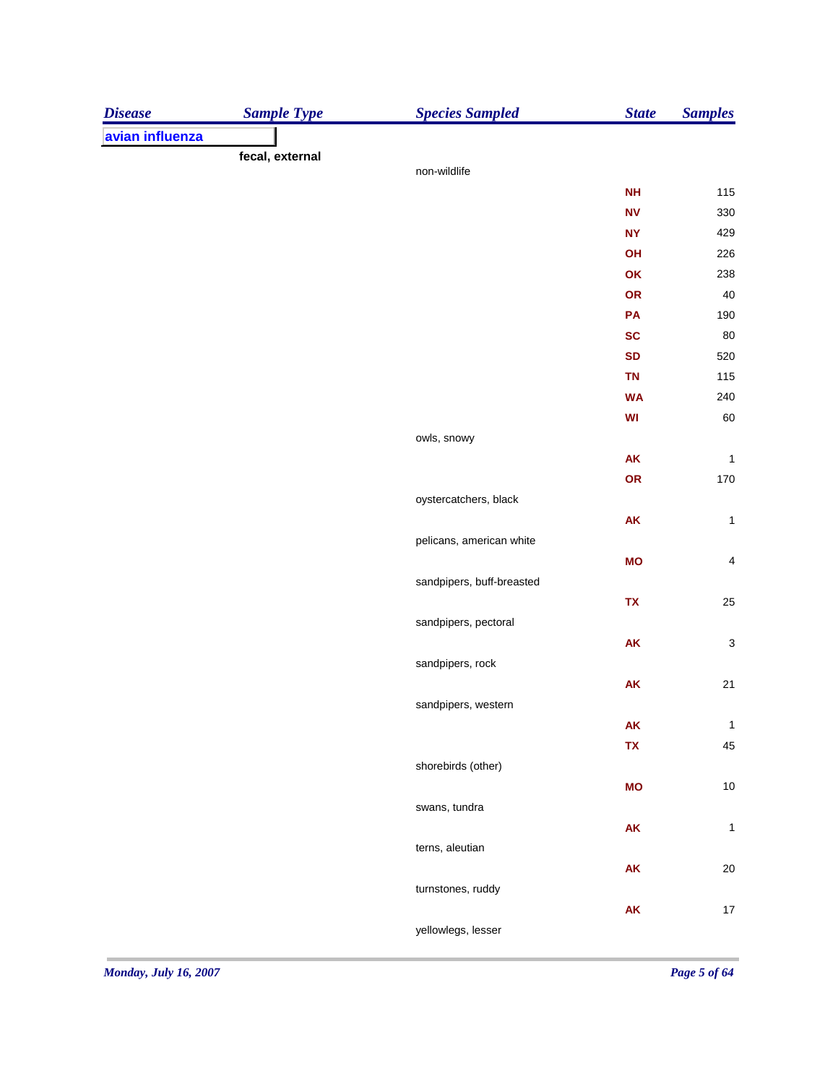| <b>Disease</b>  | <b>Sample Type</b> | <b>Species Sampled</b>    | <b>State</b> | <b>Samples</b>            |
|-----------------|--------------------|---------------------------|--------------|---------------------------|
| avian influenza |                    |                           |              |                           |
|                 | fecal, external    |                           |              |                           |
|                 |                    | non-wildlife              |              |                           |
|                 |                    |                           | <b>NH</b>    | 115                       |
|                 |                    |                           | <b>NV</b>    | 330                       |
|                 |                    |                           | <b>NY</b>    | 429                       |
|                 |                    |                           | OH           | 226                       |
|                 |                    |                           | OK           | 238                       |
|                 |                    |                           | OR           | 40                        |
|                 |                    |                           | PA           | 190                       |
|                 |                    |                           | <b>SC</b>    | 80                        |
|                 |                    |                           | <b>SD</b>    | 520                       |
|                 |                    |                           | <b>TN</b>    | 115                       |
|                 |                    |                           | <b>WA</b>    | 240                       |
|                 |                    |                           | WI           | 60                        |
|                 |                    | owls, snowy               |              |                           |
|                 |                    |                           | AK           | $\mathbf{1}$              |
|                 |                    |                           | OR           | 170                       |
|                 |                    | oystercatchers, black     |              |                           |
|                 |                    |                           | AK           | $\mathbf{1}$              |
|                 |                    | pelicans, american white  |              |                           |
|                 |                    |                           | <b>MO</b>    | $\overline{4}$            |
|                 |                    | sandpipers, buff-breasted |              |                           |
|                 |                    |                           | TX           | 25                        |
|                 |                    | sandpipers, pectoral      |              |                           |
|                 |                    |                           | AK           | $\ensuremath{\mathsf{3}}$ |
|                 |                    | sandpipers, rock          |              |                           |
|                 |                    |                           | AK           | 21                        |
|                 |                    | sandpipers, western       |              |                           |
|                 |                    |                           | ${\sf AK}$   | $\mathbf{1}$              |
|                 |                    |                           | TX           | 45                        |
|                 |                    | shorebirds (other)        |              |                           |
|                 |                    |                           | <b>MO</b>    | $10\,$                    |
|                 |                    | swans, tundra             |              |                           |
|                 |                    |                           | AK           | $\mathbf{1}$              |
|                 |                    | terns, aleutian           |              |                           |
|                 |                    |                           | ${\sf AK}$   | $20\,$                    |
|                 |                    | turnstones, ruddy         |              |                           |
|                 |                    |                           | AK           | $17$                      |
|                 |                    | yellowlegs, lesser        |              |                           |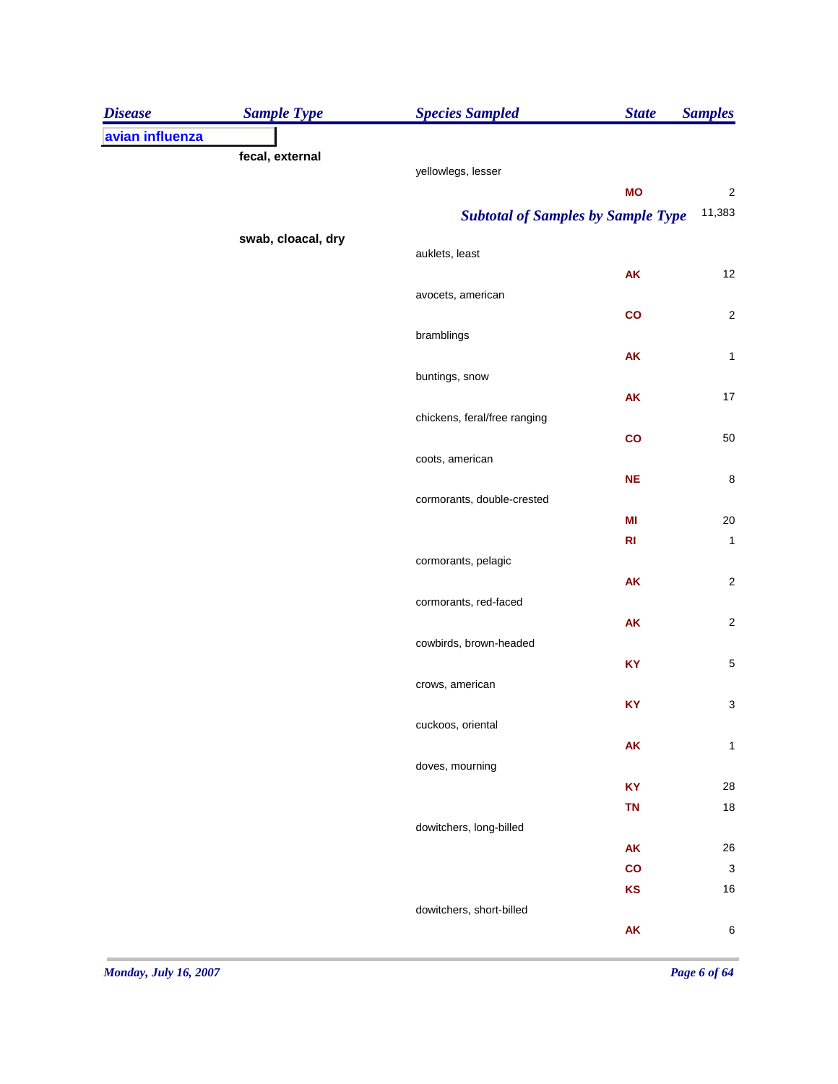| avian influenza<br>fecal, external<br>yellowlegs, lesser<br>$\sqrt{2}$<br><b>MO</b><br>11,383<br><b>Subtotal of Samples by Sample Type</b><br>swab, cloacal, dry<br>auklets, least<br>AK<br>12<br>avocets, american<br>$\sqrt{2}$<br>$\mathbf{co}$<br>bramblings<br>$\mathbf{1}$<br><b>AK</b><br>buntings, snow<br>$17\,$<br>AK<br>chickens, feral/free ranging<br>$50\,$<br>$\mathbf{co}$<br>coots, american<br>$\bf 8$<br><b>NE</b><br>cormorants, double-crested<br>$20\,$<br>MI<br>R <sub>l</sub><br>cormorants, pelagic<br>AK<br>cormorants, red-faced<br><b>AK</b><br>cowbirds, brown-headed<br>KY<br>crows, american<br>KY<br>cuckoos, oriental<br><b>AK</b><br>doves, mourning<br><b>KY</b><br><b>TN</b><br>dowitchers, long-billed<br>AK<br>co<br>KS<br>dowitchers, short-billed<br>AK | <b>Disease</b> | <b>Sample Type</b> | <b>Species Sampled</b> | <b>State</b> | <b>Samples</b>            |
|-------------------------------------------------------------------------------------------------------------------------------------------------------------------------------------------------------------------------------------------------------------------------------------------------------------------------------------------------------------------------------------------------------------------------------------------------------------------------------------------------------------------------------------------------------------------------------------------------------------------------------------------------------------------------------------------------------------------------------------------------------------------------------------------------|----------------|--------------------|------------------------|--------------|---------------------------|
|                                                                                                                                                                                                                                                                                                                                                                                                                                                                                                                                                                                                                                                                                                                                                                                                 |                |                    |                        |              |                           |
|                                                                                                                                                                                                                                                                                                                                                                                                                                                                                                                                                                                                                                                                                                                                                                                                 |                |                    |                        |              |                           |
|                                                                                                                                                                                                                                                                                                                                                                                                                                                                                                                                                                                                                                                                                                                                                                                                 |                |                    |                        |              |                           |
|                                                                                                                                                                                                                                                                                                                                                                                                                                                                                                                                                                                                                                                                                                                                                                                                 |                |                    |                        |              |                           |
|                                                                                                                                                                                                                                                                                                                                                                                                                                                                                                                                                                                                                                                                                                                                                                                                 |                |                    |                        |              |                           |
|                                                                                                                                                                                                                                                                                                                                                                                                                                                                                                                                                                                                                                                                                                                                                                                                 |                |                    |                        |              |                           |
|                                                                                                                                                                                                                                                                                                                                                                                                                                                                                                                                                                                                                                                                                                                                                                                                 |                |                    |                        |              |                           |
|                                                                                                                                                                                                                                                                                                                                                                                                                                                                                                                                                                                                                                                                                                                                                                                                 |                |                    |                        |              |                           |
|                                                                                                                                                                                                                                                                                                                                                                                                                                                                                                                                                                                                                                                                                                                                                                                                 |                |                    |                        |              |                           |
|                                                                                                                                                                                                                                                                                                                                                                                                                                                                                                                                                                                                                                                                                                                                                                                                 |                |                    |                        |              |                           |
|                                                                                                                                                                                                                                                                                                                                                                                                                                                                                                                                                                                                                                                                                                                                                                                                 |                |                    |                        |              |                           |
|                                                                                                                                                                                                                                                                                                                                                                                                                                                                                                                                                                                                                                                                                                                                                                                                 |                |                    |                        |              |                           |
|                                                                                                                                                                                                                                                                                                                                                                                                                                                                                                                                                                                                                                                                                                                                                                                                 |                |                    |                        |              |                           |
|                                                                                                                                                                                                                                                                                                                                                                                                                                                                                                                                                                                                                                                                                                                                                                                                 |                |                    |                        |              |                           |
|                                                                                                                                                                                                                                                                                                                                                                                                                                                                                                                                                                                                                                                                                                                                                                                                 |                |                    |                        |              |                           |
|                                                                                                                                                                                                                                                                                                                                                                                                                                                                                                                                                                                                                                                                                                                                                                                                 |                |                    |                        |              |                           |
|                                                                                                                                                                                                                                                                                                                                                                                                                                                                                                                                                                                                                                                                                                                                                                                                 |                |                    |                        |              |                           |
|                                                                                                                                                                                                                                                                                                                                                                                                                                                                                                                                                                                                                                                                                                                                                                                                 |                |                    |                        |              |                           |
|                                                                                                                                                                                                                                                                                                                                                                                                                                                                                                                                                                                                                                                                                                                                                                                                 |                |                    |                        |              |                           |
|                                                                                                                                                                                                                                                                                                                                                                                                                                                                                                                                                                                                                                                                                                                                                                                                 |                |                    |                        |              | $\mathbf{1}$              |
|                                                                                                                                                                                                                                                                                                                                                                                                                                                                                                                                                                                                                                                                                                                                                                                                 |                |                    |                        |              |                           |
|                                                                                                                                                                                                                                                                                                                                                                                                                                                                                                                                                                                                                                                                                                                                                                                                 |                |                    |                        |              | $\sqrt{2}$                |
|                                                                                                                                                                                                                                                                                                                                                                                                                                                                                                                                                                                                                                                                                                                                                                                                 |                |                    |                        |              |                           |
|                                                                                                                                                                                                                                                                                                                                                                                                                                                                                                                                                                                                                                                                                                                                                                                                 |                |                    |                        |              | $\sqrt{2}$                |
|                                                                                                                                                                                                                                                                                                                                                                                                                                                                                                                                                                                                                                                                                                                                                                                                 |                |                    |                        |              |                           |
|                                                                                                                                                                                                                                                                                                                                                                                                                                                                                                                                                                                                                                                                                                                                                                                                 |                |                    |                        |              | $\mathbf 5$               |
|                                                                                                                                                                                                                                                                                                                                                                                                                                                                                                                                                                                                                                                                                                                                                                                                 |                |                    |                        |              |                           |
|                                                                                                                                                                                                                                                                                                                                                                                                                                                                                                                                                                                                                                                                                                                                                                                                 |                |                    |                        |              | $\ensuremath{\mathsf{3}}$ |
|                                                                                                                                                                                                                                                                                                                                                                                                                                                                                                                                                                                                                                                                                                                                                                                                 |                |                    |                        |              |                           |
|                                                                                                                                                                                                                                                                                                                                                                                                                                                                                                                                                                                                                                                                                                                                                                                                 |                |                    |                        |              | 1                         |
|                                                                                                                                                                                                                                                                                                                                                                                                                                                                                                                                                                                                                                                                                                                                                                                                 |                |                    |                        |              |                           |
|                                                                                                                                                                                                                                                                                                                                                                                                                                                                                                                                                                                                                                                                                                                                                                                                 |                |                    |                        |              | 28                        |
|                                                                                                                                                                                                                                                                                                                                                                                                                                                                                                                                                                                                                                                                                                                                                                                                 |                |                    |                        |              | $18$                      |
|                                                                                                                                                                                                                                                                                                                                                                                                                                                                                                                                                                                                                                                                                                                                                                                                 |                |                    |                        |              |                           |
|                                                                                                                                                                                                                                                                                                                                                                                                                                                                                                                                                                                                                                                                                                                                                                                                 |                |                    |                        |              | $26\,$                    |
|                                                                                                                                                                                                                                                                                                                                                                                                                                                                                                                                                                                                                                                                                                                                                                                                 |                |                    |                        |              | $\mathbf{3}$              |
|                                                                                                                                                                                                                                                                                                                                                                                                                                                                                                                                                                                                                                                                                                                                                                                                 |                |                    |                        |              | $16\,$                    |
|                                                                                                                                                                                                                                                                                                                                                                                                                                                                                                                                                                                                                                                                                                                                                                                                 |                |                    |                        |              |                           |
|                                                                                                                                                                                                                                                                                                                                                                                                                                                                                                                                                                                                                                                                                                                                                                                                 |                |                    |                        |              | $\,6\,$                   |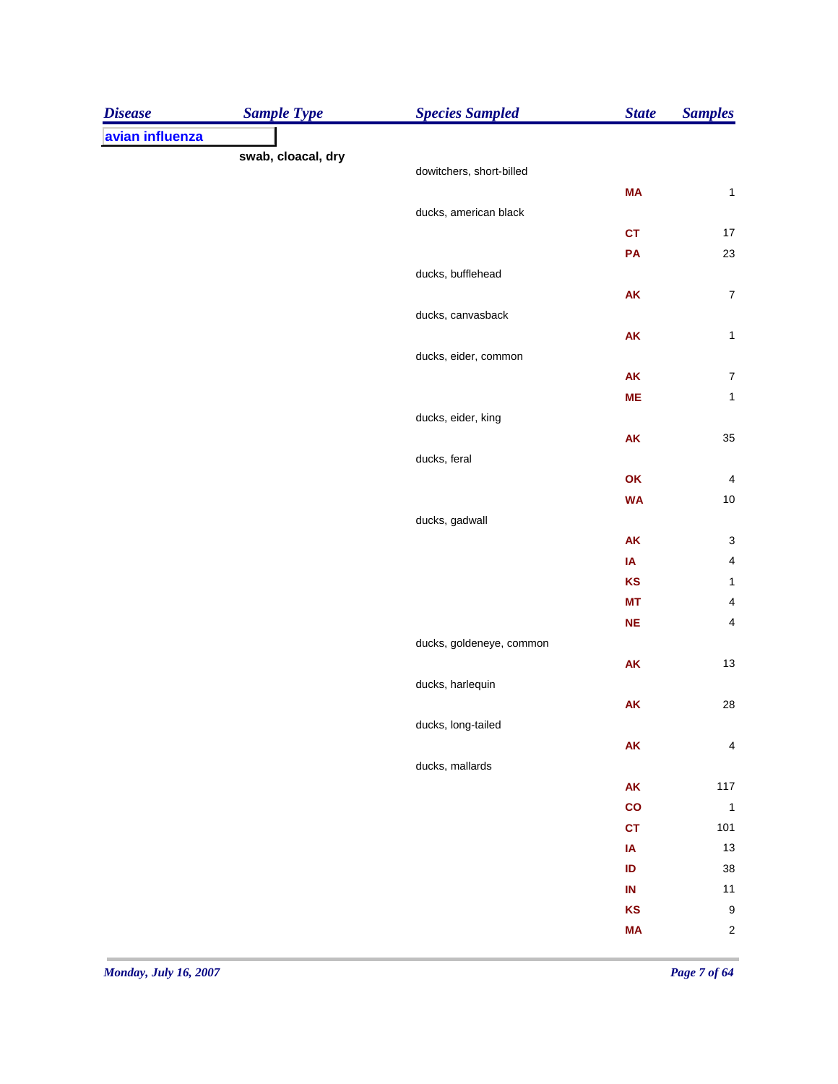| <b>Disease</b>  | <b>Sample Type</b> | <b>Species Sampled</b>   | <b>State</b>  | <b>Samples</b>          |
|-----------------|--------------------|--------------------------|---------------|-------------------------|
| avian influenza |                    |                          |               |                         |
|                 | swab, cloacal, dry |                          |               |                         |
|                 |                    | dowitchers, short-billed |               |                         |
|                 |                    | ducks, american black    | <b>MA</b>     | $\mathbf 1$             |
|                 |                    |                          | <b>CT</b>     | $17$                    |
|                 |                    |                          | PA            | 23                      |
|                 |                    | ducks, bufflehead        |               |                         |
|                 |                    |                          | AK            | $\boldsymbol{7}$        |
|                 |                    | ducks, canvasback        |               |                         |
|                 |                    |                          | AK            | $\mathbf{1}$            |
|                 |                    | ducks, eider, common     |               |                         |
|                 |                    |                          | AK            | $\boldsymbol{7}$        |
|                 |                    |                          | <b>ME</b>     | $\mathbf 1$             |
|                 |                    | ducks, eider, king       |               |                         |
|                 |                    |                          | <b>AK</b>     | $35\,$                  |
|                 |                    | ducks, feral             |               |                         |
|                 |                    |                          | OK            | $\overline{\mathbf{4}}$ |
|                 |                    |                          | <b>WA</b>     | $10\,$                  |
|                 |                    | ducks, gadwall           |               |                         |
|                 |                    |                          | <b>AK</b>     | $\mathsf 3$             |
|                 |                    |                          | IA            | $\overline{\mathbf{4}}$ |
|                 |                    |                          | KS            | $\mathbf 1$             |
|                 |                    |                          | <b>MT</b>     | $\overline{\mathbf{4}}$ |
|                 |                    |                          | NE            | $\overline{\mathbf{4}}$ |
|                 |                    | ducks, goldeneye, common |               |                         |
|                 |                    |                          | AK            | 13                      |
|                 |                    | ducks, harlequin         |               |                         |
|                 |                    |                          | <b>AK</b>     | 28                      |
|                 |                    | ducks, long-tailed       |               |                         |
|                 |                    |                          | ${\sf AK}$    | 4                       |
|                 |                    | ducks, mallards          |               |                         |
|                 |                    |                          | ${\sf AK}$    | $117$                   |
|                 |                    |                          | $\mathbf{co}$ | $\overline{\mathbf{1}}$ |
|                 |                    |                          | <b>CT</b>     | 101                     |
|                 |                    |                          | IA            | 13                      |
|                 |                    |                          | ID            | 38                      |
|                 |                    |                          | $\sf IN$      | 11                      |
|                 |                    |                          | KS            | $\boldsymbol{9}$        |
|                 |                    |                          | <b>MA</b>     | $\sqrt{2}$              |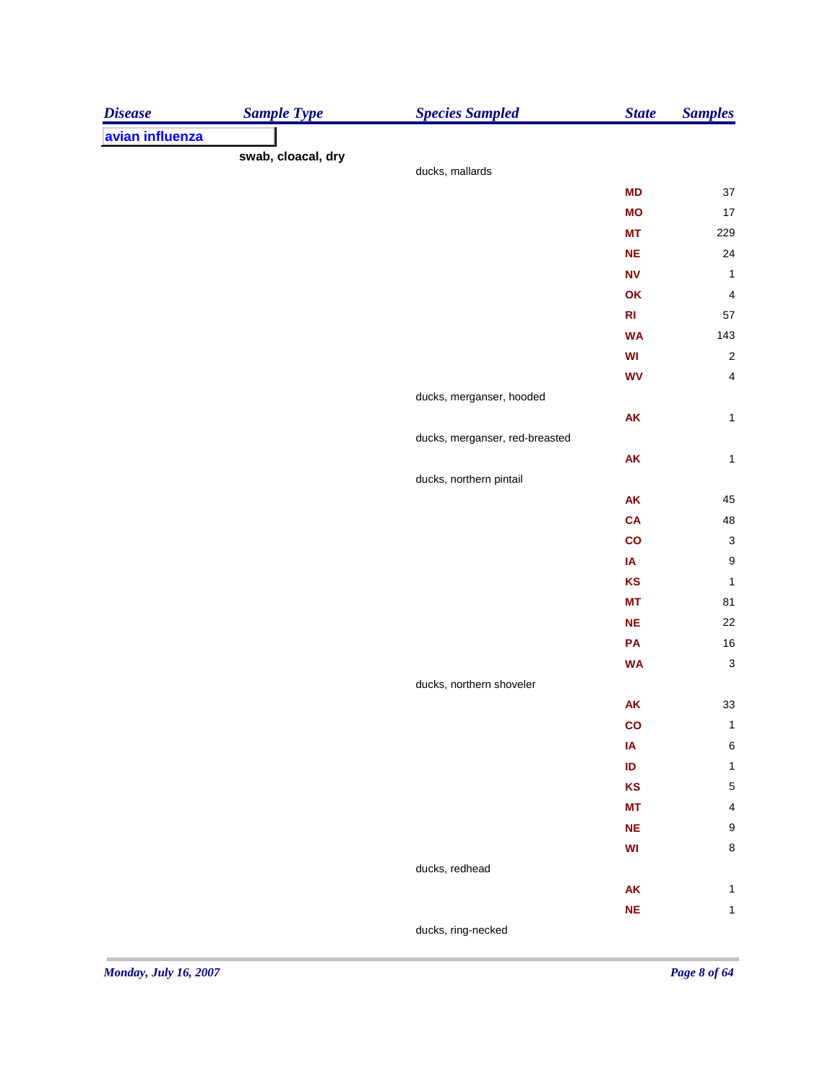| <b>Disease</b>  | <b>Sample Type</b> | <b>Species Sampled</b>         | <b>State</b>                                     | <b>Samples</b>            |
|-----------------|--------------------|--------------------------------|--------------------------------------------------|---------------------------|
| avian influenza |                    |                                |                                                  |                           |
|                 | swab, cloacal, dry |                                |                                                  |                           |
|                 |                    | ducks, mallards                |                                                  |                           |
|                 |                    |                                | MD                                               | 37                        |
|                 |                    |                                | <b>MO</b>                                        | 17                        |
|                 |                    |                                | <b>MT</b>                                        | 229                       |
|                 |                    |                                | <b>NE</b>                                        | 24                        |
|                 |                    |                                | <b>NV</b>                                        | $\mathbf{1}$              |
|                 |                    |                                | OK                                               | $\overline{\mathcal{A}}$  |
|                 |                    |                                | R1                                               | 57                        |
|                 |                    |                                | <b>WA</b>                                        | 143                       |
|                 |                    |                                | $\ensuremath{\mathsf{W}}\ensuremath{\mathsf{I}}$ | $\sqrt{2}$                |
|                 |                    |                                | <b>WV</b>                                        | $\overline{\mathbf{4}}$   |
|                 |                    | ducks, merganser, hooded       |                                                  |                           |
|                 |                    |                                | ${\sf AK}$                                       | $\mathbf{1}$              |
|                 |                    | ducks, merganser, red-breasted |                                                  |                           |
|                 |                    |                                | ${\sf AK}$                                       | $\mathbf 1$               |
|                 |                    | ducks, northern pintail        |                                                  |                           |
|                 |                    |                                | ${\sf AK}$                                       | 45                        |
|                 |                    |                                | CA                                               | 48                        |
|                 |                    |                                | $\mathbf{co}$                                    | $\ensuremath{\mathsf{3}}$ |
|                 |                    |                                | IA                                               | $\boldsymbol{9}$          |
|                 |                    |                                | <b>KS</b>                                        | $\mathbf{1}$              |
|                 |                    |                                | <b>MT</b>                                        | 81                        |
|                 |                    |                                | <b>NE</b>                                        | 22                        |
|                 |                    |                                | PA                                               | $16\,$                    |
|                 |                    |                                | <b>WA</b>                                        | $\mathbf{3}$              |
|                 |                    | ducks, northern shoveler       |                                                  |                           |
|                 |                    |                                | ${\sf AK}$                                       | $33\,$                    |
|                 |                    |                                | co                                               | $\mathbf{1}$              |
|                 |                    |                                | IA                                               | $\,6$                     |
|                 |                    |                                | ID                                               | $\mathbf{1}$              |
|                 |                    |                                | <b>KS</b>                                        | $\sqrt{5}$                |
|                 |                    |                                | <b>MT</b>                                        | $\pmb{4}$                 |
|                 |                    |                                | <b>NE</b>                                        | $\boldsymbol{9}$          |
|                 |                    |                                | WI                                               | $\bf 8$                   |
|                 |                    | ducks, redhead                 |                                                  |                           |
|                 |                    |                                | ${\sf AK}$                                       | $\mathbf{1}$              |
|                 |                    |                                | <b>NE</b>                                        | $\mathbf{1}$              |
|                 |                    | ducks, ring-necked             |                                                  |                           |
|                 |                    |                                |                                                  |                           |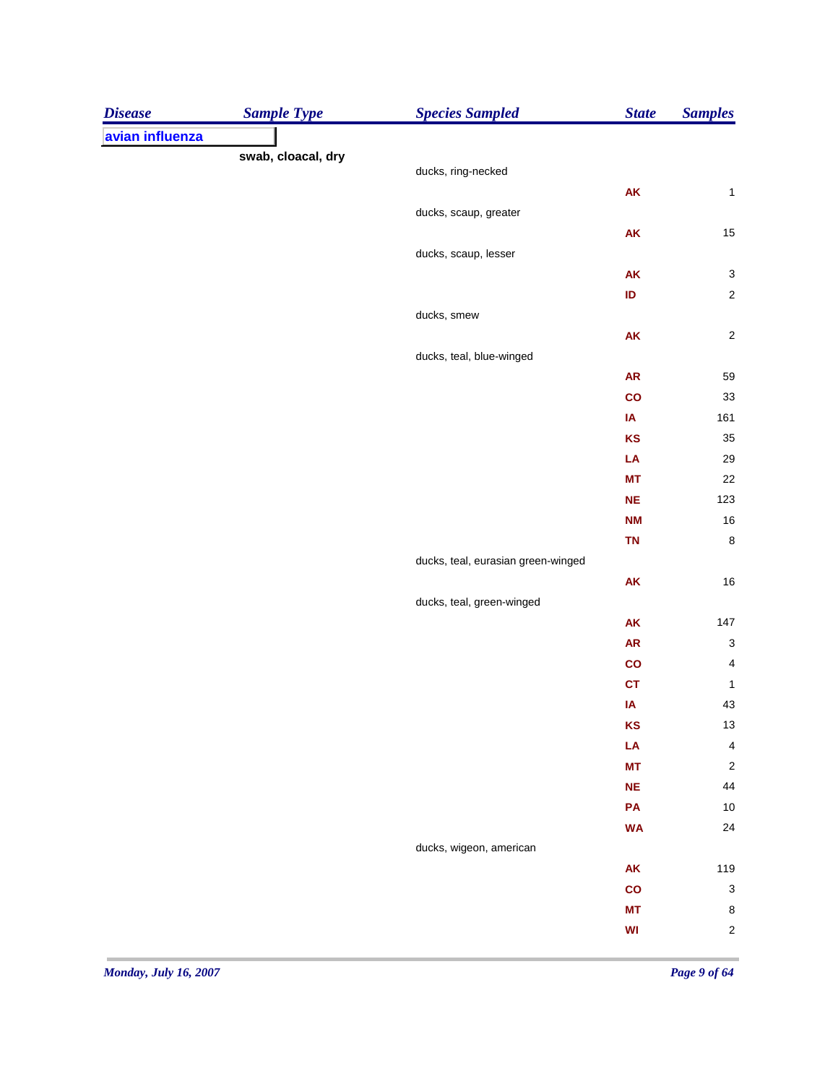| <b>Disease</b>  | <b>Sample Type</b> | <b>Species Sampled</b>             | <b>State</b>  | <b>Samples</b>          |
|-----------------|--------------------|------------------------------------|---------------|-------------------------|
| avian influenza |                    |                                    |               |                         |
|                 | swab, cloacal, dry |                                    |               |                         |
|                 |                    | ducks, ring-necked                 |               |                         |
|                 |                    |                                    | AK            | $\mathbf 1$             |
|                 |                    | ducks, scaup, greater              |               |                         |
|                 |                    |                                    | ${\sf AK}$    | 15                      |
|                 |                    | ducks, scaup, lesser               |               |                         |
|                 |                    |                                    | AK            | $\mathbf{3}$            |
|                 |                    |                                    | ID            | $\sqrt{2}$              |
|                 |                    | ducks, smew                        |               |                         |
|                 |                    |                                    | ${\sf AK}$    | $\sqrt{2}$              |
|                 |                    | ducks, teal, blue-winged           |               |                         |
|                 |                    |                                    | ${\sf AR}$    | 59                      |
|                 |                    |                                    | $\mathsf{co}$ | 33                      |
|                 |                    |                                    | IA            | 161                     |
|                 |                    |                                    | KS            | 35                      |
|                 |                    |                                    | LA            | 29                      |
|                 |                    |                                    | <b>MT</b>     | 22                      |
|                 |                    |                                    | <b>NE</b>     | 123                     |
|                 |                    |                                    | <b>NM</b>     | $16$                    |
|                 |                    |                                    | <b>TN</b>     | $\bf8$                  |
|                 |                    | ducks, teal, eurasian green-winged |               |                         |
|                 |                    |                                    | ${\sf AK}$    | $16\,$                  |
|                 |                    | ducks, teal, green-winged          |               |                         |
|                 |                    |                                    | AK            | $147$                   |
|                 |                    |                                    | ${\sf AR}$    | $\mathbf{3}$            |
|                 |                    |                                    | $\mathbf{co}$ | $\overline{\mathbf{4}}$ |
|                 |                    |                                    | CT            | $\mathbf{1}$            |
|                 |                    |                                    | IA            | 43                      |
|                 |                    |                                    | KS            | 13                      |
|                 |                    |                                    | LA            | $\overline{\mathbf{4}}$ |
|                 |                    |                                    | <b>MT</b>     | $\sqrt{2}$              |
|                 |                    |                                    | $NE$          | 44                      |
|                 |                    |                                    | PA            | $10$                    |
|                 |                    |                                    | <b>WA</b>     | 24                      |
|                 |                    | ducks, wigeon, american            |               |                         |
|                 |                    |                                    | AK            | 119                     |
|                 |                    |                                    | co            | $\mathbf{3}$            |
|                 |                    |                                    | <b>MT</b>     | $\bf 8$                 |
|                 |                    |                                    | WI            | $\sqrt{2}$              |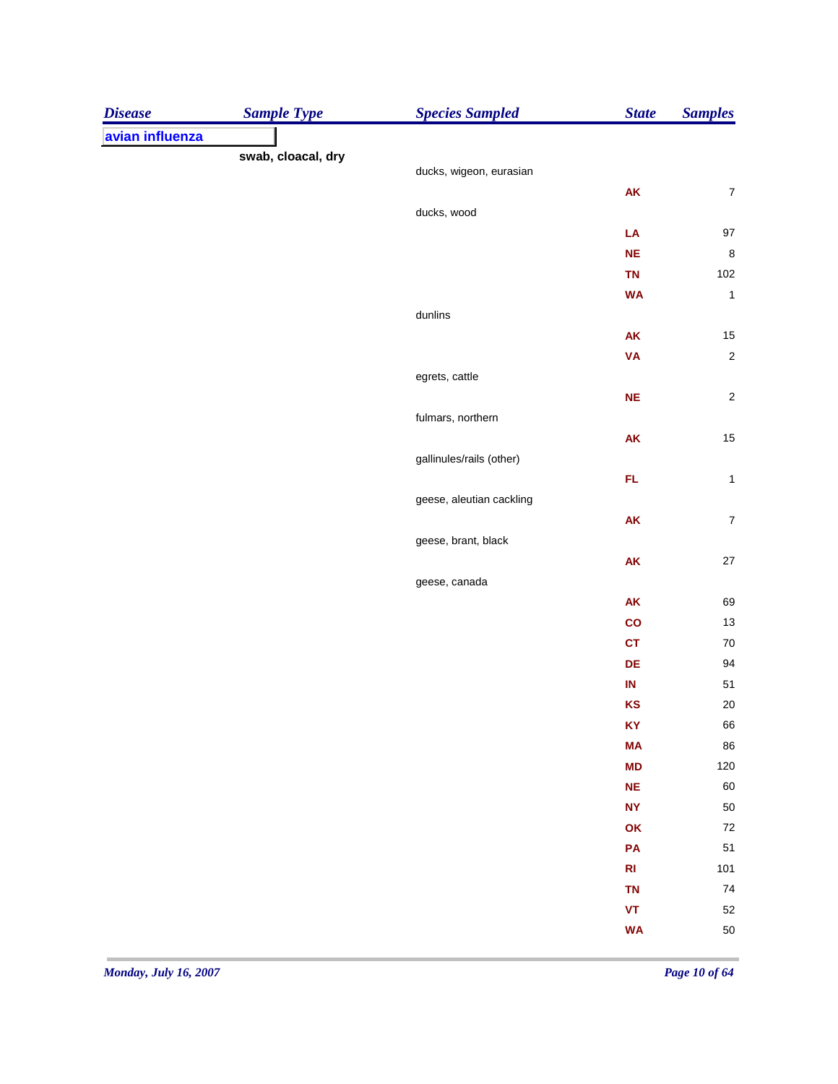| <b>Disease</b>  | <b>Sample Type</b> | <b>Species Sampled</b>   | <b>State</b>                                     | <b>Samples</b>    |
|-----------------|--------------------|--------------------------|--------------------------------------------------|-------------------|
| avian influenza |                    |                          |                                                  |                   |
|                 | swab, cloacal, dry |                          |                                                  |                   |
|                 |                    | ducks, wigeon, eurasian  |                                                  |                   |
|                 |                    |                          | AK                                               | $\boldsymbol{7}$  |
|                 |                    | ducks, wood              | LA                                               |                   |
|                 |                    |                          | NE                                               | $97\,$<br>$\,8\,$ |
|                 |                    |                          | <b>TN</b>                                        | $102\,$           |
|                 |                    |                          | <b>WA</b>                                        | $\mathbf{1}$      |
|                 |                    | dunlins                  |                                                  |                   |
|                 |                    |                          | AK                                               | 15                |
|                 |                    |                          | <b>VA</b>                                        | $\sqrt{2}$        |
|                 |                    | egrets, cattle           |                                                  |                   |
|                 |                    |                          | $NE$                                             | $\sqrt{2}$        |
|                 |                    | fulmars, northern        |                                                  |                   |
|                 |                    |                          | <b>AK</b>                                        | 15                |
|                 |                    | gallinules/rails (other) |                                                  |                   |
|                 |                    |                          | FL.                                              | $\mathbf{1}$      |
|                 |                    | geese, aleutian cackling |                                                  |                   |
|                 |                    |                          | ${\sf AK}$                                       | $\boldsymbol{7}$  |
|                 |                    | geese, brant, black      |                                                  |                   |
|                 |                    |                          | ${\sf AK}$                                       | $27\,$            |
|                 |                    | geese, canada            |                                                  |                   |
|                 |                    |                          | <b>AK</b>                                        | 69                |
|                 |                    |                          | co                                               | 13                |
|                 |                    |                          | <b>CT</b>                                        | 70                |
|                 |                    |                          | $\mathsf{DE}% _{T}\left( \mathcal{M}_{T}\right)$ | 94                |
|                 |                    |                          | $\sf IN$                                         | 51                |
|                 |                    |                          | KS                                               | 20                |
|                 |                    |                          | <b>KY</b>                                        | 66                |
|                 |                    |                          | <b>MA</b>                                        | 86                |
|                 |                    |                          | <b>MD</b>                                        | $120\,$           |
|                 |                    |                          | NE                                               | 60                |
|                 |                    |                          | <b>NY</b>                                        | 50                |
|                 |                    |                          | OK                                               | $\bf 72$          |
|                 |                    |                          | PA                                               | 51                |
|                 |                    |                          | $\mathsf{RI}$                                    | 101               |
|                 |                    |                          | <b>TN</b>                                        | 74                |
|                 |                    |                          | $\pmb{\mathsf{VT}}$                              | 52                |
|                 |                    |                          | <b>WA</b>                                        | 50                |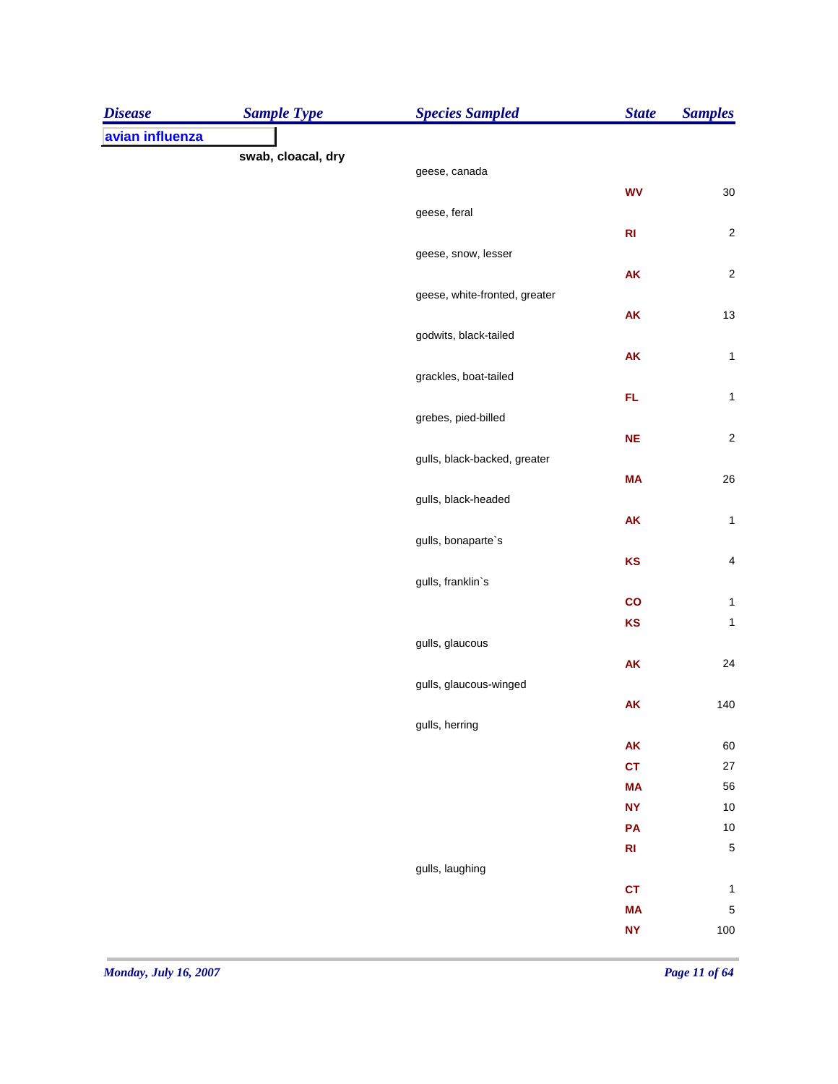| <b>Disease</b>  | <b>Sample Type</b> | <b>Species Sampled</b>        | <b>State</b>  | <b>Samples</b>          |
|-----------------|--------------------|-------------------------------|---------------|-------------------------|
| avian influenza |                    |                               |               |                         |
|                 | swab, cloacal, dry |                               |               |                         |
|                 |                    | geese, canada                 |               |                         |
|                 |                    | geese, feral                  | <b>WV</b>     | $30\,$                  |
|                 |                    |                               | R1            | $\sqrt{2}$              |
|                 |                    | geese, snow, lesser           |               |                         |
|                 |                    |                               | <b>AK</b>     | $\overline{\mathbf{c}}$ |
|                 |                    | geese, white-fronted, greater |               |                         |
|                 |                    |                               | <b>AK</b>     | 13                      |
|                 |                    | godwits, black-tailed         |               |                         |
|                 |                    |                               | <b>AK</b>     | $\mathbf{1}$            |
|                 |                    | grackles, boat-tailed         |               |                         |
|                 |                    |                               | FL            | $\mathbf{1}$            |
|                 |                    | grebes, pied-billed           |               |                         |
|                 |                    |                               | <b>NE</b>     | $\overline{\mathbf{c}}$ |
|                 |                    | gulls, black-backed, greater  |               |                         |
|                 |                    |                               | <b>MA</b>     | 26                      |
|                 |                    | gulls, black-headed           |               |                         |
|                 |                    |                               | <b>AK</b>     | $\mathbf{1}$            |
|                 |                    | gulls, bonaparte's            | KS            | $\overline{\mathbf{4}}$ |
|                 |                    | gulls, franklin's             |               |                         |
|                 |                    |                               | $\mathbf{co}$ | $\mathbf{1}$            |
|                 |                    |                               | KS            | $\mathbf{1}$            |
|                 |                    | gulls, glaucous               |               |                         |
|                 |                    |                               | <b>AK</b>     | 24                      |
|                 |                    | gulls, glaucous-winged        |               |                         |
|                 |                    |                               | <b>AK</b>     | 140                     |
|                 |                    | gulls, herring                |               |                         |
|                 |                    |                               | AK            | 60                      |
|                 |                    |                               | <b>CT</b>     | $27\,$                  |
|                 |                    |                               | <b>MA</b>     | 56                      |
|                 |                    |                               | <b>NY</b>     | $10$                    |
|                 |                    |                               | PA            | $10$                    |
|                 |                    |                               | $\mathsf{RI}$ | 5                       |
|                 |                    | gulls, laughing               |               |                         |
|                 |                    |                               | <b>CT</b>     | $\mathbf{1}$            |
|                 |                    |                               | <b>MA</b>     | 5                       |
|                 |                    |                               | <b>NY</b>     | $100\,$                 |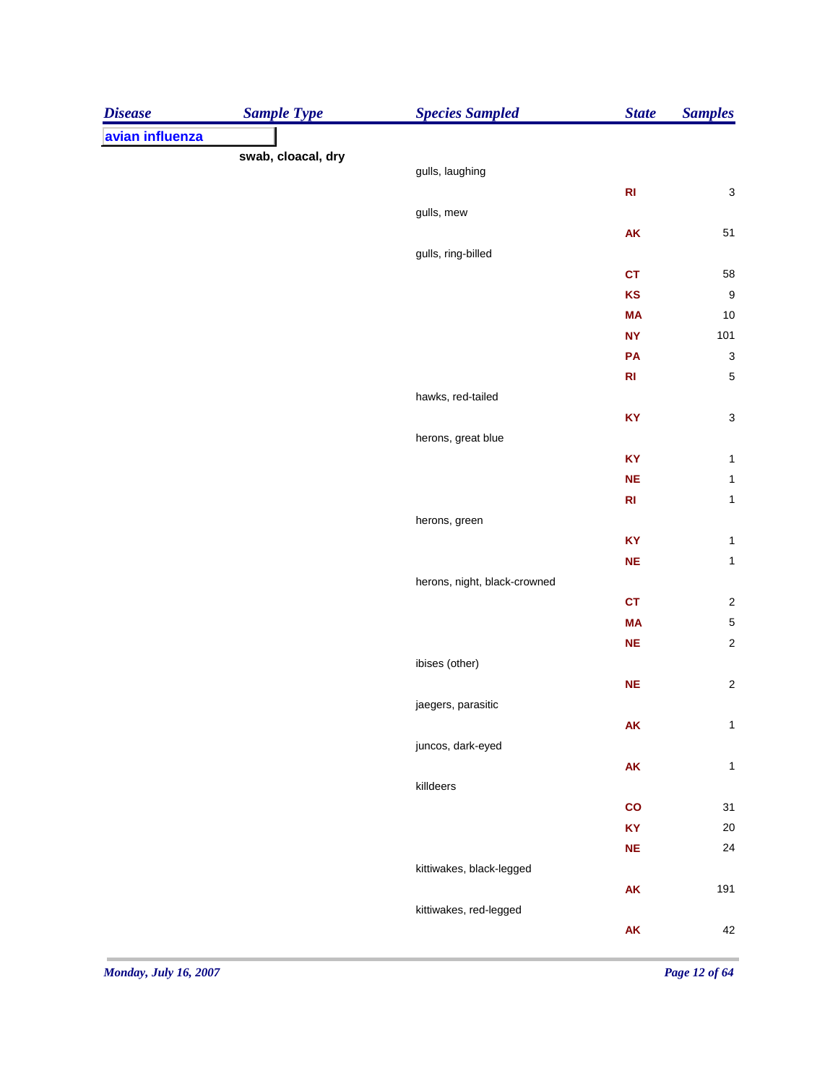| <b>Disease</b>  | <b>Sample Type</b> | <b>Species Sampled</b>       | <b>State</b>  | <b>Samples</b>            |
|-----------------|--------------------|------------------------------|---------------|---------------------------|
| avian influenza |                    |                              |               |                           |
|                 | swab, cloacal, dry | gulls, laughing              |               |                           |
|                 |                    |                              | R1            | $\mathbf{3}$              |
|                 |                    | gulls, mew                   |               |                           |
|                 |                    |                              | ${\sf AK}$    | 51                        |
|                 |                    | gulls, ring-billed           |               |                           |
|                 |                    |                              | <b>CT</b>     | 58                        |
|                 |                    |                              | KS            | $\boldsymbol{9}$          |
|                 |                    |                              | <b>MA</b>     | 10                        |
|                 |                    |                              | <b>NY</b>     | 101                       |
|                 |                    |                              | PA            | $\ensuremath{\mathsf{3}}$ |
|                 |                    |                              | R1            | $\sqrt{5}$                |
|                 |                    | hawks, red-tailed            |               |                           |
|                 |                    |                              | KY            | $\ensuremath{\mathsf{3}}$ |
|                 |                    | herons, great blue           |               |                           |
|                 |                    |                              | KY            | $\mathbf{1}$              |
|                 |                    |                              | $NE$          | $\mathbf{1}$              |
|                 |                    |                              | R1            | $\mathbf{1}$              |
|                 |                    | herons, green                |               |                           |
|                 |                    |                              | KY            | $\mathbf 1$               |
|                 |                    |                              | $NE$          | $\mathbf{1}$              |
|                 |                    | herons, night, black-crowned |               |                           |
|                 |                    |                              | <b>CT</b>     | $\boldsymbol{2}$          |
|                 |                    |                              | <b>MA</b>     | 5                         |
|                 |                    |                              | $NE$          | $\sqrt{2}$                |
|                 |                    | ibises (other)               |               |                           |
|                 |                    |                              | NE            | $\sqrt{2}$                |
|                 |                    | jaegers, parasitic           |               |                           |
|                 |                    |                              | AK            | $\mathbf{1}$              |
|                 |                    | juncos, dark-eyed            |               |                           |
|                 |                    |                              | ${\sf AK}$    | $\mathbf{1}$              |
|                 |                    | killdeers                    | $\mathsf{co}$ | 31                        |
|                 |                    |                              | <b>KY</b>     | $20\,$                    |
|                 |                    |                              | NE            | 24                        |
|                 |                    | kittiwakes, black-legged     |               |                           |
|                 |                    |                              | ${\sf AK}$    | 191                       |
|                 |                    | kittiwakes, red-legged       |               |                           |
|                 |                    |                              | ${\sf AK}$    | 42                        |
|                 |                    |                              |               |                           |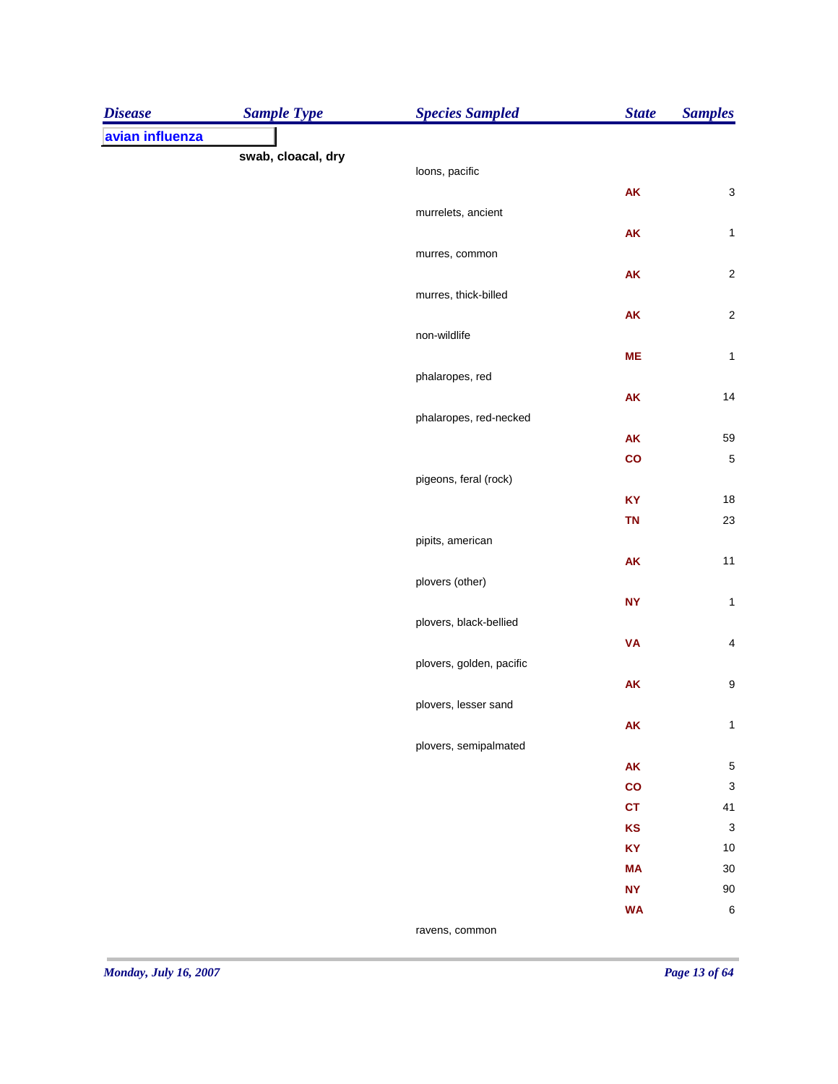| <b>Disease</b>  | <b>Sample Type</b> | <b>Species Sampled</b>   | <b>State</b>  | <b>Samples</b>   |
|-----------------|--------------------|--------------------------|---------------|------------------|
| avian influenza |                    |                          |               |                  |
|                 | swab, cloacal, dry |                          |               |                  |
|                 |                    | loons, pacific           |               |                  |
|                 |                    | murrelets, ancient       | ${\sf AK}$    | $\mathsf 3$      |
|                 |                    |                          | ${\sf AK}$    | $\mathbf 1$      |
|                 |                    | murres, common           |               |                  |
|                 |                    |                          | ${\sf AK}$    | $\boldsymbol{2}$ |
|                 |                    | murres, thick-billed     |               |                  |
|                 |                    |                          | ${\sf AK}$    | $\mathbf 2$      |
|                 |                    | non-wildlife             |               |                  |
|                 |                    |                          | ME            | $\mathbf{1}$     |
|                 |                    | phalaropes, red          |               |                  |
|                 |                    |                          | ${\sf AK}$    | 14               |
|                 |                    | phalaropes, red-necked   |               |                  |
|                 |                    |                          | ${\sf AK}$    | 59               |
|                 |                    |                          | $\mathbf{co}$ | 5                |
|                 |                    | pigeons, feral (rock)    |               |                  |
|                 |                    |                          | <b>KY</b>     | 18               |
|                 |                    |                          | <b>TN</b>     | 23               |
|                 |                    | pipits, american         |               |                  |
|                 |                    |                          | ${\sf AK}$    | $11$             |
|                 |                    | plovers (other)          | <b>NY</b>     |                  |
|                 |                    | plovers, black-bellied   |               | $\mathbf{1}$     |
|                 |                    |                          | <b>VA</b>     | 4                |
|                 |                    | plovers, golden, pacific |               |                  |
|                 |                    |                          | AK            | 9                |
|                 |                    | plovers, lesser sand     |               |                  |
|                 |                    |                          | AK            | $\mathbf{1}$     |
|                 |                    | plovers, semipalmated    |               |                  |
|                 |                    |                          | AK            | 5                |
|                 |                    |                          | co            | 3                |
|                 |                    |                          | <b>CT</b>     | 41               |
|                 |                    |                          | <b>KS</b>     | 3                |
|                 |                    |                          | <b>KY</b>     | $10$             |
|                 |                    |                          | <b>MA</b>     | 30               |
|                 |                    |                          | <b>NY</b>     | 90               |
|                 |                    |                          | <b>WA</b>     | 6                |
|                 |                    | ravens, common           |               |                  |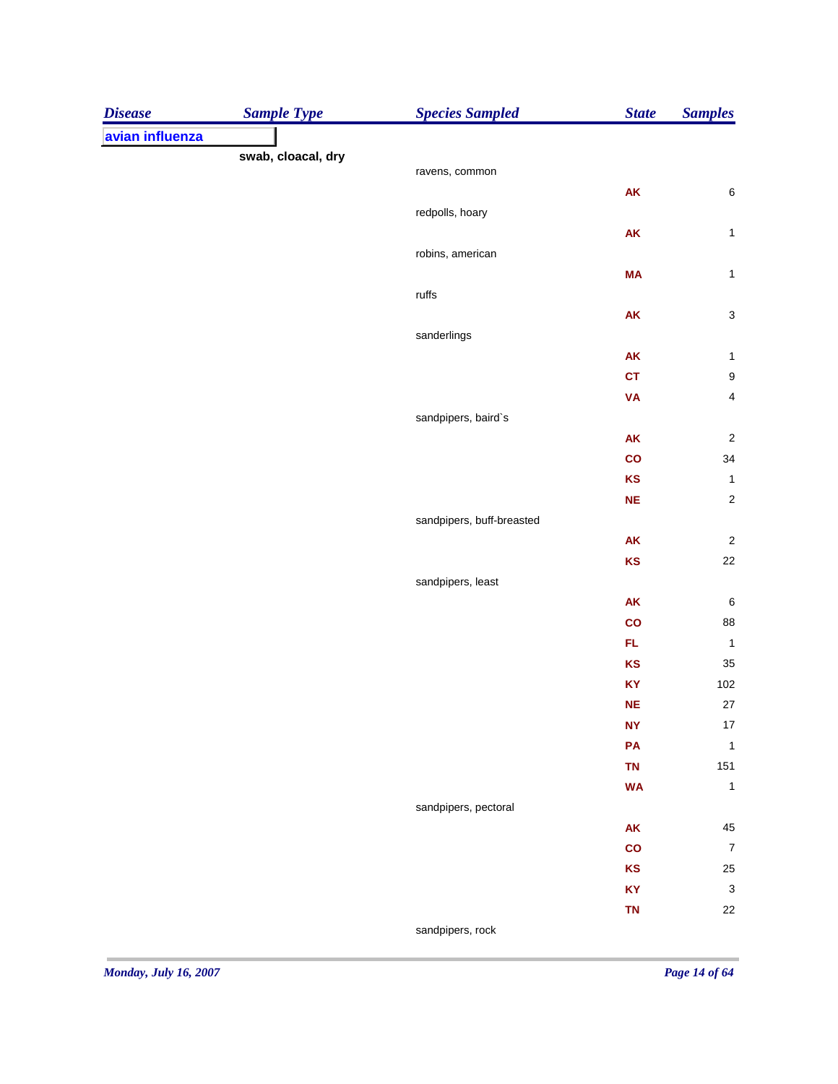| <b>Disease</b>  | <b>Sample Type</b> | <b>Species Sampled</b>    | <b>State</b>  | <b>Samples</b>          |
|-----------------|--------------------|---------------------------|---------------|-------------------------|
| avian influenza |                    |                           |               |                         |
|                 | swab, cloacal, dry |                           |               |                         |
|                 |                    | ravens, common            |               |                         |
|                 |                    |                           | AK            | $\,6$                   |
|                 |                    | redpolls, hoary           |               |                         |
|                 |                    |                           | ${\sf AK}$    | $\mathbf{1}$            |
|                 |                    | robins, american          |               |                         |
|                 |                    |                           | <b>MA</b>     | $\mathbf{1}$            |
|                 |                    | $r$ uffs                  |               |                         |
|                 |                    |                           | ${\sf AK}$    | $\mathsf 3$             |
|                 |                    | sanderlings               |               |                         |
|                 |                    |                           | AK            | $\mathbf 1$             |
|                 |                    |                           | <b>CT</b>     | $\boldsymbol{9}$        |
|                 |                    |                           | <b>VA</b>     | $\overline{\mathbf{4}}$ |
|                 |                    | sandpipers, baird's       |               |                         |
|                 |                    |                           | AK            | $\overline{\mathbf{c}}$ |
|                 |                    |                           | $\mathbf{co}$ | 34                      |
|                 |                    |                           | KS            | $\mathbf 1$             |
|                 |                    |                           | ${\sf NE}$    | $\sqrt{2}$              |
|                 |                    | sandpipers, buff-breasted |               |                         |
|                 |                    |                           | AK            | $\sqrt{2}$              |
|                 |                    |                           | KS            | 22                      |
|                 |                    | sandpipers, least         |               |                         |
|                 |                    |                           | AK            | $\boldsymbol{6}$        |
|                 |                    |                           | $\mathbf{co}$ | 88                      |
|                 |                    |                           | FL.           | $\mathbf{1}$            |
|                 |                    |                           | KS            | 35                      |
|                 |                    |                           | KY            | $102\,$                 |
|                 |                    |                           | $NE$          | $27\,$                  |
|                 |                    |                           | <b>NY</b>     | $17$                    |
|                 |                    |                           | PA            | $\mathbf{1}$            |
|                 |                    |                           | <b>TN</b>     | 151                     |
|                 |                    |                           | <b>WA</b>     | $\mathbf{1}$            |
|                 |                    | sandpipers, pectoral      |               |                         |
|                 |                    |                           | AK            | 45                      |
|                 |                    |                           | $\mathbf{co}$ | $\overline{7}$          |
|                 |                    |                           | KS            | 25                      |
|                 |                    |                           | KY            | $\mathbf{3}$            |
|                 |                    |                           | <b>TN</b>     | 22                      |
|                 |                    | sandpipers, rock          |               |                         |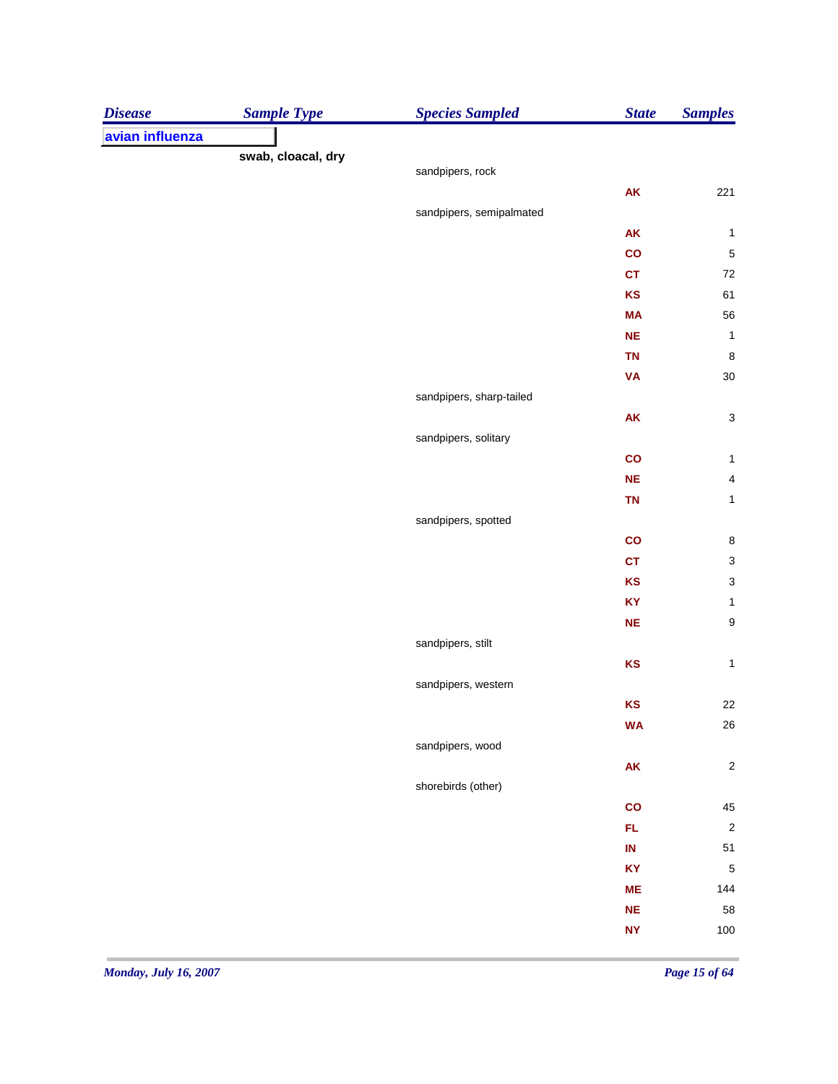| <b>Disease</b>  | <b>Sample Type</b> | <b>Species Sampled</b>   | <b>State</b>  | <b>Samples</b>          |
|-----------------|--------------------|--------------------------|---------------|-------------------------|
| avian influenza |                    |                          |               |                         |
|                 | swab, cloacal, dry |                          |               |                         |
|                 |                    | sandpipers, rock         |               |                         |
|                 |                    |                          | AK            | 221                     |
|                 |                    | sandpipers, semipalmated |               |                         |
|                 |                    |                          | AK            | $\mathbf{1}$            |
|                 |                    |                          | $\mathbf{co}$ | $\sqrt{5}$              |
|                 |                    |                          | <b>CT</b>     | $72\,$                  |
|                 |                    |                          | KS            | 61                      |
|                 |                    |                          | <b>MA</b>     | 56                      |
|                 |                    |                          | <b>NE</b>     | $\mathbf{1}$            |
|                 |                    |                          | <b>TN</b>     | $\,$ 8 $\,$             |
|                 |                    |                          | <b>VA</b>     | 30                      |
|                 |                    | sandpipers, sharp-tailed |               |                         |
|                 |                    |                          | AK            | $\mathsf 3$             |
|                 |                    | sandpipers, solitary     |               |                         |
|                 |                    |                          | co            | $\mathbf{1}$            |
|                 |                    |                          | <b>NE</b>     | $\overline{\mathbf{4}}$ |
|                 |                    |                          | <b>TN</b>     | $\mathbf{1}$            |
|                 |                    | sandpipers, spotted      |               |                         |
|                 |                    |                          | co            | $\bf 8$                 |
|                 |                    |                          | <b>CT</b>     | $\mathbf{3}$            |
|                 |                    |                          | KS            | 3                       |
|                 |                    |                          | KY            | $\mathbf{1}$            |
|                 |                    |                          | NE            | $\boldsymbol{9}$        |
|                 |                    | sandpipers, stilt        |               |                         |
|                 |                    |                          | KS            | $\mathbf 1$             |
|                 |                    | sandpipers, western      |               |                         |
|                 |                    |                          | KS            | 22                      |
|                 |                    |                          | <b>WA</b>     | 26                      |
|                 |                    | sandpipers, wood         |               |                         |
|                 |                    |                          | ${\sf AK}$    | $\sqrt{2}$              |
|                 |                    | shorebirds (other)       |               |                         |
|                 |                    |                          | co            | 45                      |
|                 |                    |                          | FL.           | $\overline{\mathbf{c}}$ |
|                 |                    |                          | $\sf IN$      | 51                      |
|                 |                    |                          | KY            | $\overline{5}$          |
|                 |                    |                          | <b>ME</b>     | 144                     |
|                 |                    |                          | NE            | 58                      |
|                 |                    |                          | <b>NY</b>     | 100                     |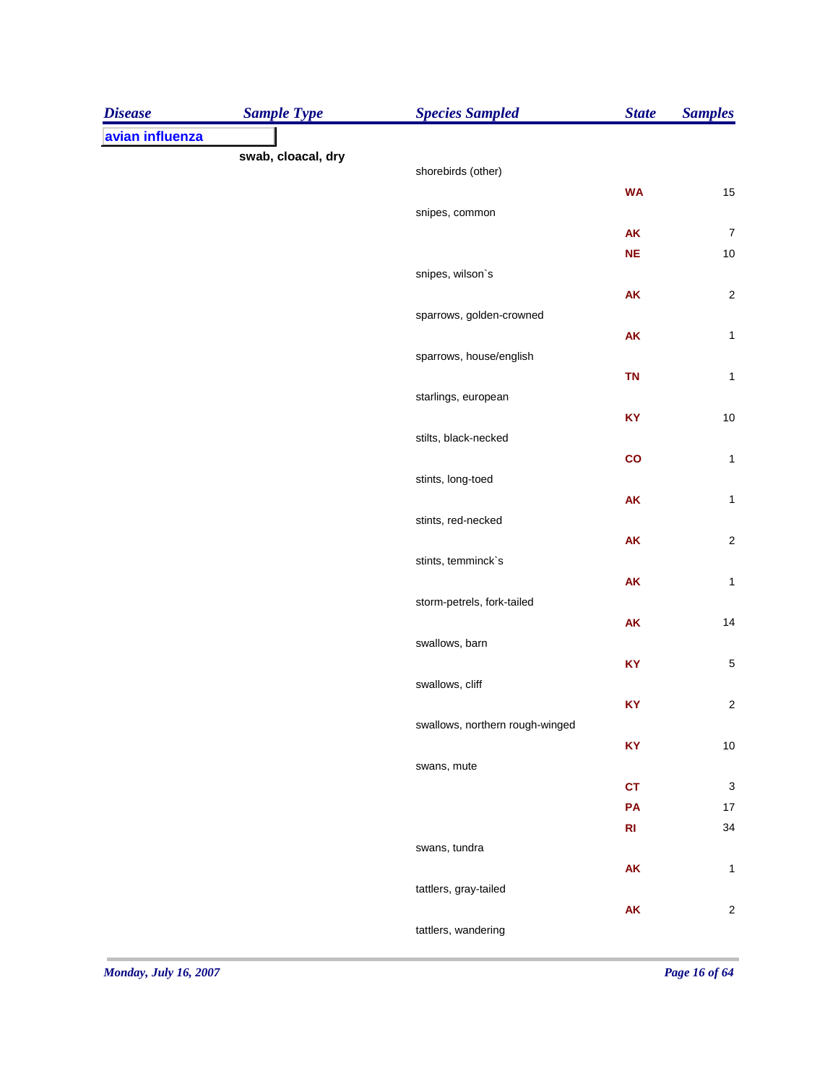| <b>Disease</b>  | <b>Sample Type</b> | <b>Species Sampled</b>          | <b>State</b> | <b>Samples</b>   |
|-----------------|--------------------|---------------------------------|--------------|------------------|
| avian influenza |                    |                                 |              |                  |
|                 | swab, cloacal, dry | shorebirds (other)              |              |                  |
|                 |                    |                                 | <b>WA</b>    | 15               |
|                 |                    | snipes, common                  |              |                  |
|                 |                    |                                 | AK           | $\boldsymbol{7}$ |
|                 |                    |                                 | $NE$         | $10$             |
|                 |                    | snipes, wilson's                |              |                  |
|                 |                    |                                 | AK           | $\sqrt{2}$       |
|                 |                    | sparrows, golden-crowned        |              |                  |
|                 |                    |                                 | ${\sf AK}$   | $\mathbf{1}$     |
|                 |                    | sparrows, house/english         |              |                  |
|                 |                    | starlings, european             | <b>TN</b>    | $\mathbf{1}$     |
|                 |                    |                                 | KY           | $10$             |
|                 |                    | stilts, black-necked            |              |                  |
|                 |                    |                                 | co           | $\mathbf{1}$     |
|                 |                    | stints, long-toed               |              |                  |
|                 |                    |                                 | AK           | $\mathbf{1}$     |
|                 |                    | stints, red-necked              |              |                  |
|                 |                    |                                 | AK           | $\sqrt{2}$       |
|                 |                    | stints, temminck`s              |              |                  |
|                 |                    | storm-petrels, fork-tailed      | AK           | $\mathbf{1}$     |
|                 |                    |                                 | AK           | 14               |
|                 |                    | swallows, barn                  |              |                  |
|                 |                    |                                 | KY           | $\mathbf 5$      |
|                 |                    | swallows, cliff                 |              |                  |
|                 |                    |                                 | KY           | $\boldsymbol{2}$ |
|                 |                    | swallows, northern rough-winged |              |                  |
|                 |                    |                                 | KY           | $10$             |
|                 |                    | swans, mute                     |              |                  |
|                 |                    |                                 | CT           | $\mathsf 3$      |
|                 |                    |                                 | PA<br>R1     | $17$<br>34       |
|                 |                    | swans, tundra                   |              |                  |
|                 |                    |                                 | ${\sf AK}$   | $\mathbf{1}$     |
|                 |                    | tattlers, gray-tailed           |              |                  |
|                 |                    |                                 | AK           | $\boldsymbol{2}$ |
|                 |                    | tattlers, wandering             |              |                  |
|                 |                    |                                 |              |                  |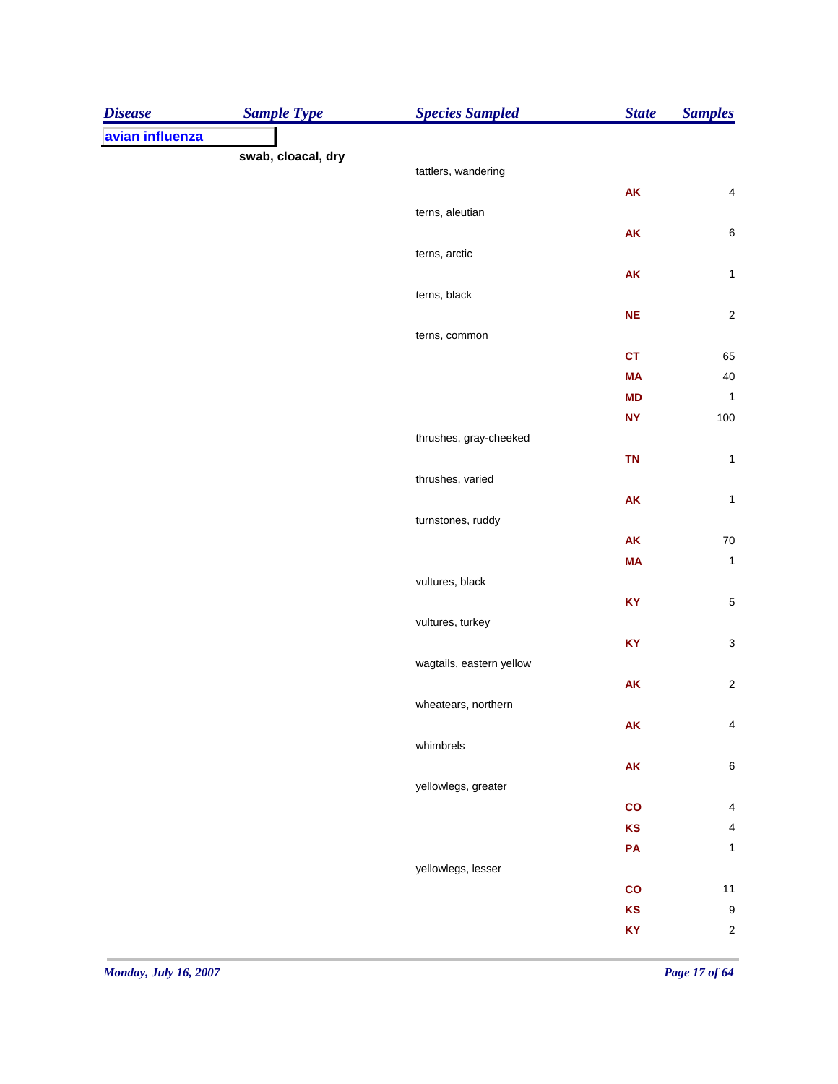| <b>Disease</b>  | <b>Sample Type</b> | <b>Species Sampled</b>   | <b>State</b> | <b>Samples</b>            |
|-----------------|--------------------|--------------------------|--------------|---------------------------|
| avian influenza |                    |                          |              |                           |
|                 | swab, cloacal, dry |                          |              |                           |
|                 |                    | tattlers, wandering      | ${\sf AK}$   | $\overline{\mathbf{4}}$   |
|                 |                    | terns, aleutian          |              |                           |
|                 |                    |                          | AK           | $\,6\,$                   |
|                 |                    | terns, arctic            |              |                           |
|                 |                    |                          | AK           | $\mathbf{1}$              |
|                 |                    | terns, black             |              |                           |
|                 |                    |                          | NE           | $\sqrt{2}$                |
|                 |                    | terns, common            |              |                           |
|                 |                    |                          | <b>CT</b>    | 65                        |
|                 |                    |                          | <b>MA</b>    | $40\,$                    |
|                 |                    |                          | <b>MD</b>    | $\mathbf{1}$              |
|                 |                    |                          | <b>NY</b>    | 100                       |
|                 |                    | thrushes, gray-cheeked   |              |                           |
|                 |                    |                          | <b>TN</b>    | $\mathbf{1}$              |
|                 |                    | thrushes, varied         |              |                           |
|                 |                    |                          | AK           | $\mathbf{1}$              |
|                 |                    | turnstones, ruddy        |              |                           |
|                 |                    |                          | AK           | ${\bf 70}$                |
|                 |                    |                          | <b>MA</b>    | $\mathbf{1}$              |
|                 |                    | vultures, black          |              |                           |
|                 |                    |                          | KY           | 5                         |
|                 |                    | vultures, turkey         |              |                           |
|                 |                    |                          | KY           | $\ensuremath{\mathsf{3}}$ |
|                 |                    | wagtails, eastern yellow |              |                           |
|                 |                    |                          | AK           | $\sqrt{2}$                |
|                 |                    | wheatears, northern      |              |                           |
|                 |                    |                          | <b>AK</b>    | 4                         |
|                 |                    | whimbrels                |              |                           |
|                 |                    |                          | ${\sf AK}$   | $\,6$                     |
|                 |                    | yellowlegs, greater      |              |                           |
|                 |                    |                          | co           | 4                         |
|                 |                    |                          | KS           | $\overline{\mathbf{4}}$   |
|                 |                    |                          | PA           | $\mathbf{1}$              |
|                 |                    | yellowlegs, lesser       |              |                           |
|                 |                    |                          | co<br>KS     | 11                        |
|                 |                    |                          |              | $\overline{9}$            |
|                 |                    |                          | KY           | $\sqrt{2}$                |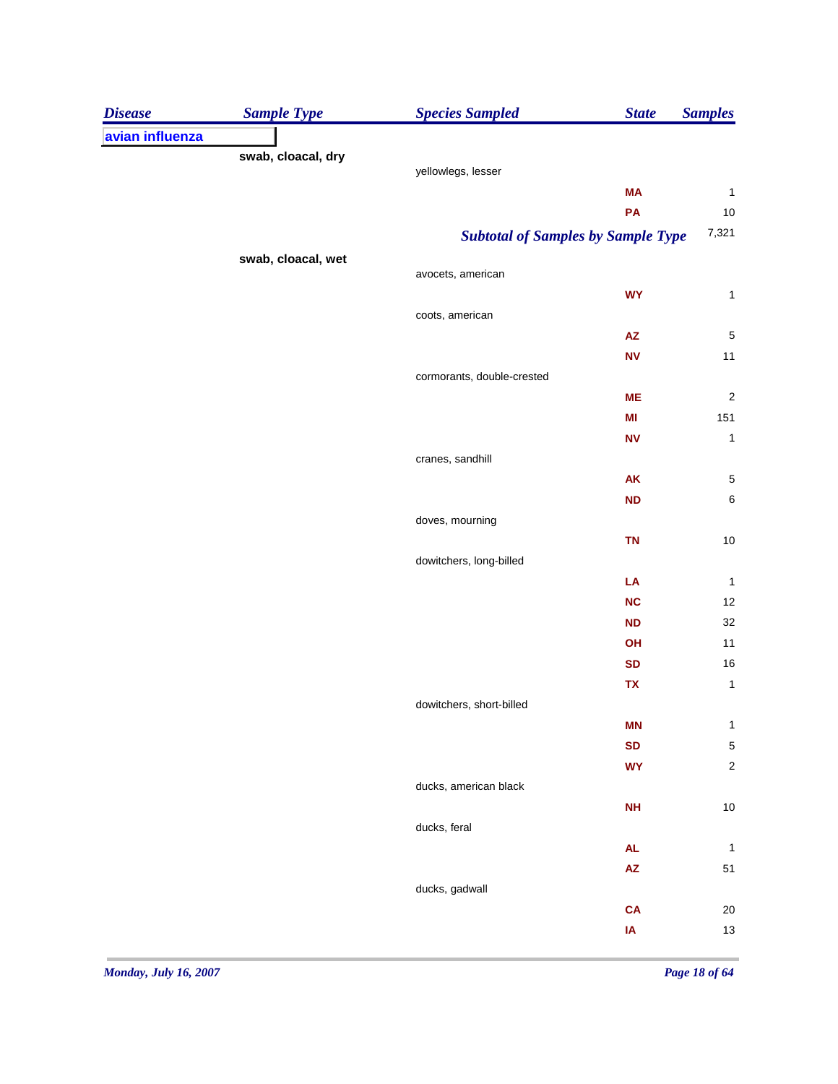| <b>Disease</b>  | <b>Sample Type</b> | <b>Species Sampled</b>     | <b>State</b>                              | <b>Samples</b>          |
|-----------------|--------------------|----------------------------|-------------------------------------------|-------------------------|
| avian influenza |                    |                            |                                           |                         |
|                 | swab, cloacal, dry |                            |                                           |                         |
|                 |                    | yellowlegs, lesser         |                                           |                         |
|                 |                    |                            | <b>MA</b>                                 | $\mathbf{1}$            |
|                 |                    |                            | PA                                        | $10$<br>7,321           |
|                 |                    |                            | <b>Subtotal of Samples by Sample Type</b> |                         |
|                 | swab, cloacal, wet | avocets, american          |                                           |                         |
|                 |                    |                            | <b>WY</b>                                 | $\mathbf{1}$            |
|                 |                    | coots, american            |                                           |                         |
|                 |                    |                            | $\mathsf{A}\mathsf{Z}$                    | $\overline{\mathbf{5}}$ |
|                 |                    |                            | <b>NV</b>                                 | $11$                    |
|                 |                    | cormorants, double-crested |                                           |                         |
|                 |                    |                            | <b>ME</b>                                 | $\overline{\mathbf{c}}$ |
|                 |                    |                            | MI                                        | 151                     |
|                 |                    |                            | <b>NV</b>                                 | $\mathbf 1$             |
|                 |                    | cranes, sandhill           |                                           |                         |
|                 |                    |                            | AK                                        | $\mathbf 5$             |
|                 |                    |                            | <b>ND</b>                                 | $\,6\,$                 |
|                 |                    | doves, mourning            |                                           |                         |
|                 |                    |                            | <b>TN</b>                                 | $10$                    |
|                 |                    | dowitchers, long-billed    |                                           |                         |
|                 |                    |                            | LA                                        | $\mathbf{1}$            |
|                 |                    |                            | NC<br><b>ND</b>                           | 12<br>32                |
|                 |                    |                            | OH                                        | 11                      |
|                 |                    |                            | <b>SD</b>                                 | 16                      |
|                 |                    |                            | TX                                        | $\mathbf{1}$            |
|                 |                    | dowitchers, short-billed   |                                           |                         |
|                 |                    |                            | <b>MN</b>                                 | $\mathbf{1}$            |
|                 |                    |                            | <b>SD</b>                                 | 5                       |
|                 |                    |                            | <b>WY</b>                                 | $\sqrt{2}$              |
|                 |                    | ducks, american black      |                                           |                         |
|                 |                    |                            | <b>NH</b>                                 | $10$                    |
|                 |                    | ducks, feral               |                                           |                         |
|                 |                    |                            | <b>AL</b>                                 | $\mathbf{1}$            |
|                 |                    |                            | $\mathsf{A}\mathsf{Z}$                    | 51                      |
|                 |                    | ducks, gadwall             |                                           |                         |
|                 |                    |                            | CA                                        | $20\,$                  |
|                 |                    |                            | IA                                        | $13$                    |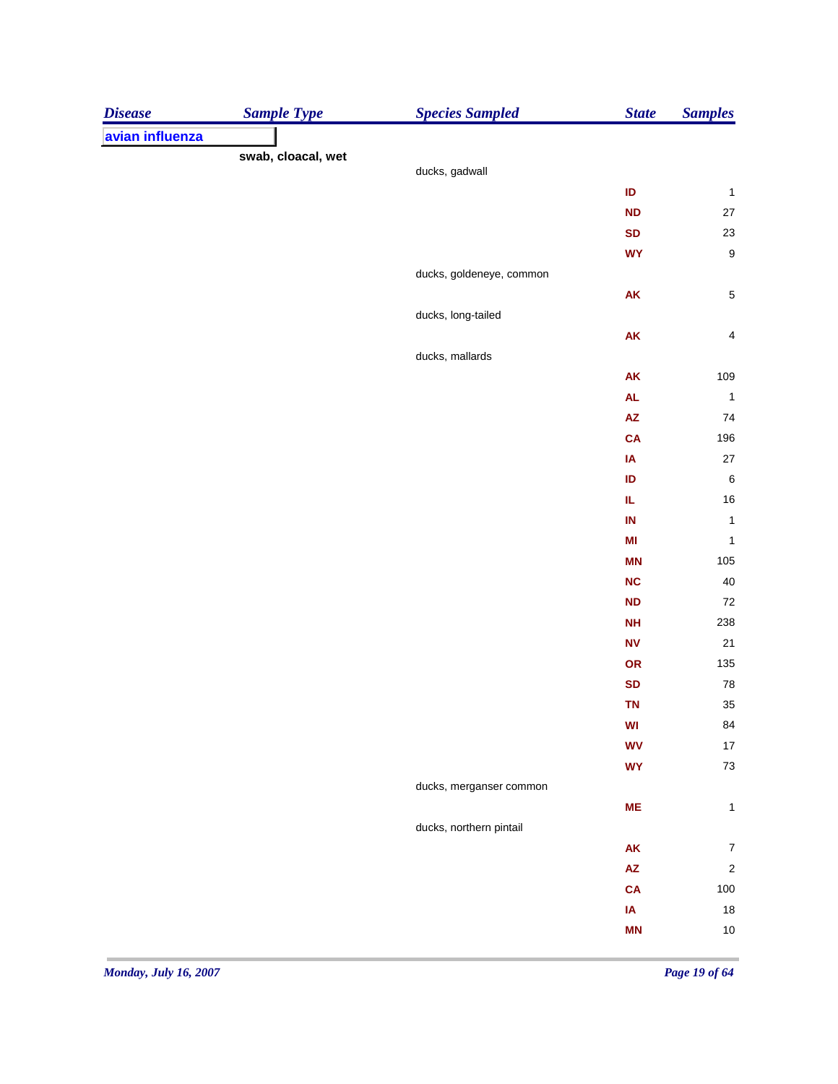| <b>Disease</b>  | <b>Sample Type</b> | <b>Species Sampled</b>   | <b>State</b>   | <b>Samples</b>          |
|-----------------|--------------------|--------------------------|----------------|-------------------------|
| avian influenza |                    |                          |                |                         |
|                 | swab, cloacal, wet |                          |                |                         |
|                 |                    | ducks, gadwall           |                |                         |
|                 |                    |                          | ID             | $\mathbf{1}$            |
|                 |                    |                          | <b>ND</b>      | $27\,$                  |
|                 |                    |                          | <b>SD</b>      | $23\,$                  |
|                 |                    |                          | <b>WY</b>      | $\boldsymbol{9}$        |
|                 |                    | ducks, goldeneye, common |                |                         |
|                 |                    | ducks, long-tailed       | ${\sf AK}$     | $\,$ 5 $\,$             |
|                 |                    |                          |                | $\overline{\mathbf{4}}$ |
|                 |                    | ducks, mallards          | ${\sf AK}$     |                         |
|                 |                    |                          | AK             | 109                     |
|                 |                    |                          | AL             | $\overline{1}$          |
|                 |                    |                          | ${\sf AZ}$     | 74                      |
|                 |                    |                          | <b>CA</b>      | 196                     |
|                 |                    |                          | IA             | 27                      |
|                 |                    |                          | ID             | $\,6\,$                 |
|                 |                    |                          | IL.            | $16\,$                  |
|                 |                    |                          | IN             | $\mathbf{1}$            |
|                 |                    |                          | M <sub>l</sub> | $\mathbf{1}$            |
|                 |                    |                          | <b>MN</b>      | 105                     |
|                 |                    |                          | <b>NC</b>      | 40                      |
|                 |                    |                          | <b>ND</b>      | $72\,$                  |
|                 |                    |                          | <b>NH</b>      | 238                     |
|                 |                    |                          | <b>NV</b>      | 21                      |
|                 |                    |                          | OR             | 135                     |
|                 |                    |                          | <b>SD</b>      | ${\bf 78}$              |
|                 |                    |                          | <b>TN</b>      | 35                      |
|                 |                    |                          | WI             | 84                      |
|                 |                    |                          | <b>WV</b>      | $17\,$                  |
|                 |                    |                          | <b>WY</b>      | $73\,$                  |
|                 |                    | ducks, merganser common  |                |                         |
|                 |                    |                          | ME             | $\mathbf{1}$            |
|                 |                    | ducks, northern pintail  |                |                         |
|                 |                    |                          | ${\sf AK}$     | $\boldsymbol{7}$        |
|                 |                    |                          | ${\sf AZ}$     | $\sqrt{2}$              |
|                 |                    |                          | <b>CA</b>      | 100                     |
|                 |                    |                          | IA             | $18\,$                  |
|                 |                    |                          | <b>MN</b>      | $10\,$                  |
|                 |                    |                          |                |                         |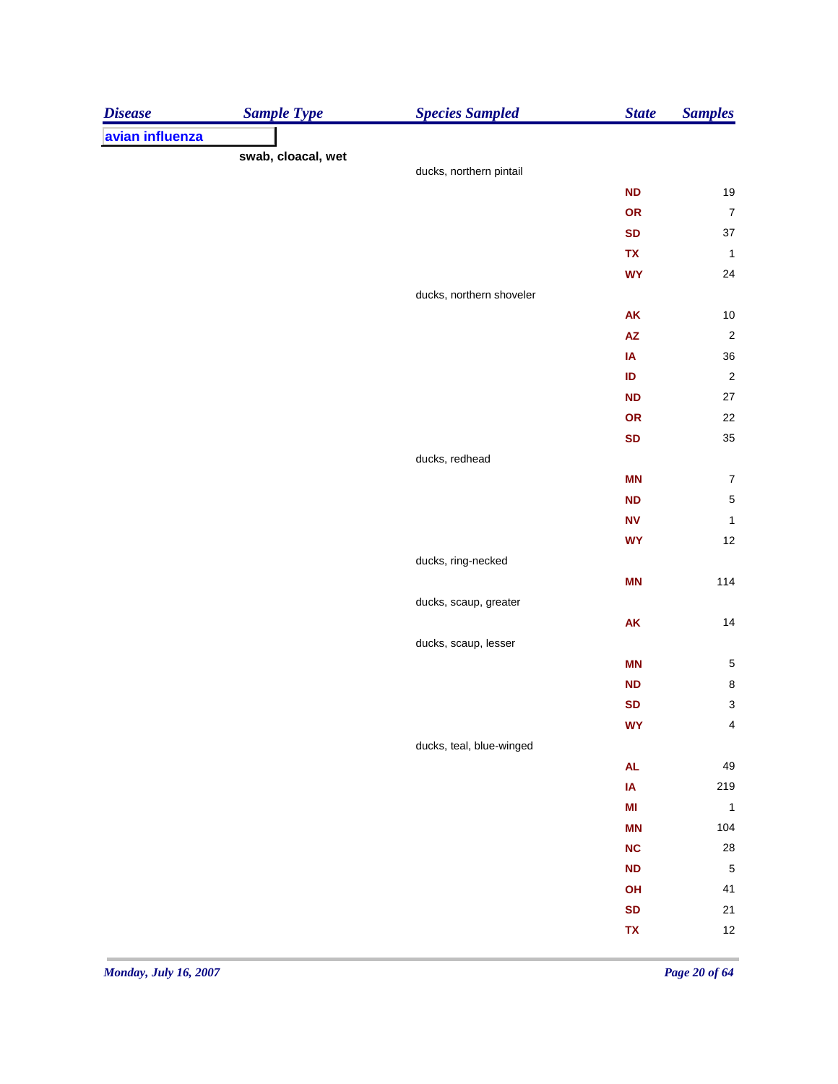| <b>Disease</b>  | <b>Sample Type</b> | <b>Species Sampled</b>   | <b>State</b>                  | <b>Samples</b>          |
|-----------------|--------------------|--------------------------|-------------------------------|-------------------------|
| avian influenza |                    |                          |                               |                         |
|                 | swab, cloacal, wet |                          |                               |                         |
|                 |                    | ducks, northern pintail  |                               |                         |
|                 |                    |                          | <b>ND</b>                     | 19                      |
|                 |                    |                          | OR                            | $\boldsymbol{7}$        |
|                 |                    |                          | <b>SD</b>                     | 37                      |
|                 |                    |                          | TX                            | $\mathbf{1}$            |
|                 |                    |                          | <b>WY</b>                     | 24                      |
|                 |                    | ducks, northern shoveler |                               |                         |
|                 |                    |                          | <b>AK</b>                     | $10$                    |
|                 |                    |                          | $\mathsf{A}\mathsf{Z}$        | $\overline{\mathbf{c}}$ |
|                 |                    |                          | IA                            | 36                      |
|                 |                    |                          | ID                            | $\overline{\mathbf{c}}$ |
|                 |                    |                          | <b>ND</b>                     | $27\,$                  |
|                 |                    |                          | OR                            | 22                      |
|                 |                    |                          | <b>SD</b>                     | 35                      |
|                 |                    | ducks, redhead           | <b>MN</b>                     | $\boldsymbol{7}$        |
|                 |                    |                          |                               | $\sqrt{5}$              |
|                 |                    |                          | <b>ND</b><br>${\bf N}{\bf V}$ | $\mathbf{1}$            |
|                 |                    |                          | <b>WY</b>                     | 12                      |
|                 |                    | ducks, ring-necked       |                               |                         |
|                 |                    |                          | <b>MN</b>                     | 114                     |
|                 |                    | ducks, scaup, greater    |                               |                         |
|                 |                    |                          | ${\sf AK}$                    | 14                      |
|                 |                    | ducks, scaup, lesser     |                               |                         |
|                 |                    |                          | <b>MN</b>                     | 5                       |
|                 |                    |                          | <b>ND</b>                     | $\bf8$                  |
|                 |                    |                          | <b>SD</b>                     | $\mathbf{3}$            |
|                 |                    |                          | <b>WY</b>                     | 4                       |
|                 |                    | ducks, teal, blue-winged |                               |                         |
|                 |                    |                          | <b>AL</b>                     | 49                      |
|                 |                    |                          | IA                            | 219                     |
|                 |                    |                          | M <sub>l</sub>                | $\mathbf{1}$            |
|                 |                    |                          | <b>MN</b>                     | 104                     |
|                 |                    |                          | <b>NC</b>                     | 28                      |
|                 |                    |                          | <b>ND</b>                     | $\sqrt{5}$              |
|                 |                    |                          | OH                            | 41                      |
|                 |                    |                          | <b>SD</b>                     | 21                      |
|                 |                    |                          | TX                            | 12                      |
|                 |                    |                          |                               |                         |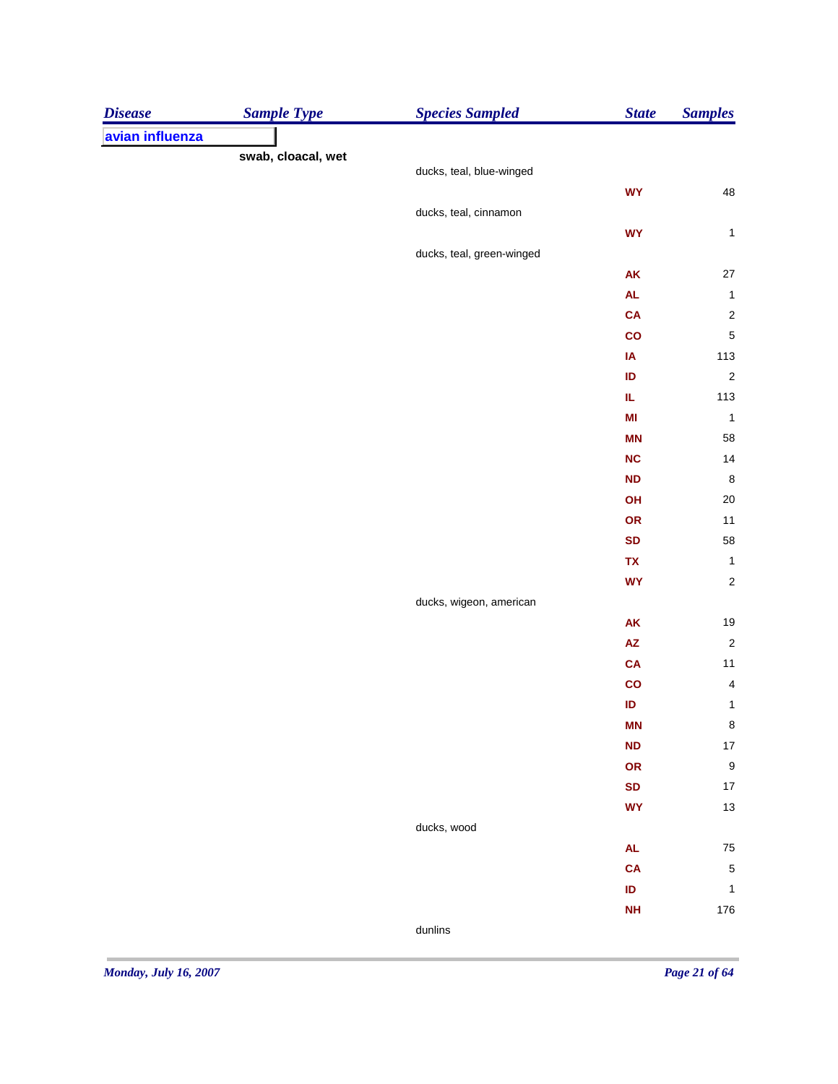| <b>Disease</b>  | <b>Sample Type</b> | <b>Species Sampled</b>    | <b>State</b>           | <b>Samples</b>                 |
|-----------------|--------------------|---------------------------|------------------------|--------------------------------|
| avian influenza |                    |                           |                        |                                |
|                 | swab, cloacal, wet |                           |                        |                                |
|                 |                    | ducks, teal, blue-winged  |                        |                                |
|                 |                    |                           | <b>WY</b>              | ${\bf 48}$                     |
|                 |                    | ducks, teal, cinnamon     |                        |                                |
|                 |                    |                           | <b>WY</b>              | $\mathbf{1}$                   |
|                 |                    | ducks, teal, green-winged |                        |                                |
|                 |                    |                           | <b>AK</b>              | 27                             |
|                 |                    |                           | $\mathsf{AL}$          | $\mathbf{1}$                   |
|                 |                    |                           | <b>CA</b>              | $\overline{\mathbf{c}}$        |
|                 |                    |                           | $\mathbf{co}$          | $\sqrt{5}$                     |
|                 |                    |                           | IA                     | 113                            |
|                 |                    |                           | ID                     | $\overline{c}$                 |
|                 |                    |                           | IL                     | $113$                          |
|                 |                    |                           | MI                     | $\mathbf{1}$                   |
|                 |                    |                           | <b>MN</b>              | 58                             |
|                 |                    |                           | <b>NC</b>              | 14                             |
|                 |                    |                           | <b>ND</b>              | $\,$ 8 $\,$                    |
|                 |                    |                           | OH                     | 20<br>$11$                     |
|                 |                    |                           | OR                     |                                |
|                 |                    |                           | <b>SD</b><br>TX        | 58                             |
|                 |                    |                           | <b>WY</b>              | $\mathbf{1}$<br>$\overline{c}$ |
|                 |                    |                           |                        |                                |
|                 |                    | ducks, wigeon, american   | AK                     |                                |
|                 |                    |                           | $\mathsf{A}\mathsf{Z}$ | 19<br>$\overline{\mathbf{c}}$  |
|                 |                    |                           | <b>CA</b>              | $11$                           |
|                 |                    |                           | $\mathbf{co}$          | $\overline{\mathbf{4}}$        |
|                 |                    |                           | ID                     | $\mathbf{1}$                   |
|                 |                    |                           | <b>MN</b>              | $\bf 8$                        |
|                 |                    |                           | <b>ND</b>              | $17\,$                         |
|                 |                    |                           | OR                     | $\boldsymbol{9}$               |
|                 |                    |                           | <b>SD</b>              | $17$                           |
|                 |                    |                           | <b>WY</b>              | $13\,$                         |
|                 |                    | ducks, wood               |                        |                                |
|                 |                    |                           | $\mathsf{AL}$          | ${\bf 75}$                     |
|                 |                    |                           | <b>CA</b>              | $\sqrt{5}$                     |
|                 |                    |                           | ID                     | $\mathbf{1}$                   |
|                 |                    |                           | <b>NH</b>              | 176                            |
|                 |                    | dunlins                   |                        |                                |
|                 |                    |                           |                        |                                |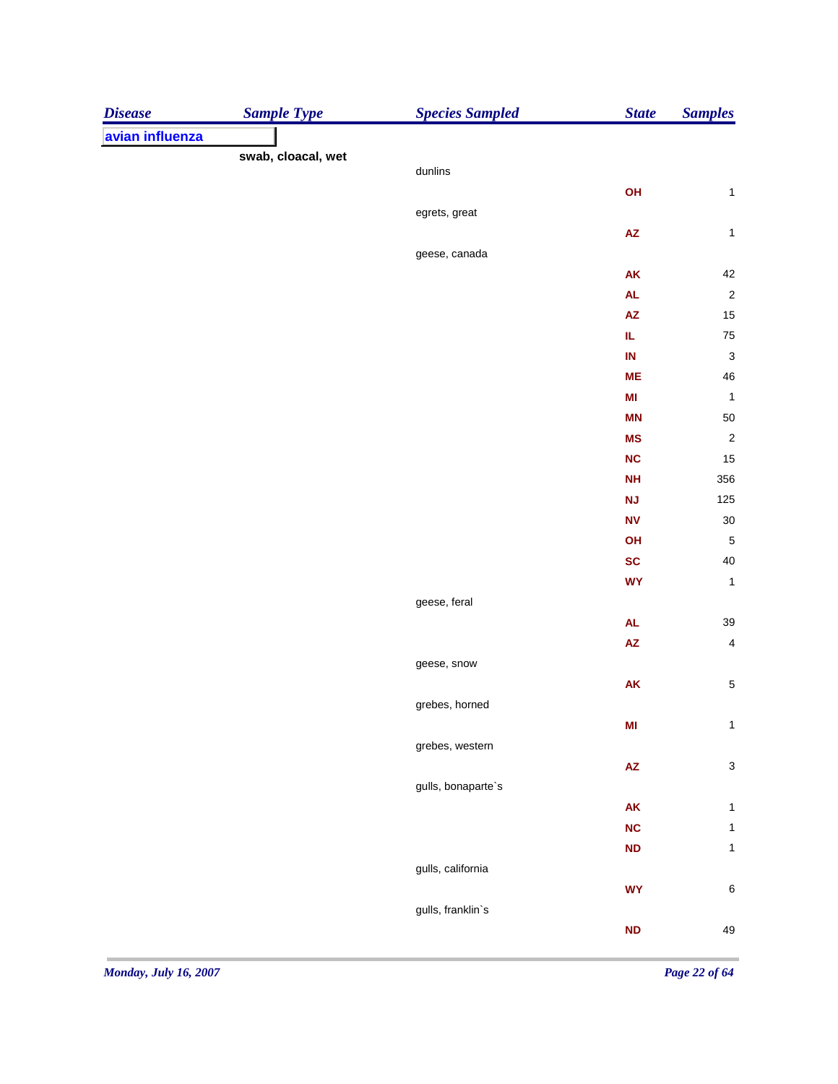| <b>Disease</b>  | <b>Sample Type</b> | <b>Species Sampled</b> | <b>State</b>           | <b>Samples</b>            |
|-----------------|--------------------|------------------------|------------------------|---------------------------|
| avian influenza |                    |                        |                        |                           |
|                 | swab, cloacal, wet |                        |                        |                           |
|                 |                    | dunlins                |                        |                           |
|                 |                    |                        | OH                     | $\mathbf{1}$              |
|                 |                    | egrets, great          |                        |                           |
|                 |                    |                        | $\pmb{\mathsf{AZ}}$    | $\mathbf 1$               |
|                 |                    | geese, canada          | ${\sf AK}$             | 42                        |
|                 |                    |                        | <b>AL</b>              | $\sqrt{2}$                |
|                 |                    |                        | AZ                     | $15\,$                    |
|                 |                    |                        | IL.                    | 75                        |
|                 |                    |                        | $\sf IN$               | $\ensuremath{\mathsf{3}}$ |
|                 |                    |                        | <b>ME</b>              | $\sqrt{46}$               |
|                 |                    |                        | M <sub>l</sub>         | $\overline{1}$            |
|                 |                    |                        | <b>MN</b>              | 50                        |
|                 |                    |                        | <b>MS</b>              | $\sqrt{2}$                |
|                 |                    |                        | NC                     | $15\,$                    |
|                 |                    |                        | <b>NH</b>              | 356                       |
|                 |                    |                        | NJ                     | 125                       |
|                 |                    |                        | ${\bf N}{\bf V}$       | $30\,$                    |
|                 |                    |                        | OH                     | $\sqrt{5}$                |
|                 |                    |                        | SC                     | $40\,$                    |
|                 |                    |                        | <b>WY</b>              | $\mathbf 1$               |
|                 |                    | geese, feral           |                        |                           |
|                 |                    |                        | <b>AL</b>              | 39                        |
|                 |                    |                        | $\pmb{\mathsf{AZ}}$    | $\overline{\mathbf{4}}$   |
|                 |                    | geese, snow            |                        |                           |
|                 |                    |                        | AK                     | $\,$ 5 $\,$               |
|                 |                    | grebes, horned         |                        |                           |
|                 |                    |                        | M <sub>l</sub>         | $\mathbf 1$               |
|                 |                    | grebes, western        |                        |                           |
|                 |                    |                        | $\mathsf{A}\mathsf{Z}$ | $\mathsf 3$               |
|                 |                    | gulls, bonaparte's     |                        |                           |
|                 |                    |                        | AK                     | $\mathbf{1}$              |
|                 |                    |                        | NC                     | $\mathbf{1}$              |
|                 |                    |                        | ND                     | $\mathbf{1}$              |
|                 |                    | gulls, california      |                        |                           |
|                 |                    |                        | <b>WY</b>              | $\,6$                     |
|                 |                    | gulls, franklin's      |                        |                           |
|                 |                    |                        | ND                     | 49                        |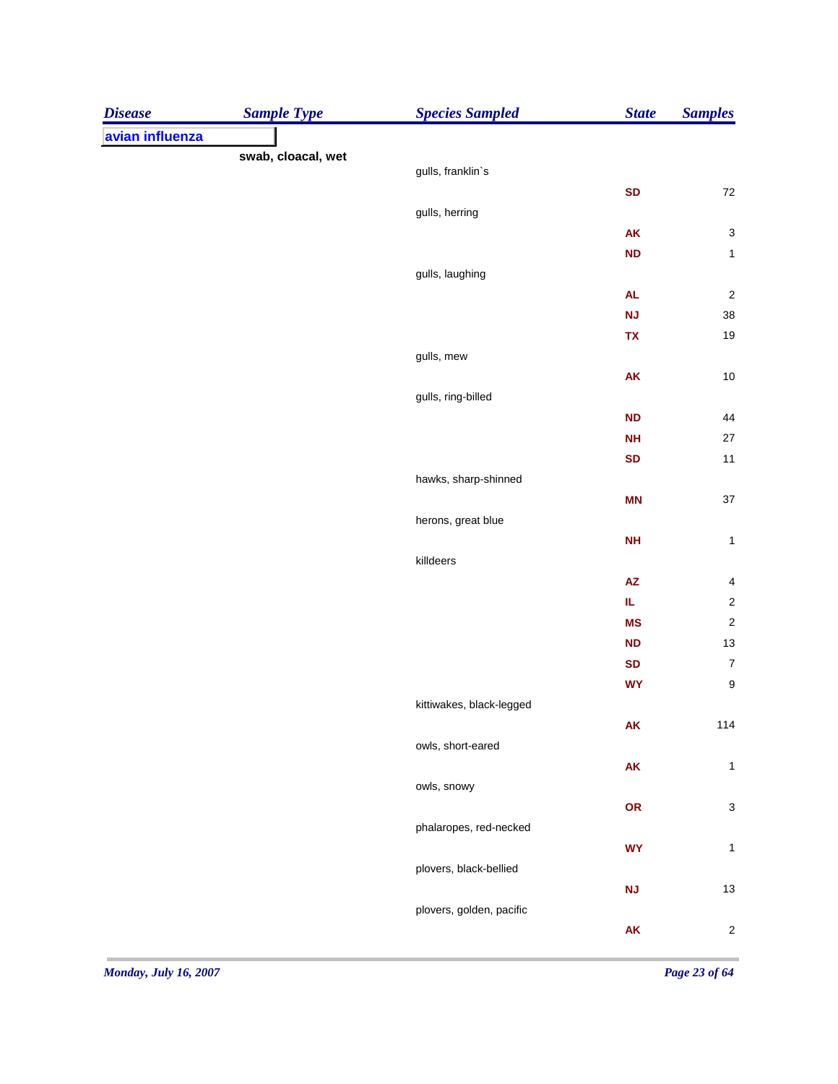| <b>Disease</b>  | <b>Sample Type</b> | <b>Species Sampled</b>   | <b>State</b>           | <b>Samples</b>          |
|-----------------|--------------------|--------------------------|------------------------|-------------------------|
| avian influenza |                    |                          |                        |                         |
|                 | swab, cloacal, wet | gulls, franklin's        |                        |                         |
|                 |                    |                          | <b>SD</b>              | $72\,$                  |
|                 |                    | gulls, herring           |                        |                         |
|                 |                    |                          | ${\sf AK}$             | $\mathbf{3}$            |
|                 |                    |                          | <b>ND</b>              | $\mathbf{1}$            |
|                 |                    | gulls, laughing          |                        |                         |
|                 |                    |                          | <b>AL</b>              | $\overline{\mathbf{c}}$ |
|                 |                    |                          | <b>NJ</b>              | $38\,$                  |
|                 |                    |                          | TX                     | 19                      |
|                 |                    | gulls, mew               |                        |                         |
|                 |                    |                          | AK                     | $10$                    |
|                 |                    | gulls, ring-billed       |                        |                         |
|                 |                    |                          | <b>ND</b>              | 44                      |
|                 |                    |                          | <b>NH</b>              | $27\,$                  |
|                 |                    |                          | <b>SD</b>              | $11$                    |
|                 |                    | hawks, sharp-shinned     |                        |                         |
|                 |                    |                          | <b>MN</b>              | $37\,$                  |
|                 |                    | herons, great blue       |                        |                         |
|                 |                    |                          | <b>NH</b>              | $\mathbf 1$             |
|                 |                    | killdeers                |                        |                         |
|                 |                    |                          | ${\sf AZ}$             | $\overline{\mathbf{4}}$ |
|                 |                    |                          | IL.                    | $\sqrt{2}$              |
|                 |                    |                          | <b>MS</b>              | $\overline{\mathbf{c}}$ |
|                 |                    |                          | <b>ND</b><br><b>SD</b> | 13<br>$\boldsymbol{7}$  |
|                 |                    |                          | <b>WY</b>              | $\boldsymbol{9}$        |
|                 |                    | kittiwakes, black-legged |                        |                         |
|                 |                    |                          | AK                     | 114                     |
|                 |                    | owls, short-eared        |                        |                         |
|                 |                    |                          | AK                     | $\mathbf 1$             |
|                 |                    | owls, snowy              |                        |                         |
|                 |                    |                          | OR                     | $\mathsf 3$             |
|                 |                    | phalaropes, red-necked   |                        |                         |
|                 |                    |                          | <b>WY</b>              | $\mathbf{1}$            |
|                 |                    | plovers, black-bellied   |                        |                         |
|                 |                    |                          | <b>NJ</b>              | $13$                    |
|                 |                    | plovers, golden, pacific |                        |                         |
|                 |                    |                          | ${\sf AK}$             | $\sqrt{2}$              |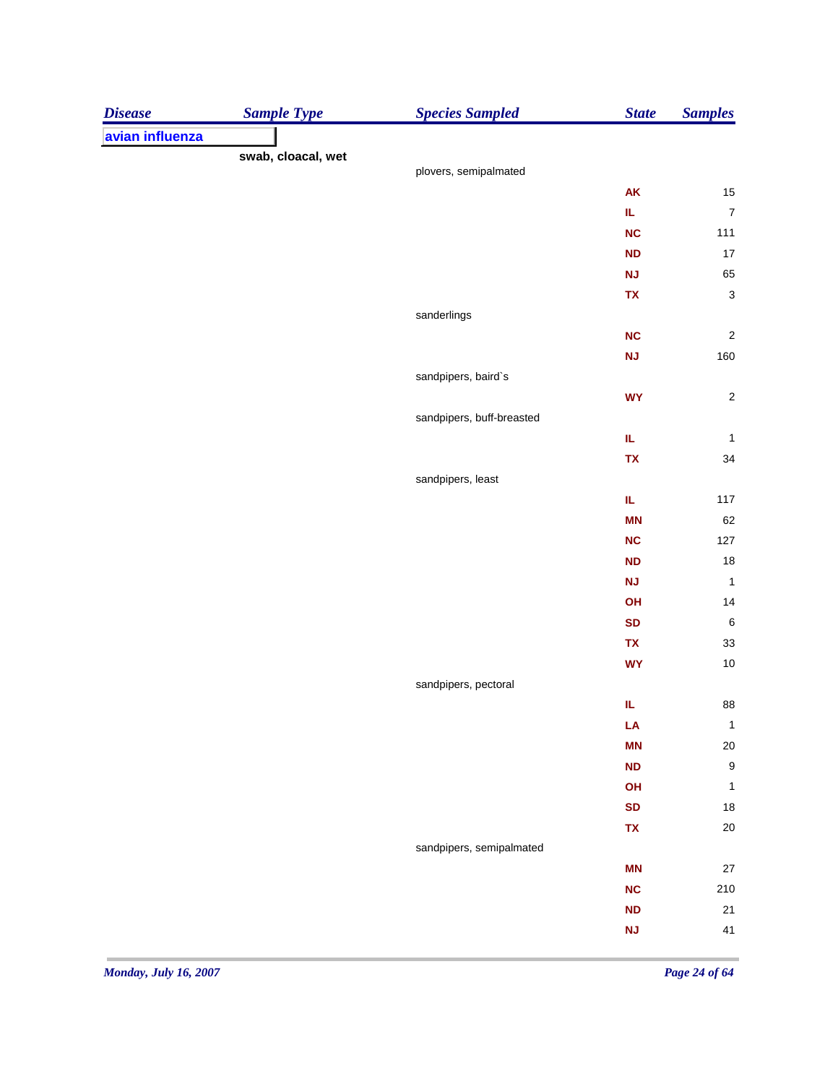| <b>Disease</b>  | <b>Sample Type</b> | <b>Species Sampled</b>    | <b>State</b> | <b>Samples</b>         |
|-----------------|--------------------|---------------------------|--------------|------------------------|
| avian influenza |                    |                           |              |                        |
|                 | swab, cloacal, wet |                           |              |                        |
|                 |                    | plovers, semipalmated     |              |                        |
|                 |                    |                           | AK<br>IL.    | 15<br>$\boldsymbol{7}$ |
|                 |                    |                           | <b>NC</b>    | 111                    |
|                 |                    |                           | <b>ND</b>    | 17                     |
|                 |                    |                           |              |                        |
|                 |                    |                           | <b>NJ</b>    | 65                     |
|                 |                    | sanderlings               | TX           | $\mathbf{3}$           |
|                 |                    |                           | <b>NC</b>    | $\sqrt{2}$             |
|                 |                    |                           | <b>NJ</b>    | 160                    |
|                 |                    | sandpipers, baird's       |              |                        |
|                 |                    |                           | <b>WY</b>    | $\sqrt{2}$             |
|                 |                    | sandpipers, buff-breasted |              |                        |
|                 |                    |                           | IL.          | $\mathbf{1}$           |
|                 |                    |                           | <b>TX</b>    | 34                     |
|                 |                    | sandpipers, least         |              |                        |
|                 |                    |                           | IL.          | 117                    |
|                 |                    |                           | <b>MN</b>    | 62                     |
|                 |                    |                           | <b>NC</b>    | 127                    |
|                 |                    |                           | <b>ND</b>    | 18                     |
|                 |                    |                           | <b>NJ</b>    | $\mathbf{1}$           |
|                 |                    |                           | OH           | 14                     |
|                 |                    |                           | <b>SD</b>    | $\,6\,$                |
|                 |                    |                           | TX           | 33                     |
|                 |                    |                           | <b>WY</b>    | 10                     |
|                 |                    | sandpipers, pectoral      |              |                        |
|                 |                    |                           | IL           | 88                     |
|                 |                    |                           | LA           | $\mathbf 1$            |
|                 |                    |                           | <b>MN</b>    | 20                     |
|                 |                    |                           | <b>ND</b>    | $\boldsymbol{9}$       |
|                 |                    |                           | OH           | $\mathbf{1}$           |
|                 |                    |                           | <b>SD</b>    | 18                     |
|                 |                    |                           | TX           | 20                     |
|                 |                    | sandpipers, semipalmated  |              |                        |
|                 |                    |                           | <b>MN</b>    | 27                     |
|                 |                    |                           | <b>NC</b>    | 210                    |
|                 |                    |                           | <b>ND</b>    | $21$                   |
|                 |                    |                           | <b>NJ</b>    | 41                     |
|                 |                    |                           |              |                        |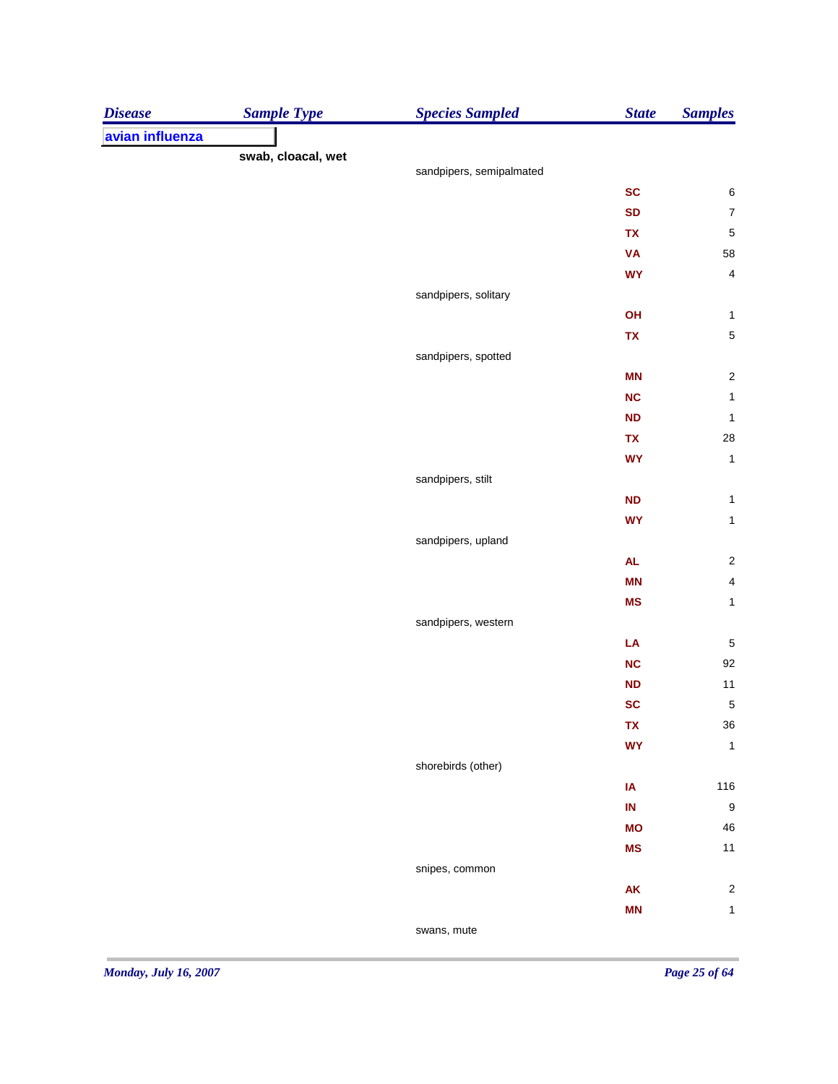| <b>Disease</b>  | <b>Sample Type</b> | <b>Species Sampled</b>   | <b>State</b> | <b>Samples</b>          |
|-----------------|--------------------|--------------------------|--------------|-------------------------|
| avian influenza |                    |                          |              |                         |
|                 | swab, cloacal, wet | sandpipers, semipalmated |              |                         |
|                 |                    |                          | <b>SC</b>    | 6                       |
|                 |                    |                          | <b>SD</b>    | $\boldsymbol{7}$        |
|                 |                    |                          | TX           | $\overline{5}$          |
|                 |                    |                          | <b>VA</b>    | 58                      |
|                 |                    |                          | <b>WY</b>    | $\overline{\mathbf{4}}$ |
|                 |                    | sandpipers, solitary     |              |                         |
|                 |                    |                          | OH           | $\mathbf{1}$            |
|                 |                    |                          | TX           | $\,$ 5 $\,$             |
|                 |                    | sandpipers, spotted      |              |                         |
|                 |                    |                          | <b>MN</b>    | $\overline{\mathbf{c}}$ |
|                 |                    |                          | <b>NC</b>    | $\mathbf{1}$            |
|                 |                    |                          | <b>ND</b>    | $\mathbf{1}$            |
|                 |                    |                          | TX           | 28                      |
|                 |                    |                          | <b>WY</b>    | $\mathbf{1}$            |
|                 |                    | sandpipers, stilt        |              |                         |
|                 |                    |                          | <b>ND</b>    | $\mathbf{1}$            |
|                 |                    |                          | <b>WY</b>    | $\mathbf{1}$            |
|                 |                    | sandpipers, upland       |              |                         |
|                 |                    |                          | ${\sf AL}$   | $\sqrt{2}$              |
|                 |                    |                          | <b>MN</b>    | $\overline{\mathbf{4}}$ |
|                 |                    |                          | <b>MS</b>    | $\mathbf{1}$            |
|                 |                    | sandpipers, western      |              |                         |
|                 |                    |                          | LA           | $\sqrt{5}$              |
|                 |                    |                          | <b>NC</b>    | 92                      |
|                 |                    |                          | <b>ND</b>    | $11$                    |
|                 |                    |                          | <b>SC</b>    | $\overline{5}$          |
|                 |                    |                          | TX           | $36\,$                  |
|                 |                    |                          | <b>WY</b>    | $\mathbf{1}$            |
|                 |                    | shorebirds (other)       |              |                         |
|                 |                    |                          | IA           | 116                     |
|                 |                    |                          | IN           | $\boldsymbol{9}$        |
|                 |                    |                          | <b>MO</b>    | ${\bf 46}$              |
|                 |                    |                          | <b>MS</b>    | $11$                    |
|                 |                    | snipes, common           |              |                         |
|                 |                    |                          | AK           | $\sqrt{2}$              |
|                 |                    |                          | <b>MN</b>    | $\mathbf{1}$            |
|                 |                    | swans, mute              |              |                         |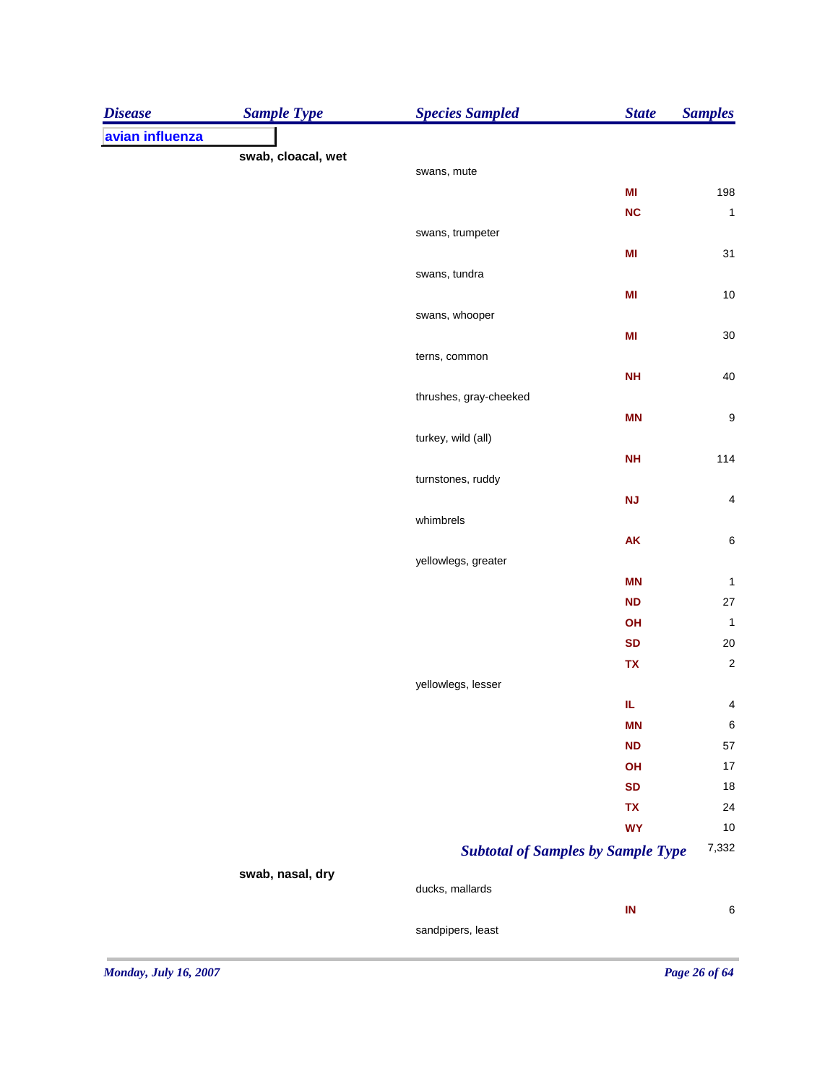| <b>Disease</b>  | <b>Sample Type</b> | <b>Species Sampled</b> | <b>State</b>                              | <b>Samples</b>   |
|-----------------|--------------------|------------------------|-------------------------------------------|------------------|
| avian influenza |                    |                        |                                           |                  |
|                 | swab, cloacal, wet |                        |                                           |                  |
|                 |                    | swans, mute            |                                           |                  |
|                 |                    |                        | M <sub>l</sub>                            | 198              |
|                 |                    |                        | NC                                        | $\mathbf{1}$     |
|                 |                    | swans, trumpeter       |                                           | 31               |
|                 |                    |                        | MI                                        |                  |
|                 |                    | swans, tundra          | MI                                        | 10               |
|                 |                    | swans, whooper         |                                           |                  |
|                 |                    |                        | MI                                        | 30               |
|                 |                    | terns, common          |                                           |                  |
|                 |                    |                        | <b>NH</b>                                 | 40               |
|                 |                    | thrushes, gray-cheeked |                                           |                  |
|                 |                    |                        | <b>MN</b>                                 | 9                |
|                 |                    | turkey, wild (all)     |                                           |                  |
|                 |                    |                        | <b>NH</b>                                 | 114              |
|                 |                    | turnstones, ruddy      |                                           |                  |
|                 |                    |                        | <b>NJ</b>                                 | 4                |
|                 |                    | whimbrels              |                                           |                  |
|                 |                    |                        | AK                                        | 6                |
|                 |                    | yellowlegs, greater    |                                           |                  |
|                 |                    |                        | <b>MN</b>                                 | $\mathbf{1}$     |
|                 |                    |                        | <b>ND</b>                                 | 27               |
|                 |                    |                        | OH                                        | 1                |
|                 |                    |                        | <b>SD</b>                                 | 20               |
|                 |                    |                        | TX                                        | $\overline{c}$   |
|                 |                    | yellowlegs, lesser     |                                           |                  |
|                 |                    |                        | IL.                                       | 4                |
|                 |                    |                        | <b>MN</b>                                 | $\boldsymbol{6}$ |
|                 |                    |                        | <b>ND</b>                                 | 57               |
|                 |                    |                        | OH                                        | 17               |
|                 |                    |                        | <b>SD</b>                                 | 18               |
|                 |                    |                        | TX                                        | 24               |
|                 |                    |                        | <b>WY</b>                                 | 10               |
|                 |                    |                        | <b>Subtotal of Samples by Sample Type</b> | 7,332            |
|                 | swab, nasal, dry   |                        |                                           |                  |
|                 |                    | ducks, mallards        |                                           |                  |
|                 |                    |                        | IN                                        | 6                |
|                 |                    | sandpipers, least      |                                           |                  |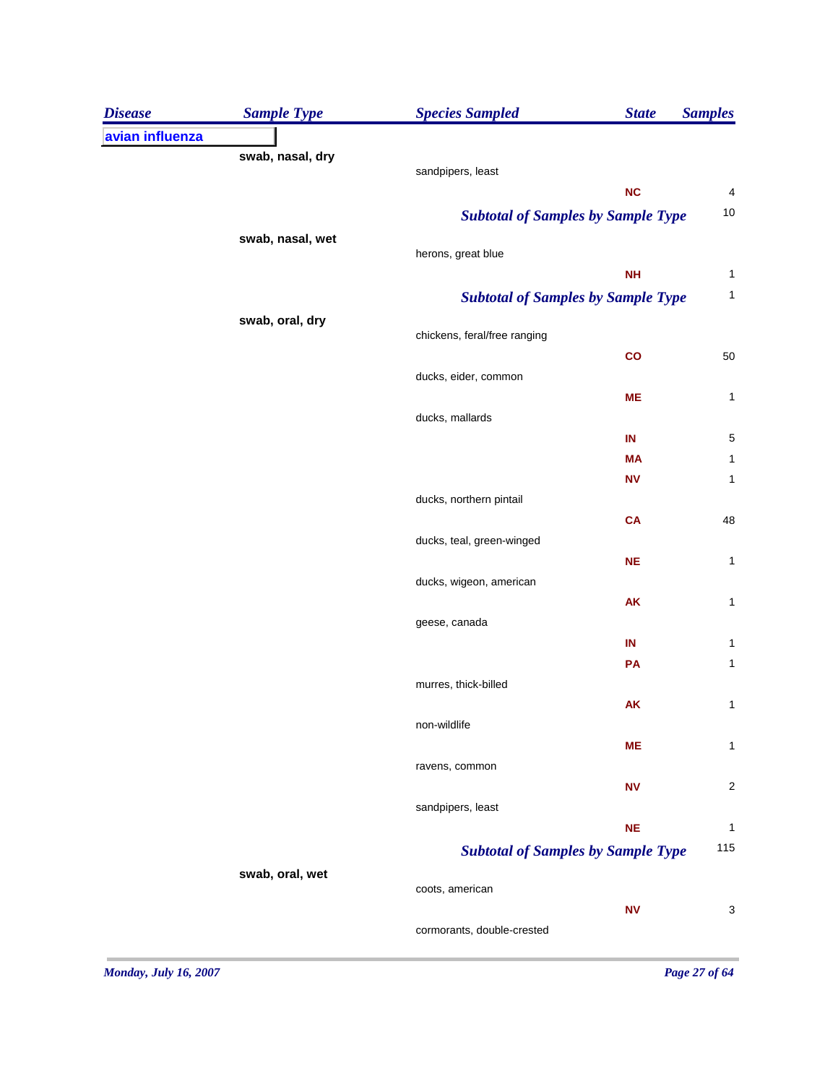| <b>Disease</b>  | <b>Sample Type</b> | <b>Species Sampled</b>                    | <b>State</b> | <b>Samples</b> |
|-----------------|--------------------|-------------------------------------------|--------------|----------------|
| avian influenza |                    |                                           |              |                |
|                 | swab, nasal, dry   |                                           |              |                |
|                 |                    | sandpipers, least                         |              |                |
|                 |                    |                                           | NC           | 4<br>10        |
|                 |                    | <b>Subtotal of Samples by Sample Type</b> |              |                |
|                 | swab, nasal, wet   | herons, great blue                        |              |                |
|                 |                    |                                           | <b>NH</b>    | 1              |
|                 |                    | <b>Subtotal of Samples by Sample Type</b> |              | 1              |
|                 | swab, oral, dry    |                                           |              |                |
|                 |                    | chickens, feral/free ranging              |              |                |
|                 |                    |                                           | co           | 50             |
|                 |                    | ducks, eider, common                      |              |                |
|                 |                    |                                           | <b>ME</b>    | 1              |
|                 |                    | ducks, mallards                           |              |                |
|                 |                    |                                           | IN           | 5              |
|                 |                    |                                           | ΜA           | 1              |
|                 |                    |                                           | <b>NV</b>    | 1              |
|                 |                    | ducks, northern pintail                   |              |                |
|                 |                    |                                           | <b>CA</b>    | 48             |
|                 |                    | ducks, teal, green-winged                 |              |                |
|                 |                    | ducks, wigeon, american                   | <b>NE</b>    | 1              |
|                 |                    |                                           | AK           | 1              |
|                 |                    | geese, canada                             |              |                |
|                 |                    |                                           | IN           | 1              |
|                 |                    |                                           | PA           | 1              |
|                 |                    | murres, thick-billed                      |              |                |
|                 |                    |                                           | <b>AK</b>    | 1              |
|                 |                    | non-wildlife                              |              |                |
|                 |                    |                                           | <b>ME</b>    | 1              |
|                 |                    | ravens, common                            |              |                |
|                 |                    |                                           | <b>NV</b>    | $\overline{a}$ |
|                 |                    | sandpipers, least                         |              |                |
|                 |                    |                                           | <b>NE</b>    | 1              |
|                 |                    | <b>Subtotal of Samples by Sample Type</b> |              | 115            |
|                 | swab, oral, wet    |                                           |              |                |
|                 |                    | coots, american                           |              |                |
|                 |                    | cormorants, double-crested                | <b>NV</b>    | 3              |
|                 |                    |                                           |              |                |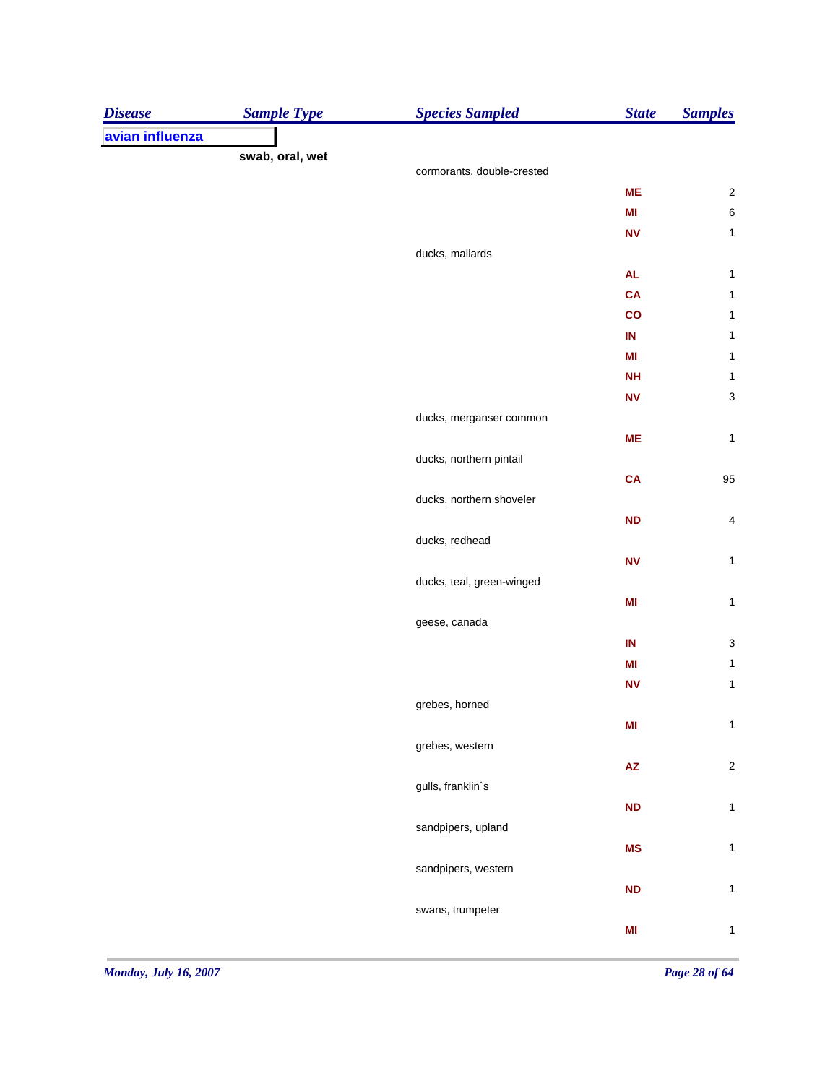| <b>Disease</b>  | <b>Sample Type</b> | <b>Species Sampled</b>     | <b>State</b>           | <b>Samples</b>            |
|-----------------|--------------------|----------------------------|------------------------|---------------------------|
| avian influenza |                    |                            |                        |                           |
|                 | swab, oral, wet    | cormorants, double-crested |                        |                           |
|                 |                    |                            | <b>ME</b>              | $\sqrt{2}$                |
|                 |                    |                            | MI                     | $\,6\,$                   |
|                 |                    |                            | <b>NV</b>              | $\mathbf{1}$              |
|                 |                    | ducks, mallards            |                        |                           |
|                 |                    |                            | <b>AL</b>              | $\mathbf{1}$              |
|                 |                    |                            | <b>CA</b>              | $\mathbf 1$               |
|                 |                    |                            | $\mathsf{co}$          | $\mathbf 1$               |
|                 |                    |                            | IN                     | $\mathbf 1$               |
|                 |                    |                            | MI                     | $\mathbf{1}$              |
|                 |                    |                            | <b>NH</b>              | $\mathbf{1}$              |
|                 |                    |                            | <b>NV</b>              | $\ensuremath{\mathsf{3}}$ |
|                 |                    | ducks, merganser common    |                        |                           |
|                 |                    |                            | <b>ME</b>              | $\mathbf{1}$              |
|                 |                    | ducks, northern pintail    |                        |                           |
|                 |                    |                            | <b>CA</b>              | 95                        |
|                 |                    | ducks, northern shoveler   |                        |                           |
|                 |                    |                            | <b>ND</b>              | $\sqrt{4}$                |
|                 |                    | ducks, redhead             |                        |                           |
|                 |                    |                            | <b>NV</b>              | $\mathbf{1}$              |
|                 |                    | ducks, teal, green-winged  |                        |                           |
|                 |                    |                            | MI                     | $\mathbf{1}$              |
|                 |                    | geese, canada              |                        |                           |
|                 |                    |                            | IN                     | $\ensuremath{\mathsf{3}}$ |
|                 |                    |                            | MI                     | $\mathbf{1}$              |
|                 |                    |                            | <b>NV</b>              | $\mathbf{1}$              |
|                 |                    | grebes, horned             |                        |                           |
|                 |                    |                            | M <sub>l</sub>         | $\mathbf{1}$              |
|                 |                    | grebes, western            |                        |                           |
|                 |                    |                            | $\mathsf{A}\mathsf{Z}$ | $\sqrt{2}$                |
|                 |                    | gulls, franklin's          |                        |                           |
|                 |                    |                            | ND                     | $\mathbf{1}$              |
|                 |                    | sandpipers, upland         |                        |                           |
|                 |                    |                            | <b>MS</b>              | $\mathbf{1}$              |
|                 |                    | sandpipers, western        |                        |                           |
|                 |                    |                            | <b>ND</b>              | $\mathbf{1}$              |
|                 |                    | swans, trumpeter           |                        |                           |
|                 |                    |                            | MI                     | $\mathbf{1}$              |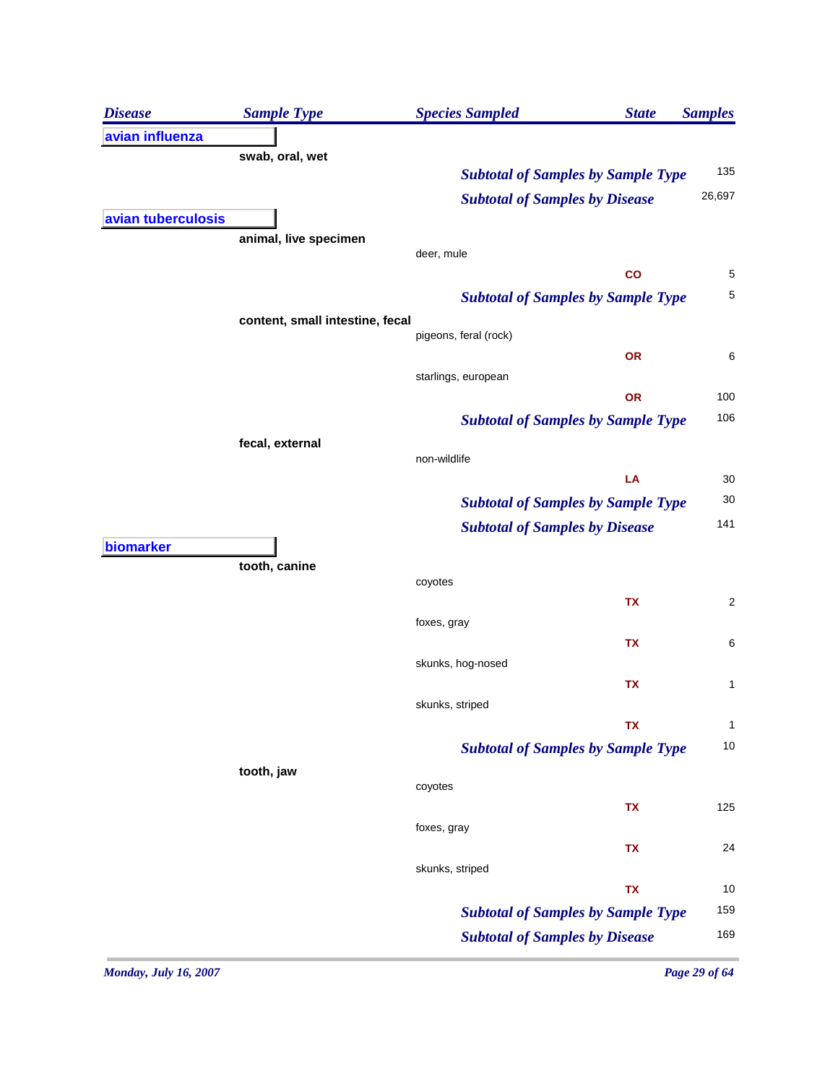| <b>Disease</b>     | <b>Sample Type</b>              | <b>Species Sampled</b>                    | <b>State</b> | <b>Samples</b>          |
|--------------------|---------------------------------|-------------------------------------------|--------------|-------------------------|
| avian influenza    |                                 |                                           |              |                         |
|                    | swab, oral, wet                 |                                           |              |                         |
|                    |                                 | <b>Subtotal of Samples by Sample Type</b> |              | 135                     |
|                    |                                 | <b>Subtotal of Samples by Disease</b>     |              | 26,697                  |
| avian tuberculosis | animal, live specimen           |                                           |              |                         |
|                    |                                 | deer, mule                                |              |                         |
|                    |                                 |                                           | co           | 5                       |
|                    |                                 | <b>Subtotal of Samples by Sample Type</b> |              | 5                       |
|                    | content, small intestine, fecal |                                           |              |                         |
|                    |                                 | pigeons, feral (rock)                     |              |                         |
|                    |                                 |                                           | <b>OR</b>    | 6                       |
|                    |                                 | starlings, european                       |              | 100                     |
|                    |                                 |                                           | OR           | 106                     |
|                    |                                 | <b>Subtotal of Samples by Sample Type</b> |              |                         |
|                    | fecal, external                 | non-wildlife                              |              |                         |
|                    |                                 |                                           | LA           | 30                      |
|                    |                                 | <b>Subtotal of Samples by Sample Type</b> |              | 30                      |
|                    |                                 | <b>Subtotal of Samples by Disease</b>     |              | 141                     |
| biomarker          |                                 |                                           |              |                         |
|                    | tooth, canine                   |                                           |              |                         |
|                    |                                 | coyotes                                   | TX           | $\overline{\mathbf{c}}$ |
|                    |                                 | foxes, gray                               |              |                         |
|                    |                                 |                                           | <b>TX</b>    | 6                       |
|                    |                                 | skunks, hog-nosed                         |              |                         |
|                    |                                 |                                           | TX           | 1                       |
|                    |                                 | skunks, striped                           |              |                         |
|                    |                                 |                                           | <b>TX</b>    | 1                       |
|                    |                                 | <b>Subtotal of Samples by Sample Type</b> |              | 10                      |
|                    | tooth, jaw                      |                                           |              |                         |
|                    |                                 | coyotes                                   |              | 125                     |
|                    |                                 | foxes, gray                               | TX           |                         |
|                    |                                 |                                           | TX           | 24                      |
|                    |                                 | skunks, striped                           |              |                         |
|                    |                                 |                                           | TX           | 10                      |
|                    |                                 | <b>Subtotal of Samples by Sample Type</b> |              | 159                     |
|                    |                                 | <b>Subtotal of Samples by Disease</b>     |              | 169                     |
|                    |                                 |                                           |              |                         |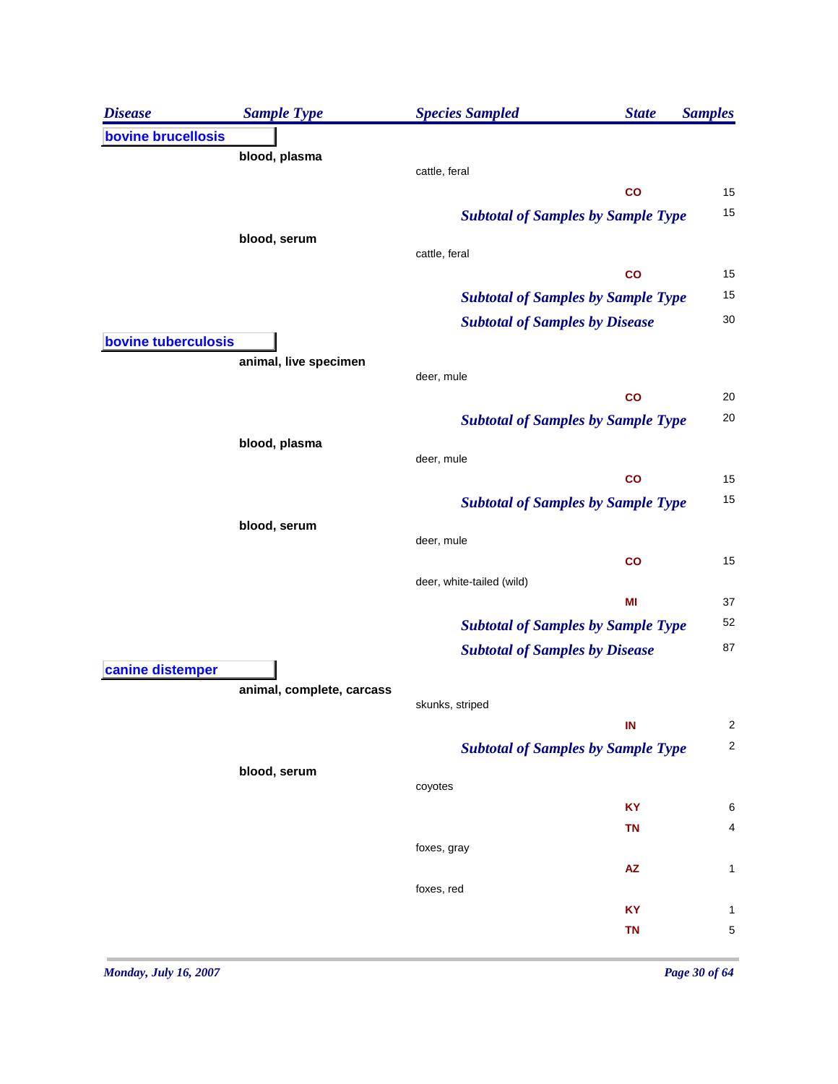| <b>Disease</b>      | <b>Sample Type</b>        | <b>Species Sampled</b>                    | <b>State</b>  | <b>Samples</b> |
|---------------------|---------------------------|-------------------------------------------|---------------|----------------|
| bovine brucellosis  |                           |                                           |               |                |
|                     | blood, plasma             |                                           |               |                |
|                     |                           | cattle, feral                             | co            | 15             |
|                     |                           | <b>Subtotal of Samples by Sample Type</b> |               | 15             |
|                     | blood, serum              |                                           |               |                |
|                     |                           | cattle, feral                             |               |                |
|                     |                           |                                           | co            | 15             |
|                     |                           | <b>Subtotal of Samples by Sample Type</b> |               | 15             |
|                     |                           | <b>Subtotal of Samples by Disease</b>     |               | 30             |
| bovine tuberculosis |                           |                                           |               |                |
|                     | animal, live specimen     | deer, mule                                |               |                |
|                     |                           |                                           | co            | 20             |
|                     |                           | <b>Subtotal of Samples by Sample Type</b> |               | 20             |
|                     | blood, plasma             |                                           |               |                |
|                     |                           | deer, mule                                |               |                |
|                     |                           |                                           | $\mathsf{co}$ | 15             |
|                     |                           | <b>Subtotal of Samples by Sample Type</b> |               | 15             |
|                     | blood, serum              |                                           |               |                |
|                     |                           | deer, mule                                |               |                |
|                     |                           | deer, white-tailed (wild)                 | co            | 15             |
|                     |                           |                                           | MI            | 37             |
|                     |                           | <b>Subtotal of Samples by Sample Type</b> |               | 52             |
|                     |                           | <b>Subtotal of Samples by Disease</b>     |               | 87             |
| canine distemper    |                           |                                           |               |                |
|                     | animal, complete, carcass |                                           |               |                |
|                     |                           | skunks, striped                           |               |                |
|                     |                           |                                           | IN            | 2              |
|                     |                           | <b>Subtotal of Samples by Sample Type</b> |               | 2              |
|                     | blood, serum              | coyotes                                   |               |                |
|                     |                           |                                           | <b>KY</b>     | 6              |
|                     |                           |                                           | <b>TN</b>     | 4              |
|                     |                           | foxes, gray                               |               |                |
|                     |                           |                                           | <b>AZ</b>     | 1              |
|                     |                           | foxes, red                                |               |                |
|                     |                           |                                           | KY            | 1              |
|                     |                           |                                           | <b>TN</b>     | 5              |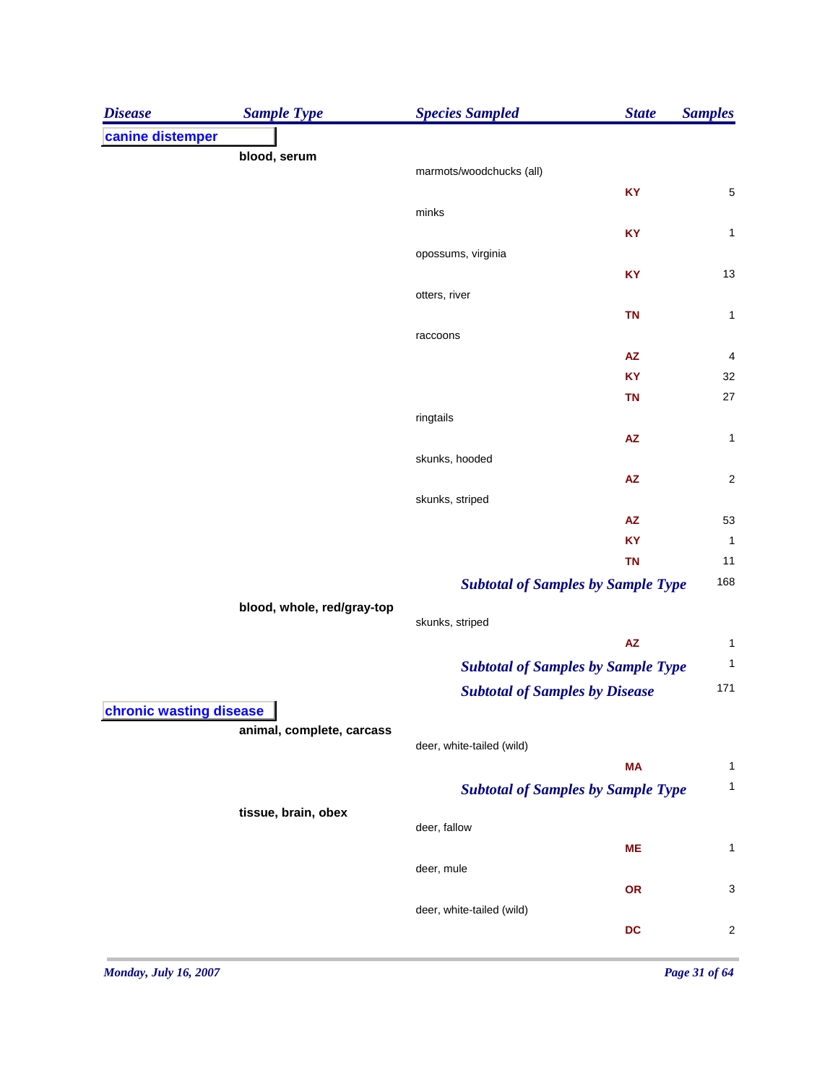| <b>Disease</b>          | <b>Sample Type</b>         | <b>Species Sampled</b>                    | <b>State</b>           | <b>Samples</b>          |
|-------------------------|----------------------------|-------------------------------------------|------------------------|-------------------------|
| canine distemper        |                            |                                           |                        |                         |
|                         | blood, serum               |                                           |                        |                         |
|                         |                            | marmots/woodchucks (all)                  |                        |                         |
|                         |                            | minks                                     | KY                     | 5                       |
|                         |                            |                                           | KY                     | 1                       |
|                         |                            | opossums, virginia                        |                        |                         |
|                         |                            |                                           | KY                     | 13                      |
|                         |                            | otters, river                             |                        |                         |
|                         |                            |                                           | <b>TN</b>              | 1                       |
|                         |                            | raccoons                                  |                        |                         |
|                         |                            |                                           | ${\sf AZ}$             | 4                       |
|                         |                            |                                           | <b>KY</b>              | 32                      |
|                         |                            |                                           | <b>TN</b>              | 27                      |
|                         |                            | ringtails                                 |                        |                         |
|                         |                            |                                           | ${\sf AZ}$             | 1                       |
|                         |                            | skunks, hooded                            |                        |                         |
|                         |                            |                                           | $\mathsf{A}\mathsf{Z}$ | $\overline{\mathbf{c}}$ |
|                         |                            | skunks, striped                           |                        |                         |
|                         |                            |                                           | ${\sf AZ}$             | 53                      |
|                         |                            |                                           | <b>KY</b><br><b>TN</b> | $\mathbf{1}$            |
|                         |                            |                                           |                        | 11<br>168               |
|                         |                            | <b>Subtotal of Samples by Sample Type</b> |                        |                         |
|                         | blood, whole, red/gray-top | skunks, striped                           |                        |                         |
|                         |                            |                                           | AZ                     | 1                       |
|                         |                            | <b>Subtotal of Samples by Sample Type</b> |                        | $\mathbf{1}$            |
|                         |                            | <b>Subtotal of Samples by Disease</b>     |                        | 171                     |
| chronic wasting disease |                            |                                           |                        |                         |
|                         | animal, complete, carcass  |                                           |                        |                         |
|                         |                            | deer, white-tailed (wild)                 |                        |                         |
|                         |                            |                                           | <b>MA</b>              | 1                       |
|                         |                            | <b>Subtotal of Samples by Sample Type</b> |                        | 1                       |
|                         | tissue, brain, obex        |                                           |                        |                         |
|                         |                            | deer, fallow                              |                        |                         |
|                         |                            |                                           | <b>ME</b>              | 1                       |
|                         |                            | deer, mule                                |                        |                         |
|                         |                            |                                           | OR                     | 3                       |
|                         |                            | deer, white-tailed (wild)                 |                        |                         |
|                         |                            |                                           | DC                     | $\overline{\mathbf{c}}$ |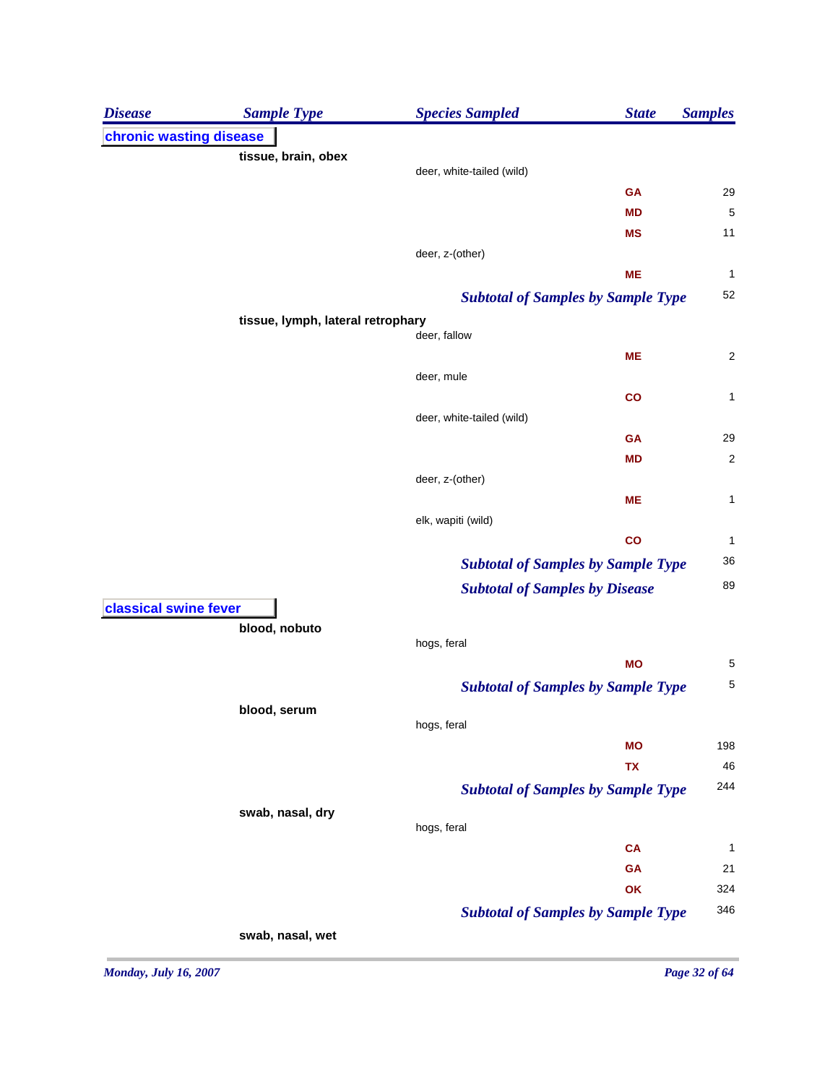| chronic wasting disease<br>tissue, brain, obex<br>deer, white-tailed (wild)<br>29<br><b>GA</b><br>5<br>MD<br>11<br><b>MS</b><br>deer, z-(other)<br><b>ME</b><br>1<br>52<br><b>Subtotal of Samples by Sample Type</b><br>tissue, lymph, lateral retrophary<br>deer, fallow<br><b>ME</b><br>$\overline{\mathbf{c}}$<br>deer, mule<br>1<br>$\mathbf{co}$<br>deer, white-tailed (wild)<br>29<br><b>GA</b><br>$\overline{\mathbf{c}}$<br><b>MD</b><br>deer, z-(other)<br>1<br><b>ME</b><br>elk, wapiti (wild)<br>co<br>1<br>36<br><b>Subtotal of Samples by Sample Type</b><br>89<br><b>Subtotal of Samples by Disease</b><br>classical swine fever<br>blood, nobuto |
|-----------------------------------------------------------------------------------------------------------------------------------------------------------------------------------------------------------------------------------------------------------------------------------------------------------------------------------------------------------------------------------------------------------------------------------------------------------------------------------------------------------------------------------------------------------------------------------------------------------------------------------------------------------------|
|                                                                                                                                                                                                                                                                                                                                                                                                                                                                                                                                                                                                                                                                 |
|                                                                                                                                                                                                                                                                                                                                                                                                                                                                                                                                                                                                                                                                 |
|                                                                                                                                                                                                                                                                                                                                                                                                                                                                                                                                                                                                                                                                 |
|                                                                                                                                                                                                                                                                                                                                                                                                                                                                                                                                                                                                                                                                 |
|                                                                                                                                                                                                                                                                                                                                                                                                                                                                                                                                                                                                                                                                 |
|                                                                                                                                                                                                                                                                                                                                                                                                                                                                                                                                                                                                                                                                 |
|                                                                                                                                                                                                                                                                                                                                                                                                                                                                                                                                                                                                                                                                 |
|                                                                                                                                                                                                                                                                                                                                                                                                                                                                                                                                                                                                                                                                 |
|                                                                                                                                                                                                                                                                                                                                                                                                                                                                                                                                                                                                                                                                 |
|                                                                                                                                                                                                                                                                                                                                                                                                                                                                                                                                                                                                                                                                 |
|                                                                                                                                                                                                                                                                                                                                                                                                                                                                                                                                                                                                                                                                 |
|                                                                                                                                                                                                                                                                                                                                                                                                                                                                                                                                                                                                                                                                 |
|                                                                                                                                                                                                                                                                                                                                                                                                                                                                                                                                                                                                                                                                 |
|                                                                                                                                                                                                                                                                                                                                                                                                                                                                                                                                                                                                                                                                 |
|                                                                                                                                                                                                                                                                                                                                                                                                                                                                                                                                                                                                                                                                 |
|                                                                                                                                                                                                                                                                                                                                                                                                                                                                                                                                                                                                                                                                 |
|                                                                                                                                                                                                                                                                                                                                                                                                                                                                                                                                                                                                                                                                 |
|                                                                                                                                                                                                                                                                                                                                                                                                                                                                                                                                                                                                                                                                 |
|                                                                                                                                                                                                                                                                                                                                                                                                                                                                                                                                                                                                                                                                 |
|                                                                                                                                                                                                                                                                                                                                                                                                                                                                                                                                                                                                                                                                 |
|                                                                                                                                                                                                                                                                                                                                                                                                                                                                                                                                                                                                                                                                 |
|                                                                                                                                                                                                                                                                                                                                                                                                                                                                                                                                                                                                                                                                 |
|                                                                                                                                                                                                                                                                                                                                                                                                                                                                                                                                                                                                                                                                 |
| hogs, feral                                                                                                                                                                                                                                                                                                                                                                                                                                                                                                                                                                                                                                                     |
| <b>MO</b><br>5                                                                                                                                                                                                                                                                                                                                                                                                                                                                                                                                                                                                                                                  |
| 5<br><b>Subtotal of Samples by Sample Type</b>                                                                                                                                                                                                                                                                                                                                                                                                                                                                                                                                                                                                                  |
| blood, serum                                                                                                                                                                                                                                                                                                                                                                                                                                                                                                                                                                                                                                                    |
| hogs, feral                                                                                                                                                                                                                                                                                                                                                                                                                                                                                                                                                                                                                                                     |
| 198<br><b>MO</b>                                                                                                                                                                                                                                                                                                                                                                                                                                                                                                                                                                                                                                                |
| 46<br>TX                                                                                                                                                                                                                                                                                                                                                                                                                                                                                                                                                                                                                                                        |
| 244<br><b>Subtotal of Samples by Sample Type</b>                                                                                                                                                                                                                                                                                                                                                                                                                                                                                                                                                                                                                |
| swab, nasal, dry<br>hogs, feral                                                                                                                                                                                                                                                                                                                                                                                                                                                                                                                                                                                                                                 |
| <b>CA</b><br>1                                                                                                                                                                                                                                                                                                                                                                                                                                                                                                                                                                                                                                                  |
| <b>GA</b><br>21                                                                                                                                                                                                                                                                                                                                                                                                                                                                                                                                                                                                                                                 |
| OK<br>324                                                                                                                                                                                                                                                                                                                                                                                                                                                                                                                                                                                                                                                       |
| 346<br><b>Subtotal of Samples by Sample Type</b>                                                                                                                                                                                                                                                                                                                                                                                                                                                                                                                                                                                                                |
| swab, nasal, wet                                                                                                                                                                                                                                                                                                                                                                                                                                                                                                                                                                                                                                                |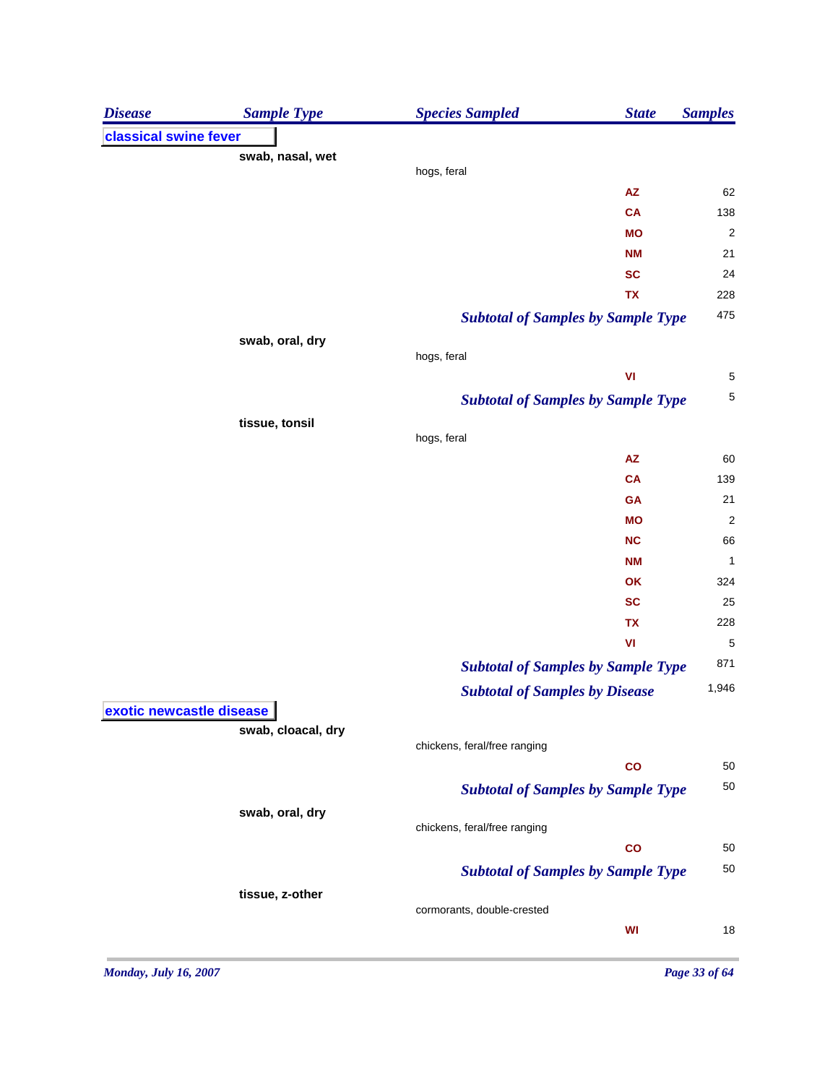| <b>Disease</b>           | <b>Sample Type</b> | <b>Species Sampled</b><br><b>State</b>    | <b>Samples</b>          |
|--------------------------|--------------------|-------------------------------------------|-------------------------|
| classical swine fever    |                    |                                           |                         |
|                          | swab, nasal, wet   |                                           |                         |
|                          |                    | hogs, feral                               |                         |
|                          |                    | ${\sf AZ}$<br>CA                          | 62<br>138               |
|                          |                    | <b>MO</b>                                 | $\overline{\mathbf{c}}$ |
|                          |                    | <b>NM</b>                                 | 21                      |
|                          |                    | <b>SC</b>                                 | 24                      |
|                          |                    | TX                                        | 228                     |
|                          |                    | <b>Subtotal of Samples by Sample Type</b> | 475                     |
|                          |                    |                                           |                         |
|                          | swab, oral, dry    | hogs, feral                               |                         |
|                          |                    | VI                                        | 5                       |
|                          |                    | <b>Subtotal of Samples by Sample Type</b> | $\sqrt{5}$              |
|                          | tissue, tonsil     |                                           |                         |
|                          |                    | hogs, feral                               |                         |
|                          |                    | <b>AZ</b>                                 | 60                      |
|                          |                    | <b>CA</b>                                 | 139                     |
|                          |                    | <b>GA</b>                                 | 21                      |
|                          |                    | <b>MO</b>                                 | $\overline{\mathbf{c}}$ |
|                          |                    | <b>NC</b>                                 | 66                      |
|                          |                    | <b>NM</b>                                 | $\mathbf 1$             |
|                          |                    | OK                                        | 324                     |
|                          |                    | <b>SC</b>                                 | 25                      |
|                          |                    | <b>TX</b>                                 | 228                     |
|                          |                    | VI                                        | 5                       |
|                          |                    | <b>Subtotal of Samples by Sample Type</b> | 871                     |
|                          |                    | <b>Subtotal of Samples by Disease</b>     | 1,946                   |
| exotic newcastle disease |                    |                                           |                         |
|                          | swab, cloacal, dry |                                           |                         |
|                          |                    | chickens, feral/free ranging              |                         |
|                          |                    | $\mathbf{co}$                             | 50                      |
|                          |                    | <b>Subtotal of Samples by Sample Type</b> | 50                      |
|                          | swab, oral, dry    |                                           |                         |
|                          |                    | chickens, feral/free ranging              |                         |
|                          |                    | $\overline{c}$                            | 50                      |
|                          |                    | <b>Subtotal of Samples by Sample Type</b> | 50                      |
|                          | tissue, z-other    |                                           |                         |
|                          |                    | cormorants, double-crested                |                         |
|                          |                    | WI                                        | 18                      |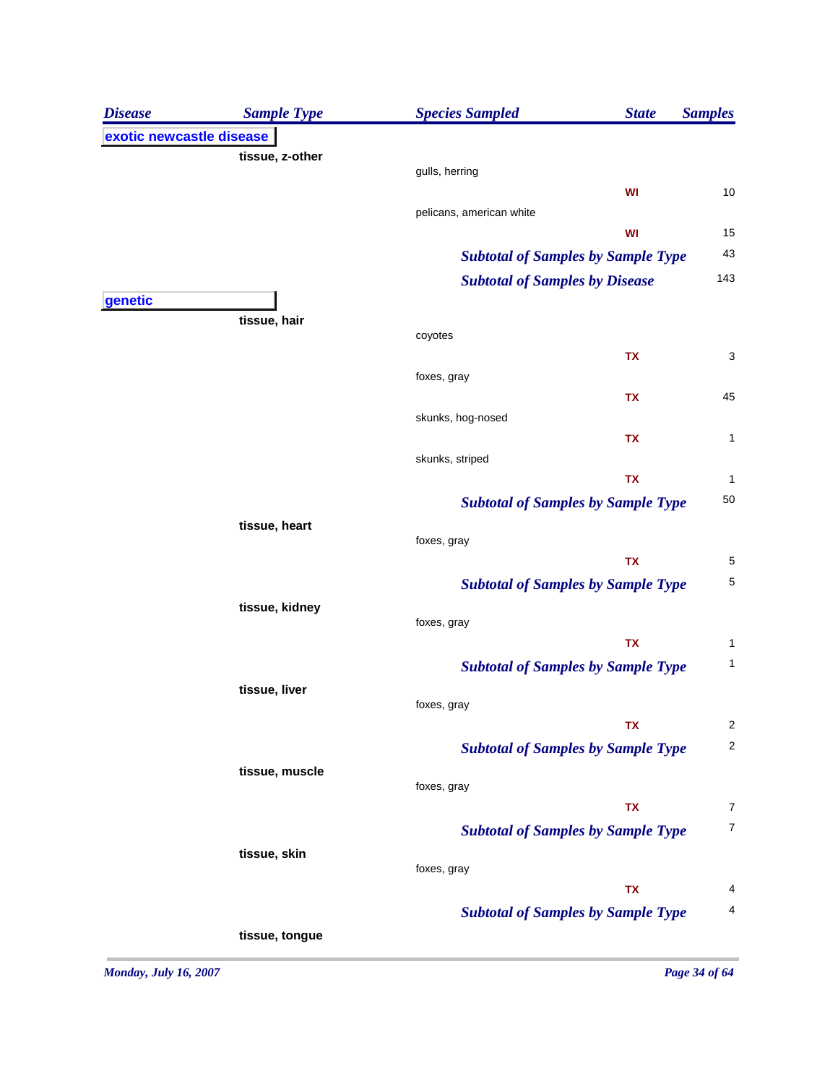| <b>Disease</b>           | <b>Sample Type</b> | <b>Species Sampled</b>                    | <b>State</b> | <b>Samples</b> |
|--------------------------|--------------------|-------------------------------------------|--------------|----------------|
| exotic newcastle disease |                    |                                           |              |                |
|                          | tissue, z-other    |                                           |              |                |
|                          |                    | gulls, herring                            | WI           | 10             |
|                          |                    | pelicans, american white                  |              |                |
|                          |                    |                                           | WI           | 15             |
|                          |                    | <b>Subtotal of Samples by Sample Type</b> |              | 43             |
|                          |                    | <b>Subtotal of Samples by Disease</b>     |              | 143            |
| genetic                  |                    |                                           |              |                |
|                          | tissue, hair       | coyotes                                   |              |                |
|                          |                    |                                           | <b>TX</b>    | 3              |
|                          |                    | foxes, gray                               |              |                |
|                          |                    |                                           | <b>TX</b>    | 45             |
|                          |                    | skunks, hog-nosed                         |              |                |
|                          |                    |                                           | <b>TX</b>    | 1              |
|                          |                    | skunks, striped                           |              |                |
|                          |                    |                                           | <b>TX</b>    | 1              |
|                          |                    | <b>Subtotal of Samples by Sample Type</b> |              | 50             |
|                          | tissue, heart      | foxes, gray                               |              |                |
|                          |                    |                                           | <b>TX</b>    | 5              |
|                          |                    | <b>Subtotal of Samples by Sample Type</b> |              | 5              |
|                          | tissue, kidney     |                                           |              |                |
|                          |                    | foxes, gray                               |              |                |
|                          |                    |                                           | <b>TX</b>    | 1              |
|                          |                    | <b>Subtotal of Samples by Sample Type</b> |              | 1              |
|                          | tissue, liver      | foxes, gray                               |              |                |
|                          |                    |                                           | <b>TX</b>    | $\overline{2}$ |
|                          |                    | <b>Subtotal of Samples by Sample Type</b> |              | $\overline{c}$ |
|                          | tissue, muscle     |                                           |              |                |
|                          |                    | foxes, gray                               |              |                |
|                          |                    |                                           | TX           | 7              |
|                          |                    | <b>Subtotal of Samples by Sample Type</b> |              | 7              |
|                          | tissue, skin       | foxes, gray                               |              |                |
|                          |                    |                                           | TX           | 4              |
|                          |                    | <b>Subtotal of Samples by Sample Type</b> |              | 4              |
|                          | tissue, tongue     |                                           |              |                |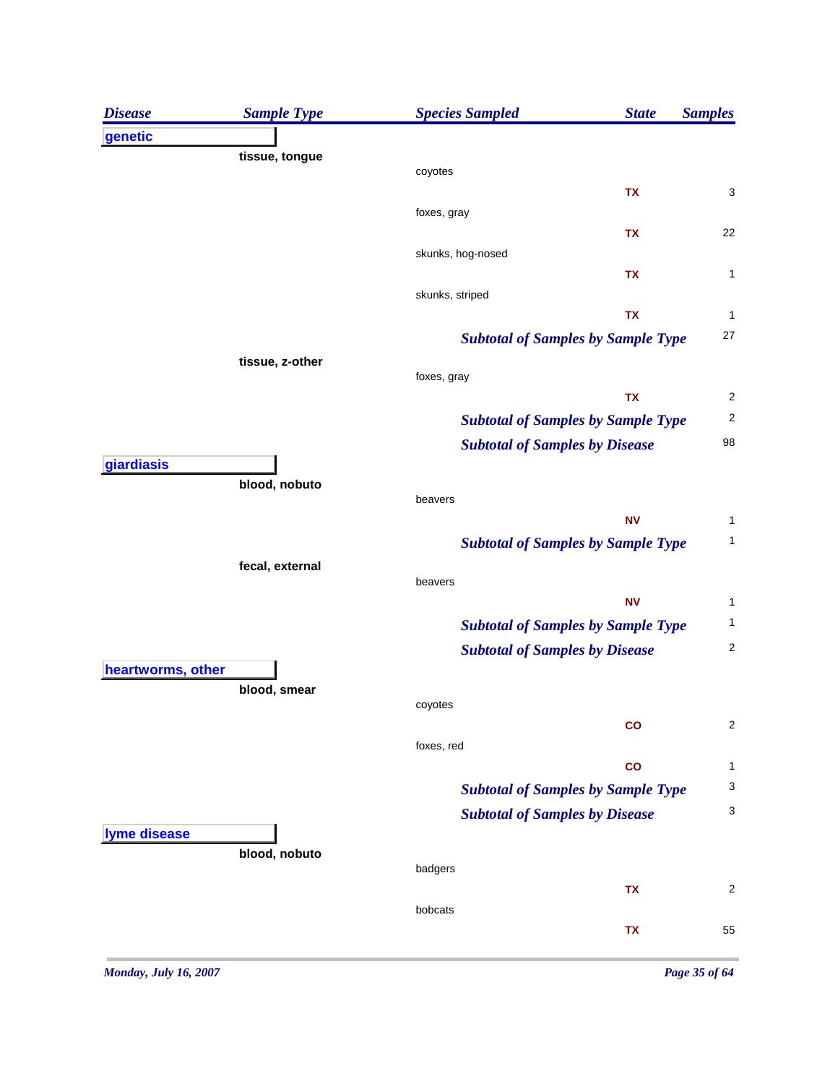| <b>Disease</b>    | <b>Sample Type</b> | <b>Species Sampled</b> | <b>State</b>                              | <b>Samples</b>          |
|-------------------|--------------------|------------------------|-------------------------------------------|-------------------------|
| genetic           |                    |                        |                                           |                         |
|                   | tissue, tongue     | coyotes                |                                           |                         |
|                   |                    |                        | TX                                        | 3                       |
|                   |                    | foxes, gray            |                                           |                         |
|                   |                    |                        | <b>TX</b>                                 | 22                      |
|                   |                    | skunks, hog-nosed      |                                           |                         |
|                   |                    |                        | TX                                        | 1                       |
|                   |                    | skunks, striped        | <b>TX</b>                                 | 1                       |
|                   |                    |                        | <b>Subtotal of Samples by Sample Type</b> | 27                      |
|                   | tissue, z-other    |                        |                                           |                         |
|                   |                    | foxes, gray            |                                           |                         |
|                   |                    |                        | <b>TX</b>                                 | $\overline{c}$          |
|                   |                    |                        | <b>Subtotal of Samples by Sample Type</b> | $\overline{\mathbf{c}}$ |
|                   |                    |                        | <b>Subtotal of Samples by Disease</b>     | 98                      |
| giardiasis        |                    |                        |                                           |                         |
|                   | blood, nobuto      | beavers                |                                           |                         |
|                   |                    |                        | <b>NV</b>                                 | 1                       |
|                   |                    |                        | <b>Subtotal of Samples by Sample Type</b> | 1                       |
|                   | fecal, external    |                        |                                           |                         |
|                   |                    | beavers                |                                           |                         |
|                   |                    |                        | <b>NV</b>                                 | 1                       |
|                   |                    |                        | <b>Subtotal of Samples by Sample Type</b> | 1                       |
| heartworms, other |                    |                        | <b>Subtotal of Samples by Disease</b>     | $\overline{c}$          |
|                   | blood, smear       |                        |                                           |                         |
|                   |                    | coyotes                |                                           |                         |
|                   |                    |                        | co                                        | $\overline{\mathbf{c}}$ |
|                   |                    | foxes, red             |                                           |                         |
|                   |                    |                        | $\mathbf{co}$                             | 1<br>3                  |
|                   |                    |                        | <b>Subtotal of Samples by Sample Type</b> | 3                       |
| lyme disease      |                    |                        | <b>Subtotal of Samples by Disease</b>     |                         |
|                   | blood, nobuto      |                        |                                           |                         |
|                   |                    | badgers                |                                           |                         |
|                   |                    |                        | TX                                        | 2                       |
|                   |                    | bobcats                |                                           |                         |
|                   |                    |                        | TX                                        | 55                      |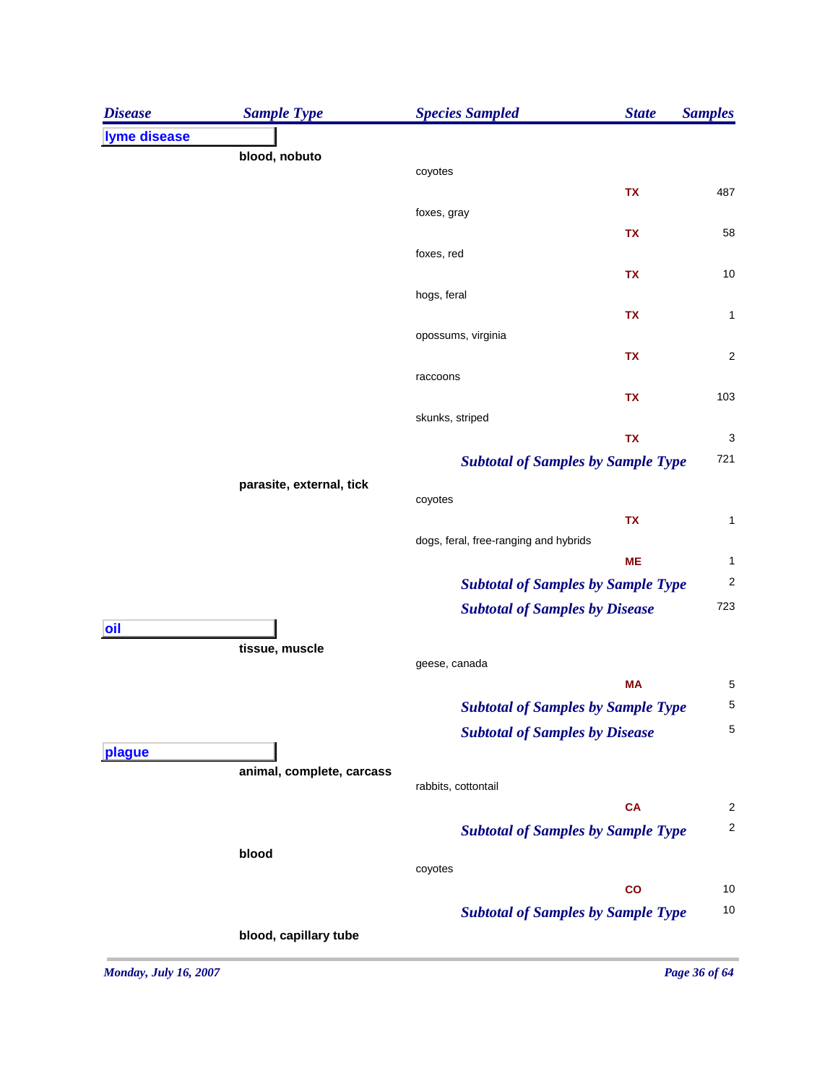| <b>Disease</b> | <b>Sample Type</b>        | <b>Species Sampled</b><br><b>State</b>    | <b>Samples</b>          |
|----------------|---------------------------|-------------------------------------------|-------------------------|
| lyme disease   |                           |                                           |                         |
|                | blood, nobuto             |                                           |                         |
|                |                           | coyotes<br><b>TX</b>                      | 487                     |
|                |                           | foxes, gray                               |                         |
|                |                           | TX                                        | 58                      |
|                |                           | foxes, red                                |                         |
|                |                           | TX                                        | 10                      |
|                |                           | hogs, feral<br>TX                         | 1                       |
|                |                           | opossums, virginia                        |                         |
|                |                           | TX                                        | $\overline{\mathbf{c}}$ |
|                |                           | raccoons                                  |                         |
|                |                           | <b>TX</b>                                 | 103                     |
|                |                           | skunks, striped                           |                         |
|                |                           | <b>TX</b>                                 | 3                       |
|                |                           | <b>Subtotal of Samples by Sample Type</b> | 721                     |
|                | parasite, external, tick  | coyotes                                   |                         |
|                |                           | <b>TX</b>                                 | 1                       |
|                |                           | dogs, feral, free-ranging and hybrids     |                         |
|                |                           | <b>ME</b>                                 | 1                       |
|                |                           | <b>Subtotal of Samples by Sample Type</b> | $\overline{\mathbf{c}}$ |
|                |                           | <b>Subtotal of Samples by Disease</b>     | 723                     |
| oil            |                           |                                           |                         |
|                | tissue, muscle            | geese, canada                             |                         |
|                |                           | <b>MA</b>                                 | 5                       |
|                |                           | <b>Subtotal of Samples by Sample Type</b> | 5                       |
|                |                           | <b>Subtotal of Samples by Disease</b>     | 5                       |
| plague         |                           |                                           |                         |
|                | animal, complete, carcass | rabbits, cottontail                       |                         |
|                |                           | <b>CA</b>                                 | $\overline{\mathbf{c}}$ |
|                |                           | <b>Subtotal of Samples by Sample Type</b> | $\overline{\mathbf{c}}$ |
|                | blood                     |                                           |                         |
|                |                           | coyotes                                   |                         |
|                |                           | $\mathbf{co}$                             | 10                      |
|                |                           | <b>Subtotal of Samples by Sample Type</b> | 10                      |
|                | blood, capillary tube     |                                           |                         |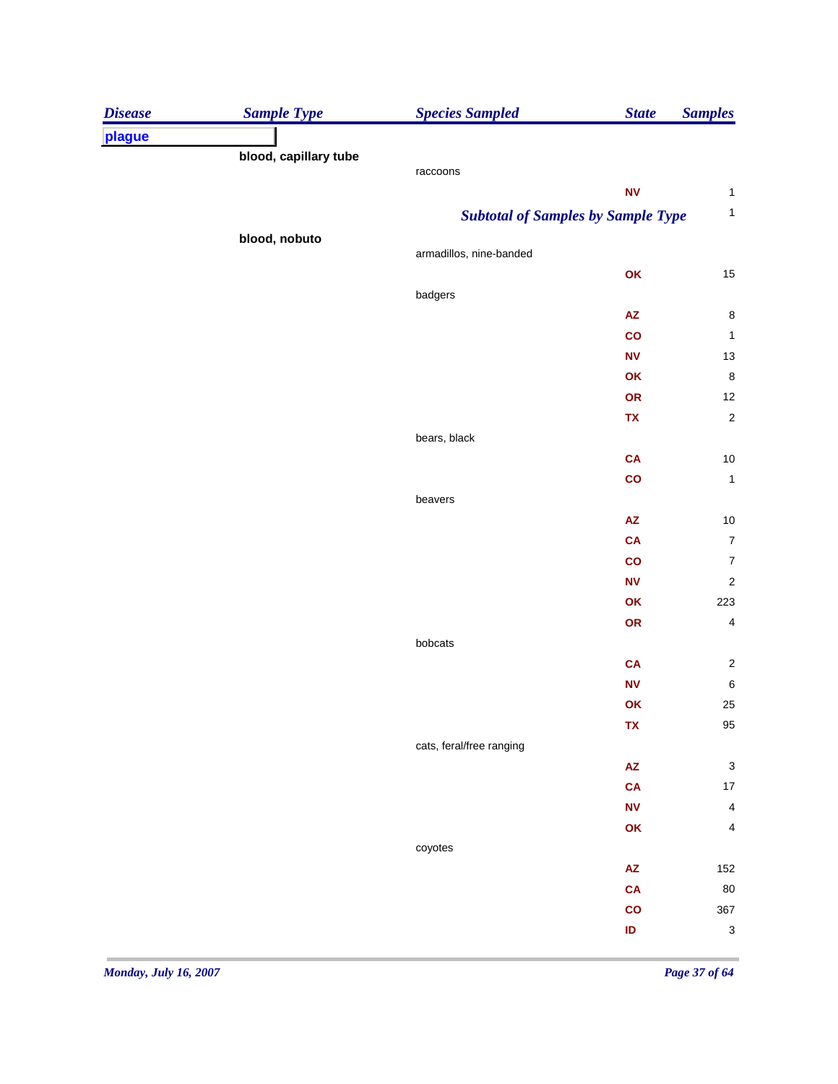| plague<br>blood, capillary tube<br>raccoons<br>${\sf NV}$<br><b>Subtotal of Samples by Sample Type</b><br>blood, nobuto<br>armadillos, nine-banded<br>OK<br>badgers | <b>State</b><br><b>Samples</b> |
|---------------------------------------------------------------------------------------------------------------------------------------------------------------------|--------------------------------|
|                                                                                                                                                                     |                                |
|                                                                                                                                                                     |                                |
|                                                                                                                                                                     |                                |
|                                                                                                                                                                     |                                |
|                                                                                                                                                                     | $\mathbf{1}$                   |
|                                                                                                                                                                     |                                |
|                                                                                                                                                                     |                                |
|                                                                                                                                                                     | 15                             |
|                                                                                                                                                                     | $\bf 8$                        |
| $\mathsf{A}\mathsf{Z}$<br>$\mathbf{co}$                                                                                                                             | $\mathbf{1}$                   |
| ${\sf NV}$                                                                                                                                                          | $13\,$                         |
| OK                                                                                                                                                                  | $\,$ 8 $\,$                    |
| OR                                                                                                                                                                  | 12                             |
| TX                                                                                                                                                                  | $\overline{c}$                 |
| bears, black                                                                                                                                                        |                                |
| CA                                                                                                                                                                  | $10$                           |
| $\mathbf{co}$                                                                                                                                                       | $\mathbf{1}$                   |
| beavers                                                                                                                                                             |                                |
| $\mathsf{A}\mathsf{Z}$                                                                                                                                              | 10                             |
| <b>CA</b>                                                                                                                                                           | $\boldsymbol{7}$               |
| $\mathbf{co}$                                                                                                                                                       | $\boldsymbol{7}$               |
| ${\sf NV}$                                                                                                                                                          |                                |
| OK                                                                                                                                                                  | 223                            |
| OR                                                                                                                                                                  | $\overline{4}$                 |
| bobcats                                                                                                                                                             |                                |
| <b>CA</b>                                                                                                                                                           |                                |
| ${\sf NV}$                                                                                                                                                          | $\,6\,$                        |
| OK                                                                                                                                                                  | 25                             |
| ${\bf TX}$                                                                                                                                                          | 95                             |
| cats, feral/free ranging                                                                                                                                            |                                |
| $\mathsf{A}\mathsf{Z}$                                                                                                                                              |                                |
| <b>CA</b>                                                                                                                                                           | $17\,$                         |
| ${\sf NV}$                                                                                                                                                          |                                |
| OK                                                                                                                                                                  |                                |
| coyotes                                                                                                                                                             |                                |
| ${\sf AZ}$                                                                                                                                                          | 152                            |
| <b>CA</b>                                                                                                                                                           | 80                             |
| co                                                                                                                                                                  | 367                            |
| $\sf ID$                                                                                                                                                            | $\ensuremath{\mathsf{3}}$      |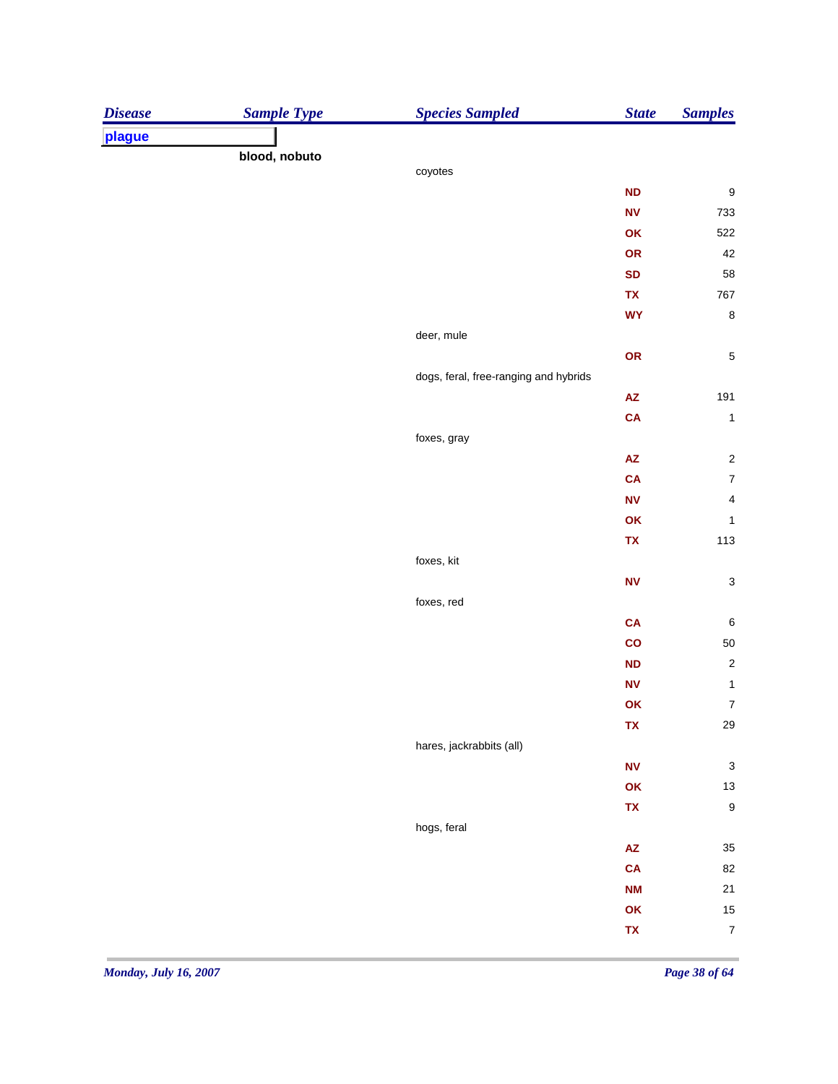| <b>Disease</b> | <b>Sample Type</b> | <b>Species Sampled</b>                | <b>State</b>     | <b>Samples</b>            |
|----------------|--------------------|---------------------------------------|------------------|---------------------------|
| plague         |                    |                                       |                  |                           |
|                | blood, nobuto      |                                       |                  |                           |
|                |                    | coyotes                               |                  |                           |
|                |                    |                                       | <b>ND</b>        | $\boldsymbol{9}$          |
|                |                    |                                       | <b>NV</b>        | 733                       |
|                |                    |                                       | OK               | 522                       |
|                |                    |                                       | OR               | 42                        |
|                |                    |                                       | <b>SD</b>        | 58                        |
|                |                    |                                       | TX               | 767                       |
|                |                    |                                       | <b>WY</b>        | $\bf 8$                   |
|                |                    | deer, mule                            |                  |                           |
|                |                    |                                       | OR               | $\,$ 5 $\,$               |
|                |                    | dogs, feral, free-ranging and hybrids |                  |                           |
|                |                    |                                       | ${\sf AZ}$       | 191                       |
|                |                    |                                       | <b>CA</b>        | $\mathbf{1}$              |
|                |                    | foxes, gray                           |                  |                           |
|                |                    |                                       | ${\sf AZ}$       | $\sqrt{2}$                |
|                |                    |                                       | CA               | $\overline{\mathbf{7}}$   |
|                |                    |                                       | ${\sf NV}$       | $\overline{\mathbf{4}}$   |
|                |                    |                                       | OK               | $\mathbf{1}$              |
|                |                    |                                       | TX               | 113                       |
|                |                    | foxes, kit                            |                  |                           |
|                |                    |                                       | ${\bf N}{\bf V}$ | $\ensuremath{\mathsf{3}}$ |
|                |                    | foxes, red                            |                  |                           |
|                |                    |                                       | CA               | $\,6\,$                   |
|                |                    |                                       | $\mathbf{co}$    | 50                        |
|                |                    |                                       | ND               | $\overline{\mathbf{c}}$   |
|                |                    |                                       | <b>NV</b>        | $\mathbf{1}$              |
|                |                    |                                       | OK               | $\boldsymbol{7}$          |
|                |                    |                                       | TX               | ${\bf 29}$                |
|                |                    | hares, jackrabbits (all)              |                  |                           |
|                |                    |                                       | ${\bf N}{\bf V}$ | $\ensuremath{\mathsf{3}}$ |
|                |                    |                                       | OK               | $13\,$                    |
|                |                    |                                       | TX               | $\boldsymbol{9}$          |
|                |                    | hogs, feral                           |                  |                           |
|                |                    |                                       | AZ               | 35                        |
|                |                    |                                       | CA               | 82                        |
|                |                    |                                       | <b>NM</b>        | 21                        |
|                |                    |                                       | OK               | 15                        |
|                |                    |                                       | TX               | $\boldsymbol{7}$          |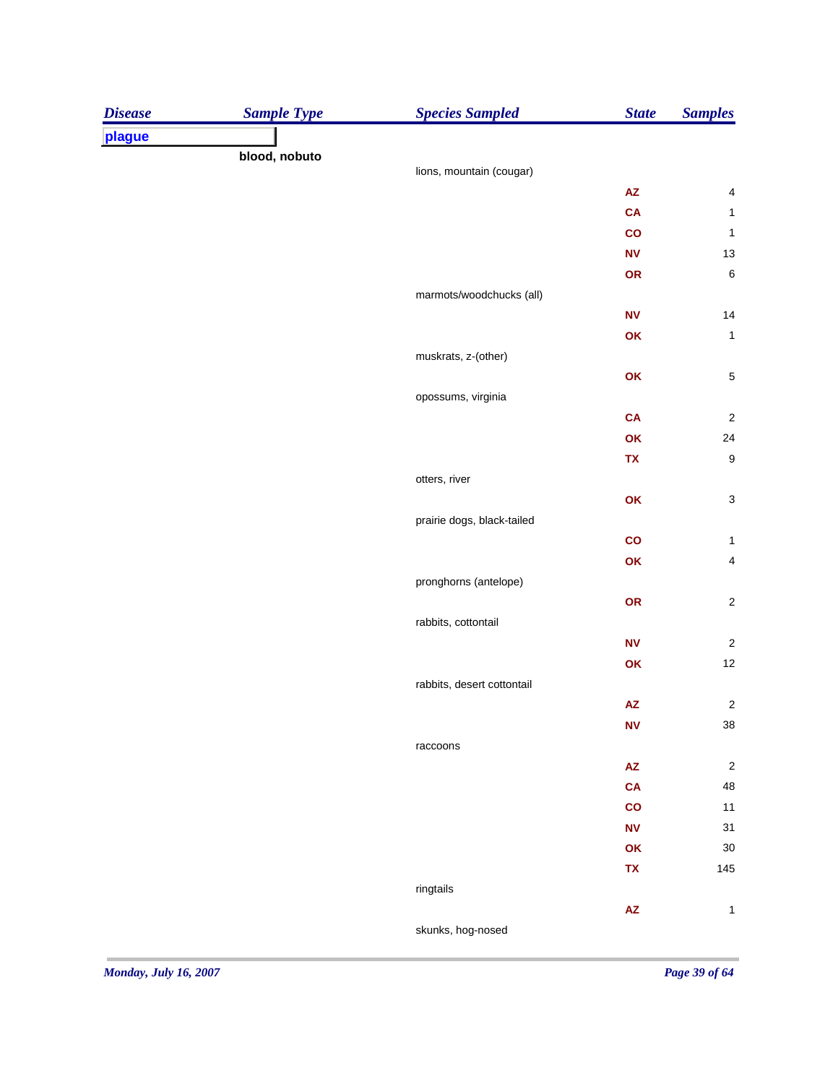| <b>Disease</b> | <b>Sample Type</b> | <b>Species Sampled</b>     | <b>State</b>           | <b>Samples</b>            |
|----------------|--------------------|----------------------------|------------------------|---------------------------|
| plague         |                    |                            |                        |                           |
|                | blood, nobuto      | lions, mountain (cougar)   |                        |                           |
|                |                    |                            | $\mathsf{A}\mathsf{Z}$ | $\overline{\mathbf{4}}$   |
|                |                    |                            | <b>CA</b>              | $\mathbf{1}$              |
|                |                    |                            | co                     | $\mathbf{1}$              |
|                |                    |                            | ${\sf NV}$             | 13                        |
|                |                    |                            | OR                     | $\,6\,$                   |
|                |                    | marmots/woodchucks (all)   |                        |                           |
|                |                    |                            | ${\sf NV}$             | 14                        |
|                |                    |                            | OK                     | $\mathbf{1}$              |
|                |                    | muskrats, z-(other)        |                        |                           |
|                |                    |                            | OK                     | $\,$ 5 $\,$               |
|                |                    | opossums, virginia         |                        |                           |
|                |                    |                            | CA                     | $\sqrt{2}$                |
|                |                    |                            | OK                     | 24                        |
|                |                    |                            | TX                     | $\boldsymbol{9}$          |
|                |                    | otters, river              |                        |                           |
|                |                    |                            | OK                     | $\ensuremath{\mathsf{3}}$ |
|                |                    | prairie dogs, black-tailed |                        |                           |
|                |                    |                            | $\mathbf{co}$          | $\mathbf{1}$              |
|                |                    |                            | OK                     | $\overline{\mathbf{4}}$   |
|                |                    | pronghorns (antelope)      |                        |                           |
|                |                    |                            | OR                     | $\sqrt{2}$                |
|                |                    | rabbits, cottontail        |                        |                           |
|                |                    |                            | ${\sf NV}$             | $\sqrt{2}$                |
|                |                    |                            | OK                     | 12                        |
|                |                    | rabbits, desert cottontail |                        |                           |
|                |                    |                            | $\mathsf{A}\mathsf{Z}$ | $\overline{\mathbf{c}}$   |
|                |                    |                            | <b>NV</b>              | $38\,$                    |
|                |                    | raccoons                   |                        |                           |
|                |                    |                            | $\mathsf{A}\mathsf{Z}$ | $\sqrt{2}$                |
|                |                    |                            | CA                     | 48                        |
|                |                    |                            | co                     | $11$                      |
|                |                    |                            | ${\sf NV}$             | 31                        |
|                |                    |                            | OK                     | $30\,$                    |
|                |                    |                            | TX                     | 145                       |
|                |                    | ringtails                  |                        |                           |
|                |                    |                            | $\mathsf{A}\mathsf{Z}$ | $\mathbf{1}$              |
|                |                    | skunks, hog-nosed          |                        |                           |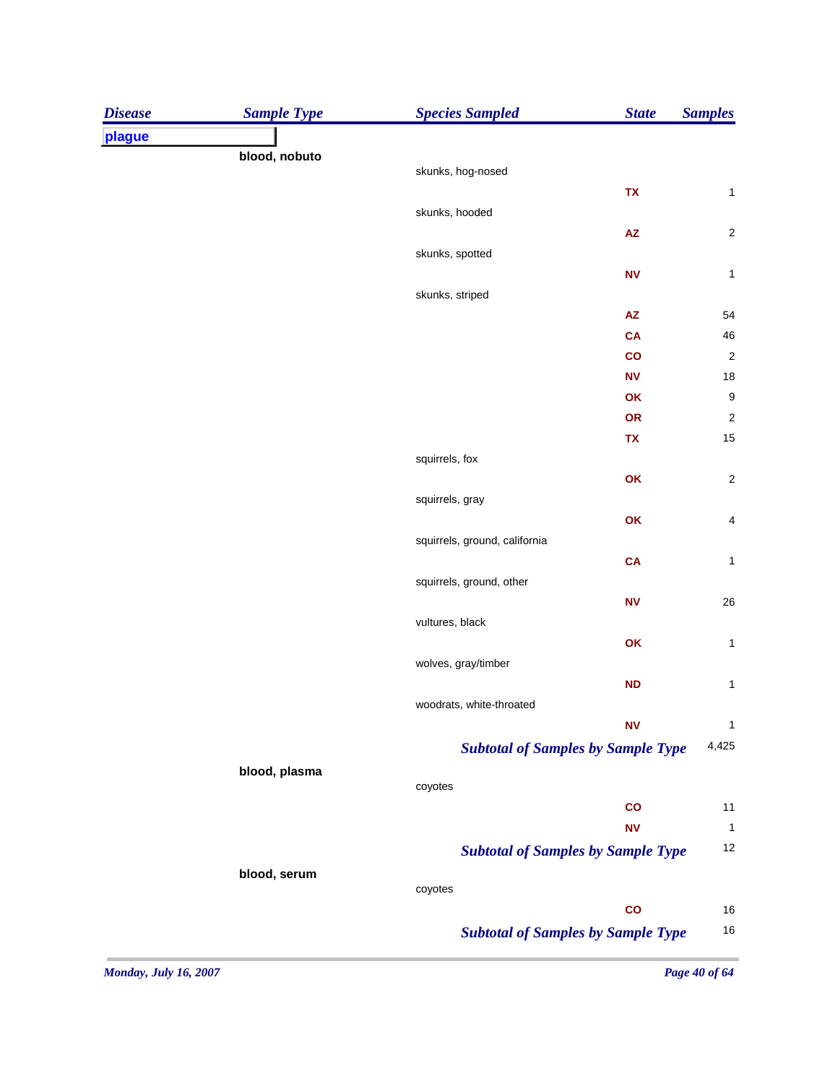| plague<br>blood, nobuto<br>skunks, hog-nosed<br><b>TX</b><br>skunks, hooded<br>$\mathsf{A}\mathsf{Z}$<br>skunks, spotted<br>N <sub>V</sub><br>skunks, striped<br>${\sf AZ}$<br>CA<br>co<br>${\hbox{\bf N}}{\hbox{\bf V}}$<br>OK<br>OR<br>TX<br>squirrels, fox<br>OK<br>squirrels, gray<br>OK<br>squirrels, ground, california<br>CA<br>squirrels, ground, other<br>${\hbox{\bf N}}{\hbox{\bf V}}$<br>vultures, black<br>OK<br>wolves, gray/timber<br>ND<br>woodrats, white-throated<br><b>NV</b><br><b>Subtotal of Samples by Sample Type</b><br>blood, plasma<br>coyotes<br>co<br><b>NV</b><br><b>Subtotal of Samples by Sample Type</b><br>blood, serum<br>coyotes<br>$\mathbf{co}$<br><b>Subtotal of Samples by Sample Type</b> | <b>Disease</b> | <b>Sample Type</b> | <b>Species Sampled</b> | <b>State</b> | <b>Samples</b> |
|------------------------------------------------------------------------------------------------------------------------------------------------------------------------------------------------------------------------------------------------------------------------------------------------------------------------------------------------------------------------------------------------------------------------------------------------------------------------------------------------------------------------------------------------------------------------------------------------------------------------------------------------------------------------------------------------------------------------------------|----------------|--------------------|------------------------|--------------|----------------|
|                                                                                                                                                                                                                                                                                                                                                                                                                                                                                                                                                                                                                                                                                                                                    |                |                    |                        |              |                |
| $\mathbf{1}$<br>$\overline{\mathbf{c}}$<br>$\mathbf{1}$<br>54<br>46<br>$\overline{c}$<br>18<br>9<br>$\overline{c}$<br>15<br>$\overline{\mathbf{c}}$<br>$\overline{\mathcal{L}}$<br>$\mathbf{1}$<br>26<br>1<br>$\mathbf{1}$<br>1<br>4,425<br>11<br>$\mathbf{1}$<br>12<br>16<br>16                                                                                                                                                                                                                                                                                                                                                                                                                                                   |                |                    |                        |              |                |
|                                                                                                                                                                                                                                                                                                                                                                                                                                                                                                                                                                                                                                                                                                                                    |                |                    |                        |              |                |
|                                                                                                                                                                                                                                                                                                                                                                                                                                                                                                                                                                                                                                                                                                                                    |                |                    |                        |              |                |
|                                                                                                                                                                                                                                                                                                                                                                                                                                                                                                                                                                                                                                                                                                                                    |                |                    |                        |              |                |
|                                                                                                                                                                                                                                                                                                                                                                                                                                                                                                                                                                                                                                                                                                                                    |                |                    |                        |              |                |
|                                                                                                                                                                                                                                                                                                                                                                                                                                                                                                                                                                                                                                                                                                                                    |                |                    |                        |              |                |
|                                                                                                                                                                                                                                                                                                                                                                                                                                                                                                                                                                                                                                                                                                                                    |                |                    |                        |              |                |
|                                                                                                                                                                                                                                                                                                                                                                                                                                                                                                                                                                                                                                                                                                                                    |                |                    |                        |              |                |
|                                                                                                                                                                                                                                                                                                                                                                                                                                                                                                                                                                                                                                                                                                                                    |                |                    |                        |              |                |
|                                                                                                                                                                                                                                                                                                                                                                                                                                                                                                                                                                                                                                                                                                                                    |                |                    |                        |              |                |
|                                                                                                                                                                                                                                                                                                                                                                                                                                                                                                                                                                                                                                                                                                                                    |                |                    |                        |              |                |
|                                                                                                                                                                                                                                                                                                                                                                                                                                                                                                                                                                                                                                                                                                                                    |                |                    |                        |              |                |
|                                                                                                                                                                                                                                                                                                                                                                                                                                                                                                                                                                                                                                                                                                                                    |                |                    |                        |              |                |
|                                                                                                                                                                                                                                                                                                                                                                                                                                                                                                                                                                                                                                                                                                                                    |                |                    |                        |              |                |
|                                                                                                                                                                                                                                                                                                                                                                                                                                                                                                                                                                                                                                                                                                                                    |                |                    |                        |              |                |
|                                                                                                                                                                                                                                                                                                                                                                                                                                                                                                                                                                                                                                                                                                                                    |                |                    |                        |              |                |
|                                                                                                                                                                                                                                                                                                                                                                                                                                                                                                                                                                                                                                                                                                                                    |                |                    |                        |              |                |
|                                                                                                                                                                                                                                                                                                                                                                                                                                                                                                                                                                                                                                                                                                                                    |                |                    |                        |              |                |
|                                                                                                                                                                                                                                                                                                                                                                                                                                                                                                                                                                                                                                                                                                                                    |                |                    |                        |              |                |
|                                                                                                                                                                                                                                                                                                                                                                                                                                                                                                                                                                                                                                                                                                                                    |                |                    |                        |              |                |
|                                                                                                                                                                                                                                                                                                                                                                                                                                                                                                                                                                                                                                                                                                                                    |                |                    |                        |              |                |
|                                                                                                                                                                                                                                                                                                                                                                                                                                                                                                                                                                                                                                                                                                                                    |                |                    |                        |              |                |
|                                                                                                                                                                                                                                                                                                                                                                                                                                                                                                                                                                                                                                                                                                                                    |                |                    |                        |              |                |
|                                                                                                                                                                                                                                                                                                                                                                                                                                                                                                                                                                                                                                                                                                                                    |                |                    |                        |              |                |
|                                                                                                                                                                                                                                                                                                                                                                                                                                                                                                                                                                                                                                                                                                                                    |                |                    |                        |              |                |
|                                                                                                                                                                                                                                                                                                                                                                                                                                                                                                                                                                                                                                                                                                                                    |                |                    |                        |              |                |
|                                                                                                                                                                                                                                                                                                                                                                                                                                                                                                                                                                                                                                                                                                                                    |                |                    |                        |              |                |
|                                                                                                                                                                                                                                                                                                                                                                                                                                                                                                                                                                                                                                                                                                                                    |                |                    |                        |              |                |
|                                                                                                                                                                                                                                                                                                                                                                                                                                                                                                                                                                                                                                                                                                                                    |                |                    |                        |              |                |
|                                                                                                                                                                                                                                                                                                                                                                                                                                                                                                                                                                                                                                                                                                                                    |                |                    |                        |              |                |
|                                                                                                                                                                                                                                                                                                                                                                                                                                                                                                                                                                                                                                                                                                                                    |                |                    |                        |              |                |
|                                                                                                                                                                                                                                                                                                                                                                                                                                                                                                                                                                                                                                                                                                                                    |                |                    |                        |              |                |
|                                                                                                                                                                                                                                                                                                                                                                                                                                                                                                                                                                                                                                                                                                                                    |                |                    |                        |              |                |
|                                                                                                                                                                                                                                                                                                                                                                                                                                                                                                                                                                                                                                                                                                                                    |                |                    |                        |              |                |
|                                                                                                                                                                                                                                                                                                                                                                                                                                                                                                                                                                                                                                                                                                                                    |                |                    |                        |              |                |
|                                                                                                                                                                                                                                                                                                                                                                                                                                                                                                                                                                                                                                                                                                                                    |                |                    |                        |              |                |
|                                                                                                                                                                                                                                                                                                                                                                                                                                                                                                                                                                                                                                                                                                                                    |                |                    |                        |              |                |
|                                                                                                                                                                                                                                                                                                                                                                                                                                                                                                                                                                                                                                                                                                                                    |                |                    |                        |              |                |
|                                                                                                                                                                                                                                                                                                                                                                                                                                                                                                                                                                                                                                                                                                                                    |                |                    |                        |              |                |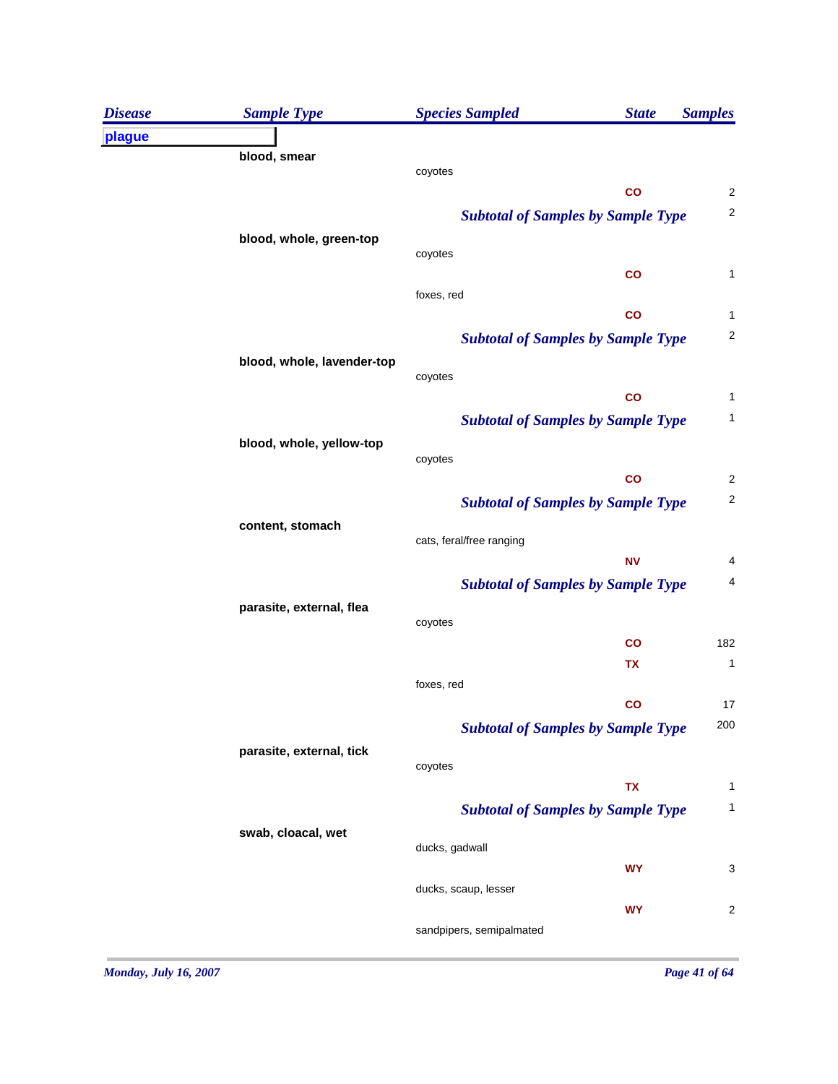| <b>Disease</b> | <b>Sample Type</b>         | <b>Species Sampled</b>                    | <b>State</b>  | <b>Samples</b>          |
|----------------|----------------------------|-------------------------------------------|---------------|-------------------------|
| plague         |                            |                                           |               |                         |
|                | blood, smear               | coyotes                                   |               |                         |
|                |                            |                                           | $\mathsf{co}$ | $\overline{\mathbf{c}}$ |
|                |                            | <b>Subtotal of Samples by Sample Type</b> |               | $\mathbf 2$             |
|                | blood, whole, green-top    |                                           |               |                         |
|                |                            | coyotes                                   |               |                         |
|                |                            |                                           | $\mathsf{co}$ | 1                       |
|                |                            | foxes, red                                | $\mathsf{co}$ | 1                       |
|                |                            | <b>Subtotal of Samples by Sample Type</b> |               | 2                       |
|                | blood, whole, lavender-top |                                           |               |                         |
|                |                            | coyotes                                   |               |                         |
|                |                            |                                           | $\mathbf{co}$ | 1                       |
|                |                            | <b>Subtotal of Samples by Sample Type</b> |               | 1                       |
|                | blood, whole, yellow-top   |                                           |               |                         |
|                |                            | coyotes                                   | $\mathbf{co}$ | $\overline{\mathbf{c}}$ |
|                |                            | <b>Subtotal of Samples by Sample Type</b> |               | $\overline{c}$          |
|                | content, stomach           |                                           |               |                         |
|                |                            | cats, feral/free ranging                  |               |                         |
|                |                            |                                           | <b>NV</b>     | 4                       |
|                |                            | <b>Subtotal of Samples by Sample Type</b> |               | 4                       |
|                | parasite, external, flea   |                                           |               |                         |
|                |                            | coyotes                                   | $\mathsf{co}$ | 182                     |
|                |                            |                                           | TX            | 1                       |
|                |                            | foxes, red                                |               |                         |
|                |                            |                                           | $\mathbf{co}$ | 17                      |
|                |                            | <b>Subtotal of Samples by Sample Type</b> |               | 200                     |
|                | parasite, external, tick   |                                           |               |                         |
|                |                            | coyotes                                   | <b>TX</b>     | 1                       |
|                |                            | <b>Subtotal of Samples by Sample Type</b> |               | 1                       |
|                | swab, cloacal, wet         |                                           |               |                         |
|                |                            | ducks, gadwall                            |               |                         |
|                |                            |                                           | <b>WY</b>     | 3                       |
|                |                            | ducks, scaup, lesser                      |               |                         |
|                |                            |                                           | <b>WY</b>     | 2                       |
|                |                            | sandpipers, semipalmated                  |               |                         |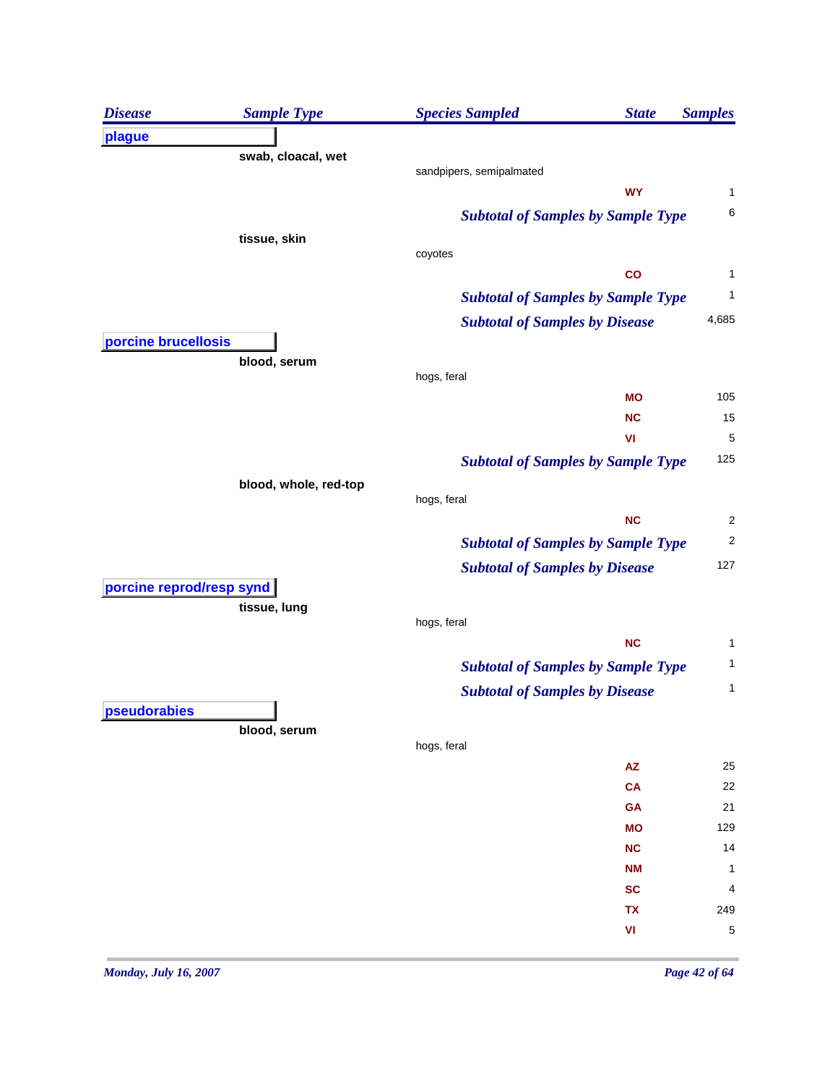| <b>Disease</b>           | <b>Sample Type</b>    | <b>Species Sampled</b>                    | <b>State</b>           | <b>Samples</b>          |
|--------------------------|-----------------------|-------------------------------------------|------------------------|-------------------------|
| plague                   |                       |                                           |                        |                         |
|                          | swab, cloacal, wet    |                                           |                        |                         |
|                          |                       | sandpipers, semipalmated                  | <b>WY</b>              |                         |
|                          |                       |                                           |                        | 1<br>6                  |
|                          |                       | <b>Subtotal of Samples by Sample Type</b> |                        |                         |
|                          | tissue, skin          | coyotes                                   |                        |                         |
|                          |                       |                                           | co                     | 1                       |
|                          |                       | <b>Subtotal of Samples by Sample Type</b> |                        | 1                       |
|                          |                       | <b>Subtotal of Samples by Disease</b>     |                        | 4,685                   |
| porcine brucellosis      |                       |                                           |                        |                         |
|                          | blood, serum          |                                           |                        |                         |
|                          |                       | hogs, feral                               |                        |                         |
|                          |                       |                                           | <b>MO</b>              | 105                     |
|                          |                       |                                           | <b>NC</b>              | 15                      |
|                          |                       |                                           | VI                     | 5                       |
|                          |                       | <b>Subtotal of Samples by Sample Type</b> |                        | 125                     |
|                          | blood, whole, red-top | hogs, feral                               |                        |                         |
|                          |                       |                                           | <b>NC</b>              | $\overline{\mathbf{c}}$ |
|                          |                       | <b>Subtotal of Samples by Sample Type</b> |                        | $\overline{\mathbf{c}}$ |
|                          |                       |                                           |                        | 127                     |
| porcine reprod/resp synd |                       | <b>Subtotal of Samples by Disease</b>     |                        |                         |
|                          | tissue, lung          |                                           |                        |                         |
|                          |                       | hogs, feral                               |                        |                         |
|                          |                       |                                           | NC                     | 1                       |
|                          |                       | <b>Subtotal of Samples by Sample Type</b> |                        | 1                       |
|                          |                       | <b>Subtotal of Samples by Disease</b>     |                        | 1                       |
| pseudorabies             |                       |                                           |                        |                         |
|                          | blood, serum          | hogs, feral                               |                        |                         |
|                          |                       |                                           | $\mathsf{A}\mathsf{Z}$ | 25                      |
|                          |                       |                                           | CA                     | 22                      |
|                          |                       |                                           | GA                     | 21                      |
|                          |                       |                                           | <b>MO</b>              | 129                     |
|                          |                       |                                           | NC                     | 14                      |
|                          |                       |                                           | <b>NM</b>              | 1                       |
|                          |                       |                                           | <b>SC</b>              | 4                       |
|                          |                       |                                           | TX                     | 249                     |
|                          |                       |                                           | VI                     | 5                       |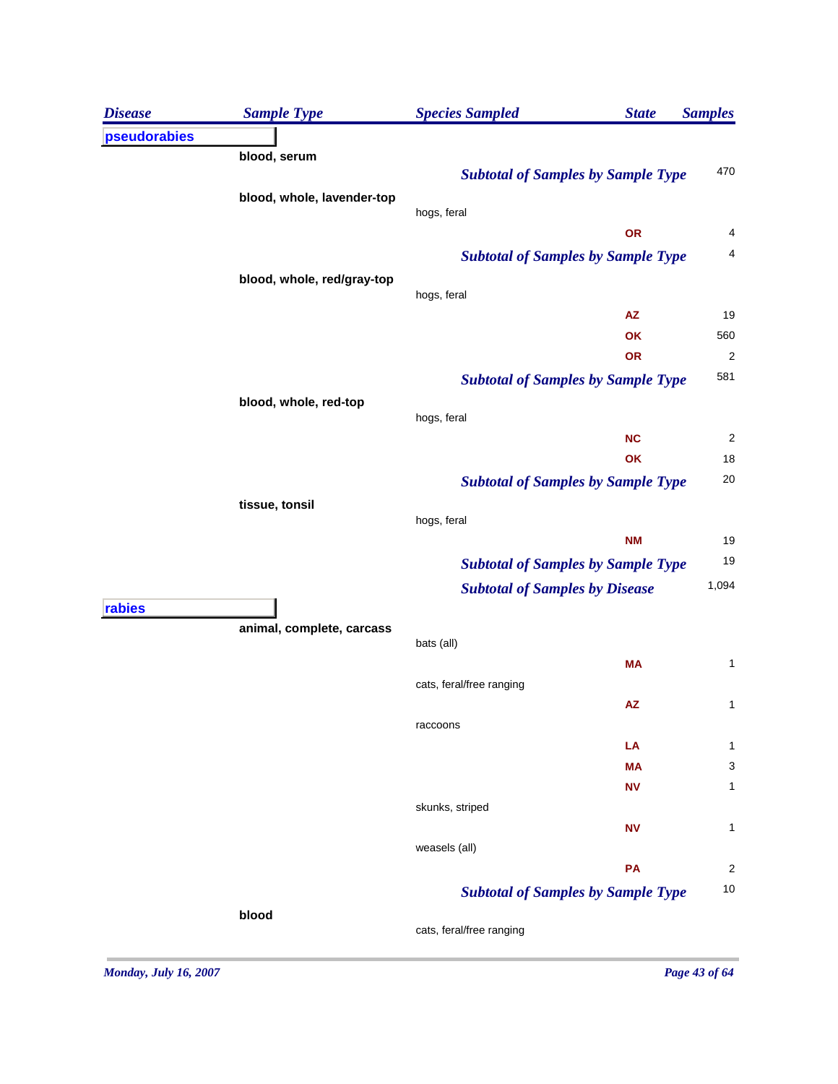| <b>Disease</b> | <b>Sample Type</b>         | <b>Species Sampled</b><br><b>State</b>    | <b>Samples</b>          |
|----------------|----------------------------|-------------------------------------------|-------------------------|
| pseudorabies   |                            |                                           |                         |
|                | blood, serum               |                                           |                         |
|                |                            | <b>Subtotal of Samples by Sample Type</b> | 470                     |
|                | blood, whole, lavender-top | hogs, feral                               |                         |
|                |                            | OR                                        | 4                       |
|                |                            | <b>Subtotal of Samples by Sample Type</b> | 4                       |
|                | blood, whole, red/gray-top |                                           |                         |
|                |                            | hogs, feral                               |                         |
|                |                            | <b>AZ</b>                                 | 19                      |
|                |                            | OK                                        | 560                     |
|                |                            | OR                                        | $\overline{\mathbf{c}}$ |
|                |                            | <b>Subtotal of Samples by Sample Type</b> | 581                     |
|                | blood, whole, red-top      |                                           |                         |
|                |                            | hogs, feral<br><b>NC</b>                  | $\overline{2}$          |
|                |                            | OK                                        | 18                      |
|                |                            |                                           | 20                      |
|                |                            | <b>Subtotal of Samples by Sample Type</b> |                         |
|                | tissue, tonsil             | hogs, feral                               |                         |
|                |                            | <b>NM</b>                                 | 19                      |
|                |                            | <b>Subtotal of Samples by Sample Type</b> | 19                      |
|                |                            | <b>Subtotal of Samples by Disease</b>     | 1,094                   |
| rabies         |                            |                                           |                         |
|                | animal, complete, carcass  |                                           |                         |
|                |                            | bats (all)                                |                         |
|                |                            | МA<br>cats, feral/free ranging            | 1                       |
|                |                            | <b>AZ</b>                                 | 1                       |
|                |                            | raccoons                                  |                         |
|                |                            | LA                                        | 1                       |
|                |                            | MA                                        | 3                       |
|                |                            | <b>NV</b>                                 | 1                       |
|                |                            | skunks, striped                           |                         |
|                |                            | <b>NV</b>                                 | 1                       |
|                |                            | weasels (all)                             |                         |
|                |                            | PA                                        | 2                       |
|                |                            | <b>Subtotal of Samples by Sample Type</b> | 10                      |
|                | blood                      | cats, feral/free ranging                  |                         |
|                |                            |                                           |                         |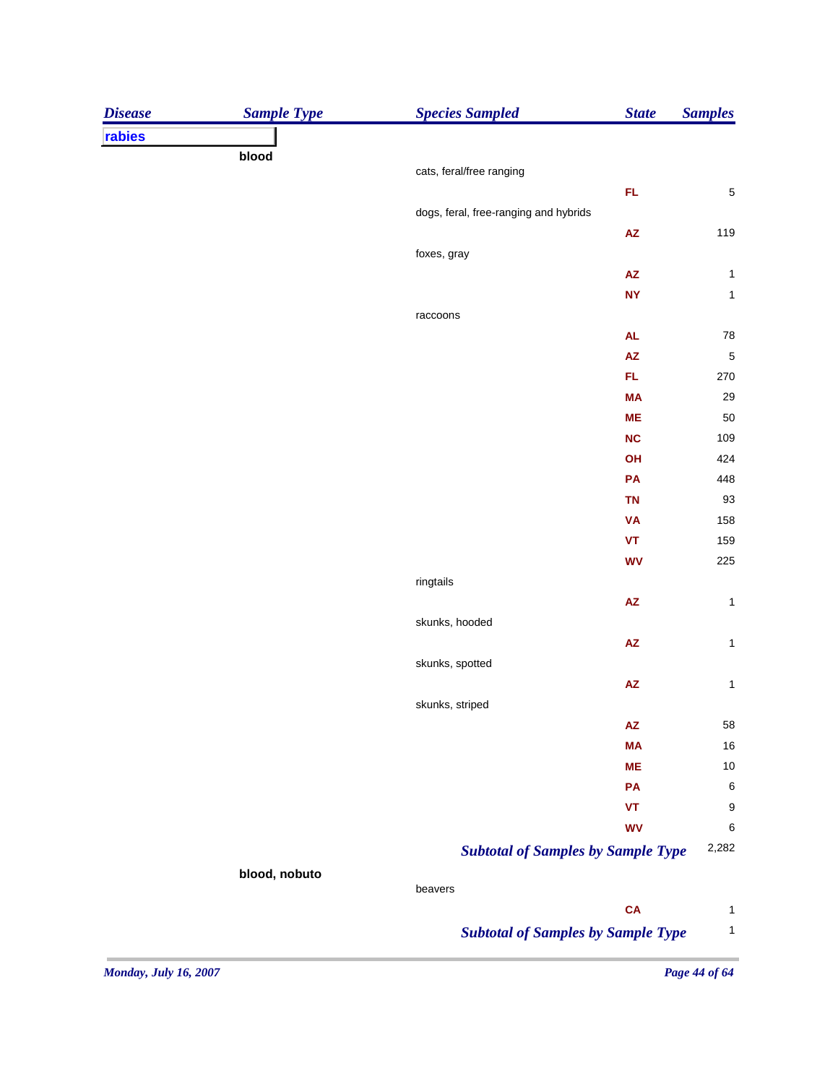| rabies<br>blood<br>cats, feral/free ranging<br>FL.<br>5<br>dogs, feral, free-ranging and hybrids<br>119<br>$\mathsf{A}\mathsf{Z}$<br>foxes, gray<br>${\sf AZ}$<br>$\mathbf{1}$<br><b>NY</b><br>$\mathbf 1$<br>raccoons<br>78<br><b>AL</b><br>$\overline{\mathbf{5}}$<br><b>AZ</b><br>FL.<br>270<br>29<br><b>MA</b><br>50<br><b>ME</b><br>109<br><b>NC</b><br>424<br>OH<br>448<br>PA<br>93<br><b>TN</b><br>158<br><b>VA</b><br>159<br><b>VT</b><br>225<br><b>WV</b><br>ringtails<br>AZ<br>$\mathbf{1}$<br>skunks, hooded<br>$\pmb{\mathsf{AZ}}$<br>$\mathbf{1}$<br>skunks, spotted<br>AZ<br>$\mathbf{1}$<br>skunks, striped<br>58<br><b>AZ</b><br>16<br><b>MA</b><br>10<br><b>ME</b><br>$\,6$<br>PA<br>9<br>VT<br><b>WV</b><br>6<br>2,282<br><b>Subtotal of Samples by Sample Type</b><br>blood, nobuto<br>beavers<br><b>CA</b> | <b>Disease</b> | <b>Sample Type</b> | <b>Species Sampled</b> | <b>State</b> | <b>Samples</b> |
|--------------------------------------------------------------------------------------------------------------------------------------------------------------------------------------------------------------------------------------------------------------------------------------------------------------------------------------------------------------------------------------------------------------------------------------------------------------------------------------------------------------------------------------------------------------------------------------------------------------------------------------------------------------------------------------------------------------------------------------------------------------------------------------------------------------------------------|----------------|--------------------|------------------------|--------------|----------------|
|                                                                                                                                                                                                                                                                                                                                                                                                                                                                                                                                                                                                                                                                                                                                                                                                                                |                |                    |                        |              |                |
|                                                                                                                                                                                                                                                                                                                                                                                                                                                                                                                                                                                                                                                                                                                                                                                                                                |                |                    |                        |              |                |
|                                                                                                                                                                                                                                                                                                                                                                                                                                                                                                                                                                                                                                                                                                                                                                                                                                |                |                    |                        |              |                |
|                                                                                                                                                                                                                                                                                                                                                                                                                                                                                                                                                                                                                                                                                                                                                                                                                                |                |                    |                        |              |                |
|                                                                                                                                                                                                                                                                                                                                                                                                                                                                                                                                                                                                                                                                                                                                                                                                                                |                |                    |                        |              |                |
|                                                                                                                                                                                                                                                                                                                                                                                                                                                                                                                                                                                                                                                                                                                                                                                                                                |                |                    |                        |              |                |
|                                                                                                                                                                                                                                                                                                                                                                                                                                                                                                                                                                                                                                                                                                                                                                                                                                |                |                    |                        |              |                |
|                                                                                                                                                                                                                                                                                                                                                                                                                                                                                                                                                                                                                                                                                                                                                                                                                                |                |                    |                        |              |                |
|                                                                                                                                                                                                                                                                                                                                                                                                                                                                                                                                                                                                                                                                                                                                                                                                                                |                |                    |                        |              |                |
|                                                                                                                                                                                                                                                                                                                                                                                                                                                                                                                                                                                                                                                                                                                                                                                                                                |                |                    |                        |              |                |
|                                                                                                                                                                                                                                                                                                                                                                                                                                                                                                                                                                                                                                                                                                                                                                                                                                |                |                    |                        |              |                |
|                                                                                                                                                                                                                                                                                                                                                                                                                                                                                                                                                                                                                                                                                                                                                                                                                                |                |                    |                        |              |                |
|                                                                                                                                                                                                                                                                                                                                                                                                                                                                                                                                                                                                                                                                                                                                                                                                                                |                |                    |                        |              |                |
|                                                                                                                                                                                                                                                                                                                                                                                                                                                                                                                                                                                                                                                                                                                                                                                                                                |                |                    |                        |              |                |
|                                                                                                                                                                                                                                                                                                                                                                                                                                                                                                                                                                                                                                                                                                                                                                                                                                |                |                    |                        |              |                |
|                                                                                                                                                                                                                                                                                                                                                                                                                                                                                                                                                                                                                                                                                                                                                                                                                                |                |                    |                        |              |                |
|                                                                                                                                                                                                                                                                                                                                                                                                                                                                                                                                                                                                                                                                                                                                                                                                                                |                |                    |                        |              |                |
|                                                                                                                                                                                                                                                                                                                                                                                                                                                                                                                                                                                                                                                                                                                                                                                                                                |                |                    |                        |              |                |
|                                                                                                                                                                                                                                                                                                                                                                                                                                                                                                                                                                                                                                                                                                                                                                                                                                |                |                    |                        |              |                |
|                                                                                                                                                                                                                                                                                                                                                                                                                                                                                                                                                                                                                                                                                                                                                                                                                                |                |                    |                        |              |                |
|                                                                                                                                                                                                                                                                                                                                                                                                                                                                                                                                                                                                                                                                                                                                                                                                                                |                |                    |                        |              |                |
|                                                                                                                                                                                                                                                                                                                                                                                                                                                                                                                                                                                                                                                                                                                                                                                                                                |                |                    |                        |              |                |
|                                                                                                                                                                                                                                                                                                                                                                                                                                                                                                                                                                                                                                                                                                                                                                                                                                |                |                    |                        |              |                |
|                                                                                                                                                                                                                                                                                                                                                                                                                                                                                                                                                                                                                                                                                                                                                                                                                                |                |                    |                        |              |                |
|                                                                                                                                                                                                                                                                                                                                                                                                                                                                                                                                                                                                                                                                                                                                                                                                                                |                |                    |                        |              |                |
|                                                                                                                                                                                                                                                                                                                                                                                                                                                                                                                                                                                                                                                                                                                                                                                                                                |                |                    |                        |              |                |
|                                                                                                                                                                                                                                                                                                                                                                                                                                                                                                                                                                                                                                                                                                                                                                                                                                |                |                    |                        |              |                |
|                                                                                                                                                                                                                                                                                                                                                                                                                                                                                                                                                                                                                                                                                                                                                                                                                                |                |                    |                        |              |                |
|                                                                                                                                                                                                                                                                                                                                                                                                                                                                                                                                                                                                                                                                                                                                                                                                                                |                |                    |                        |              |                |
|                                                                                                                                                                                                                                                                                                                                                                                                                                                                                                                                                                                                                                                                                                                                                                                                                                |                |                    |                        |              |                |
|                                                                                                                                                                                                                                                                                                                                                                                                                                                                                                                                                                                                                                                                                                                                                                                                                                |                |                    |                        |              |                |
|                                                                                                                                                                                                                                                                                                                                                                                                                                                                                                                                                                                                                                                                                                                                                                                                                                |                |                    |                        |              |                |
|                                                                                                                                                                                                                                                                                                                                                                                                                                                                                                                                                                                                                                                                                                                                                                                                                                |                |                    |                        |              |                |
|                                                                                                                                                                                                                                                                                                                                                                                                                                                                                                                                                                                                                                                                                                                                                                                                                                |                |                    |                        |              |                |
|                                                                                                                                                                                                                                                                                                                                                                                                                                                                                                                                                                                                                                                                                                                                                                                                                                |                |                    |                        |              |                |
|                                                                                                                                                                                                                                                                                                                                                                                                                                                                                                                                                                                                                                                                                                                                                                                                                                |                |                    |                        |              |                |
|                                                                                                                                                                                                                                                                                                                                                                                                                                                                                                                                                                                                                                                                                                                                                                                                                                |                |                    |                        |              |                |
|                                                                                                                                                                                                                                                                                                                                                                                                                                                                                                                                                                                                                                                                                                                                                                                                                                |                |                    |                        |              | $\mathbf{1}$   |
| <b>Subtotal of Samples by Sample Type</b>                                                                                                                                                                                                                                                                                                                                                                                                                                                                                                                                                                                                                                                                                                                                                                                      |                |                    |                        |              | $\mathbf{1}$   |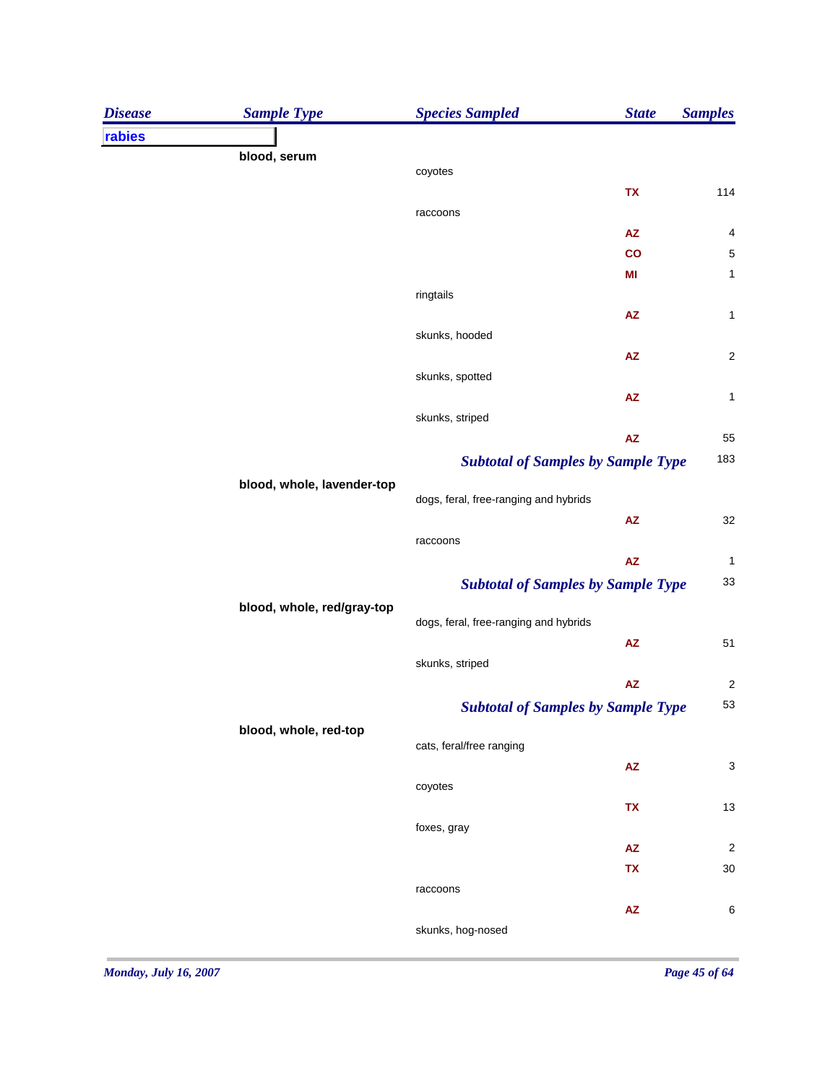| blood, serum<br>coyotes<br>TX<br>raccoons<br><b>AZ</b><br>$\mathsf{co}$<br>MI<br>ringtails<br><b>AZ</b><br>skunks, hooded<br><b>AZ</b><br>skunks, spotted<br><b>AZ</b><br>skunks, striped<br>${\sf AZ}$<br><b>Subtotal of Samples by Sample Type</b><br>blood, whole, lavender-top<br>dogs, feral, free-ranging and hybrids<br>${\sf AZ}$<br>raccoons<br>${\sf AZ}$<br><b>Subtotal of Samples by Sample Type</b><br>blood, whole, red/gray-top<br>dogs, feral, free-ranging and hybrids<br>$\mathsf{A}\mathsf{Z}$<br>skunks, striped<br>${\sf AZ}$<br><b>Subtotal of Samples by Sample Type</b><br>blood, whole, red-top<br>cats, feral/free ranging<br>$\mathsf{A}\mathsf{Z}$<br>coyotes<br>TX<br>foxes, gray<br><b>AZ</b><br>TX<br>raccoons | <b>Disease</b> | <b>Sample Type</b> | <b>Species Sampled</b> | <b>State</b> | <b>Samples</b> |
|-----------------------------------------------------------------------------------------------------------------------------------------------------------------------------------------------------------------------------------------------------------------------------------------------------------------------------------------------------------------------------------------------------------------------------------------------------------------------------------------------------------------------------------------------------------------------------------------------------------------------------------------------------------------------------------------------------------------------------------------------|----------------|--------------------|------------------------|--------------|----------------|
|                                                                                                                                                                                                                                                                                                                                                                                                                                                                                                                                                                                                                                                                                                                                               | rabies         |                    |                        |              |                |
| 114<br>$\overline{\mathcal{L}}$<br>5<br>$\mathbf{1}$<br>$\mathbf 1$<br>$\overline{\mathbf{c}}$<br>$\mathbf 1$<br>55<br>183<br>32<br>$\mathbf{1}$<br>33<br>51<br>$\overline{\mathbf{c}}$<br>53<br>3<br>13<br>$\overline{\mathbf{c}}$<br>30                                                                                                                                                                                                                                                                                                                                                                                                                                                                                                     |                |                    |                        |              |                |
|                                                                                                                                                                                                                                                                                                                                                                                                                                                                                                                                                                                                                                                                                                                                               |                |                    |                        |              |                |
|                                                                                                                                                                                                                                                                                                                                                                                                                                                                                                                                                                                                                                                                                                                                               |                |                    |                        |              |                |
|                                                                                                                                                                                                                                                                                                                                                                                                                                                                                                                                                                                                                                                                                                                                               |                |                    |                        |              |                |
|                                                                                                                                                                                                                                                                                                                                                                                                                                                                                                                                                                                                                                                                                                                                               |                |                    |                        |              |                |
|                                                                                                                                                                                                                                                                                                                                                                                                                                                                                                                                                                                                                                                                                                                                               |                |                    |                        |              |                |
|                                                                                                                                                                                                                                                                                                                                                                                                                                                                                                                                                                                                                                                                                                                                               |                |                    |                        |              |                |
|                                                                                                                                                                                                                                                                                                                                                                                                                                                                                                                                                                                                                                                                                                                                               |                |                    |                        |              |                |
|                                                                                                                                                                                                                                                                                                                                                                                                                                                                                                                                                                                                                                                                                                                                               |                |                    |                        |              |                |
|                                                                                                                                                                                                                                                                                                                                                                                                                                                                                                                                                                                                                                                                                                                                               |                |                    |                        |              |                |
|                                                                                                                                                                                                                                                                                                                                                                                                                                                                                                                                                                                                                                                                                                                                               |                |                    |                        |              |                |
|                                                                                                                                                                                                                                                                                                                                                                                                                                                                                                                                                                                                                                                                                                                                               |                |                    |                        |              |                |
|                                                                                                                                                                                                                                                                                                                                                                                                                                                                                                                                                                                                                                                                                                                                               |                |                    |                        |              |                |
|                                                                                                                                                                                                                                                                                                                                                                                                                                                                                                                                                                                                                                                                                                                                               |                |                    |                        |              |                |
|                                                                                                                                                                                                                                                                                                                                                                                                                                                                                                                                                                                                                                                                                                                                               |                |                    |                        |              |                |
|                                                                                                                                                                                                                                                                                                                                                                                                                                                                                                                                                                                                                                                                                                                                               |                |                    |                        |              |                |
|                                                                                                                                                                                                                                                                                                                                                                                                                                                                                                                                                                                                                                                                                                                                               |                |                    |                        |              |                |
|                                                                                                                                                                                                                                                                                                                                                                                                                                                                                                                                                                                                                                                                                                                                               |                |                    |                        |              |                |
|                                                                                                                                                                                                                                                                                                                                                                                                                                                                                                                                                                                                                                                                                                                                               |                |                    |                        |              |                |
|                                                                                                                                                                                                                                                                                                                                                                                                                                                                                                                                                                                                                                                                                                                                               |                |                    |                        |              |                |
|                                                                                                                                                                                                                                                                                                                                                                                                                                                                                                                                                                                                                                                                                                                                               |                |                    |                        |              |                |
|                                                                                                                                                                                                                                                                                                                                                                                                                                                                                                                                                                                                                                                                                                                                               |                |                    |                        |              |                |
|                                                                                                                                                                                                                                                                                                                                                                                                                                                                                                                                                                                                                                                                                                                                               |                |                    |                        |              |                |
|                                                                                                                                                                                                                                                                                                                                                                                                                                                                                                                                                                                                                                                                                                                                               |                |                    |                        |              |                |
|                                                                                                                                                                                                                                                                                                                                                                                                                                                                                                                                                                                                                                                                                                                                               |                |                    |                        |              |                |
|                                                                                                                                                                                                                                                                                                                                                                                                                                                                                                                                                                                                                                                                                                                                               |                |                    |                        |              |                |
|                                                                                                                                                                                                                                                                                                                                                                                                                                                                                                                                                                                                                                                                                                                                               |                |                    |                        |              |                |
|                                                                                                                                                                                                                                                                                                                                                                                                                                                                                                                                                                                                                                                                                                                                               |                |                    |                        |              |                |
|                                                                                                                                                                                                                                                                                                                                                                                                                                                                                                                                                                                                                                                                                                                                               |                |                    |                        |              |                |
|                                                                                                                                                                                                                                                                                                                                                                                                                                                                                                                                                                                                                                                                                                                                               |                |                    |                        |              |                |
|                                                                                                                                                                                                                                                                                                                                                                                                                                                                                                                                                                                                                                                                                                                                               |                |                    |                        |              |                |
|                                                                                                                                                                                                                                                                                                                                                                                                                                                                                                                                                                                                                                                                                                                                               |                |                    |                        |              |                |
|                                                                                                                                                                                                                                                                                                                                                                                                                                                                                                                                                                                                                                                                                                                                               |                |                    |                        |              |                |
|                                                                                                                                                                                                                                                                                                                                                                                                                                                                                                                                                                                                                                                                                                                                               |                |                    |                        |              |                |
| ${\sf AZ}$<br>6                                                                                                                                                                                                                                                                                                                                                                                                                                                                                                                                                                                                                                                                                                                               |                |                    |                        |              |                |
| skunks, hog-nosed                                                                                                                                                                                                                                                                                                                                                                                                                                                                                                                                                                                                                                                                                                                             |                |                    |                        |              |                |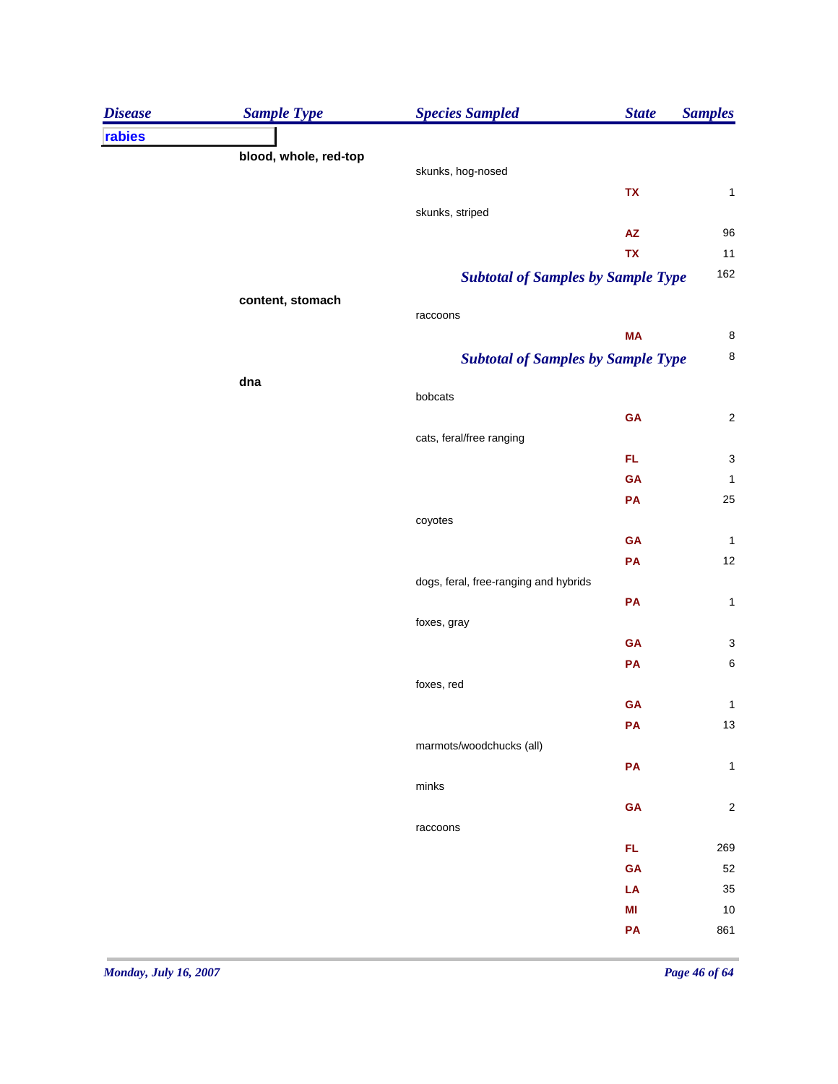| <b>Disease</b> | <b>Sample Type</b>    | <b>Species Sampled</b>                | <b>State</b>                              | <b>Samples</b>          |
|----------------|-----------------------|---------------------------------------|-------------------------------------------|-------------------------|
| rabies         |                       |                                       |                                           |                         |
|                | blood, whole, red-top |                                       |                                           |                         |
|                |                       | skunks, hog-nosed                     |                                           |                         |
|                |                       |                                       | TX                                        | $\mathbf{1}$            |
|                |                       | skunks, striped                       |                                           |                         |
|                |                       |                                       | ${\sf AZ}$<br>TX                          | 96<br>11                |
|                |                       |                                       |                                           | 162                     |
|                |                       |                                       | <b>Subtotal of Samples by Sample Type</b> |                         |
|                | content, stomach      | raccoons                              |                                           |                         |
|                |                       |                                       | <b>MA</b>                                 | 8                       |
|                |                       |                                       | <b>Subtotal of Samples by Sample Type</b> | 8                       |
|                | dna                   |                                       |                                           |                         |
|                |                       | bobcats                               |                                           |                         |
|                |                       |                                       | GA                                        | $\overline{\mathbf{c}}$ |
|                |                       | cats, feral/free ranging              |                                           |                         |
|                |                       |                                       | FL.                                       | 3                       |
|                |                       |                                       | GA                                        | $\mathbf{1}$            |
|                |                       |                                       | PA                                        | 25                      |
|                |                       | coyotes                               |                                           |                         |
|                |                       |                                       | GA                                        | $\mathbf{1}$            |
|                |                       |                                       | PA                                        | 12                      |
|                |                       | dogs, feral, free-ranging and hybrids |                                           |                         |
|                |                       |                                       | PA                                        | $\mathbf{1}$            |
|                |                       | foxes, gray                           |                                           |                         |
|                |                       |                                       | GA                                        | 3                       |
|                |                       |                                       | PA                                        | $\boldsymbol{6}$        |
|                |                       | foxes, red                            | GA                                        | $\mathbf{1}$            |
|                |                       |                                       | PA                                        | 13                      |
|                |                       | marmots/woodchucks (all)              |                                           |                         |
|                |                       |                                       | ${\sf PA}$                                | $\mathbf{1}$            |
|                |                       | minks                                 |                                           |                         |
|                |                       |                                       | ${\sf GA}$                                | $\overline{\mathbf{c}}$ |
|                |                       | raccoons                              |                                           |                         |
|                |                       |                                       | FL.                                       | 269                     |
|                |                       |                                       | GA                                        | 52                      |
|                |                       |                                       | LA                                        | 35                      |
|                |                       |                                       | MI                                        | 10                      |
|                |                       |                                       | PA                                        | 861                     |
|                |                       |                                       |                                           |                         |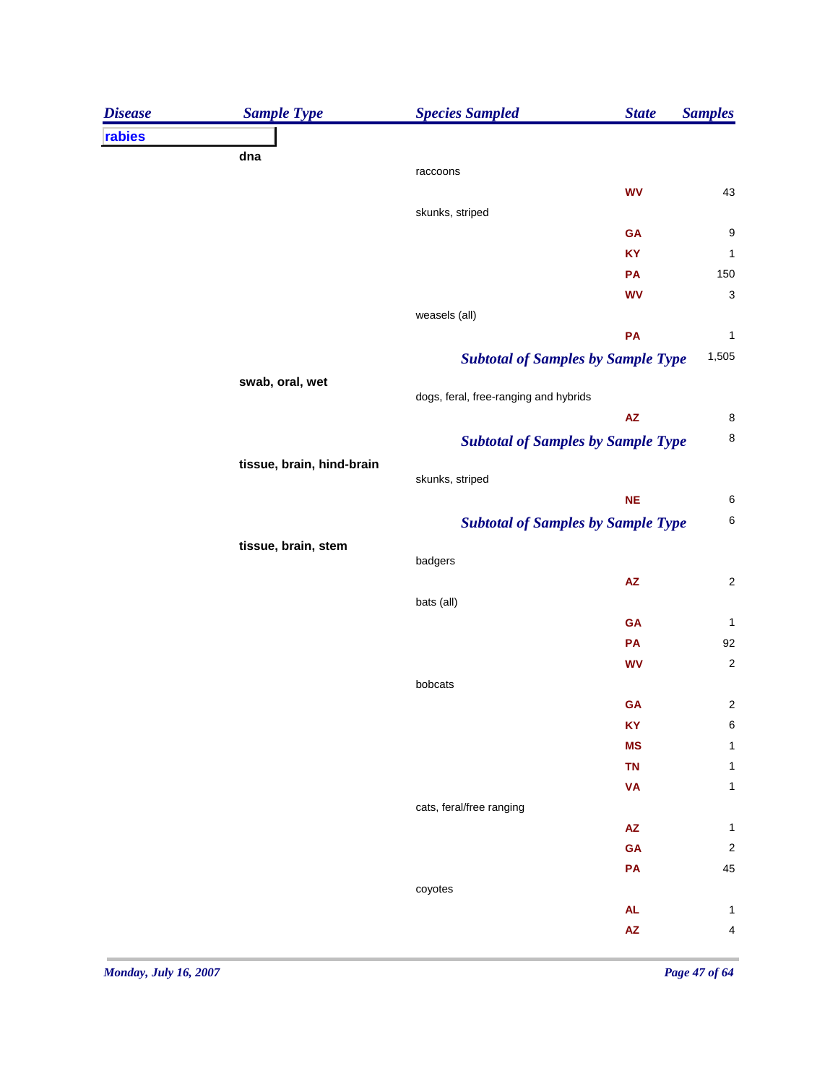| rabies<br>dna<br>raccoons<br>43<br><b>WV</b><br>skunks, striped<br>GA<br>KY<br>150<br>PA<br><b>WV</b><br>weasels (all)<br>PA<br>1,505<br><b>Subtotal of Samples by Sample Type</b><br>swab, oral, wet<br>dogs, feral, free-ranging and hybrids<br>$\mathsf{AZ}$<br><b>Subtotal of Samples by Sample Type</b><br>tissue, brain, hind-brain<br>skunks, striped<br><b>NE</b><br><b>Subtotal of Samples by Sample Type</b><br>tissue, brain, stem<br>badgers<br>${\sf AZ}$<br>bats (all)<br>GA<br>92<br>PA<br><b>WV</b><br>bobcats<br>GA |
|--------------------------------------------------------------------------------------------------------------------------------------------------------------------------------------------------------------------------------------------------------------------------------------------------------------------------------------------------------------------------------------------------------------------------------------------------------------------------------------------------------------------------------------|
|                                                                                                                                                                                                                                                                                                                                                                                                                                                                                                                                      |
|                                                                                                                                                                                                                                                                                                                                                                                                                                                                                                                                      |
|                                                                                                                                                                                                                                                                                                                                                                                                                                                                                                                                      |
|                                                                                                                                                                                                                                                                                                                                                                                                                                                                                                                                      |
|                                                                                                                                                                                                                                                                                                                                                                                                                                                                                                                                      |
|                                                                                                                                                                                                                                                                                                                                                                                                                                                                                                                                      |
|                                                                                                                                                                                                                                                                                                                                                                                                                                                                                                                                      |
|                                                                                                                                                                                                                                                                                                                                                                                                                                                                                                                                      |
|                                                                                                                                                                                                                                                                                                                                                                                                                                                                                                                                      |
|                                                                                                                                                                                                                                                                                                                                                                                                                                                                                                                                      |
|                                                                                                                                                                                                                                                                                                                                                                                                                                                                                                                                      |
|                                                                                                                                                                                                                                                                                                                                                                                                                                                                                                                                      |
|                                                                                                                                                                                                                                                                                                                                                                                                                                                                                                                                      |
|                                                                                                                                                                                                                                                                                                                                                                                                                                                                                                                                      |
|                                                                                                                                                                                                                                                                                                                                                                                                                                                                                                                                      |
|                                                                                                                                                                                                                                                                                                                                                                                                                                                                                                                                      |
|                                                                                                                                                                                                                                                                                                                                                                                                                                                                                                                                      |
|                                                                                                                                                                                                                                                                                                                                                                                                                                                                                                                                      |
|                                                                                                                                                                                                                                                                                                                                                                                                                                                                                                                                      |
|                                                                                                                                                                                                                                                                                                                                                                                                                                                                                                                                      |
|                                                                                                                                                                                                                                                                                                                                                                                                                                                                                                                                      |
|                                                                                                                                                                                                                                                                                                                                                                                                                                                                                                                                      |
|                                                                                                                                                                                                                                                                                                                                                                                                                                                                                                                                      |
|                                                                                                                                                                                                                                                                                                                                                                                                                                                                                                                                      |
|                                                                                                                                                                                                                                                                                                                                                                                                                                                                                                                                      |
|                                                                                                                                                                                                                                                                                                                                                                                                                                                                                                                                      |
|                                                                                                                                                                                                                                                                                                                                                                                                                                                                                                                                      |
| <b>KY</b>                                                                                                                                                                                                                                                                                                                                                                                                                                                                                                                            |
| <b>MS</b>                                                                                                                                                                                                                                                                                                                                                                                                                                                                                                                            |
| <b>TN</b>                                                                                                                                                                                                                                                                                                                                                                                                                                                                                                                            |
| <b>VA</b>                                                                                                                                                                                                                                                                                                                                                                                                                                                                                                                            |
| cats, feral/free ranging                                                                                                                                                                                                                                                                                                                                                                                                                                                                                                             |
| $\mathsf{A}\mathsf{Z}$                                                                                                                                                                                                                                                                                                                                                                                                                                                                                                               |
| GA                                                                                                                                                                                                                                                                                                                                                                                                                                                                                                                                   |
| 45<br>PA                                                                                                                                                                                                                                                                                                                                                                                                                                                                                                                             |
| coyotes                                                                                                                                                                                                                                                                                                                                                                                                                                                                                                                              |
| <b>AL</b>                                                                                                                                                                                                                                                                                                                                                                                                                                                                                                                            |
| ${\sf AZ}$                                                                                                                                                                                                                                                                                                                                                                                                                                                                                                                           |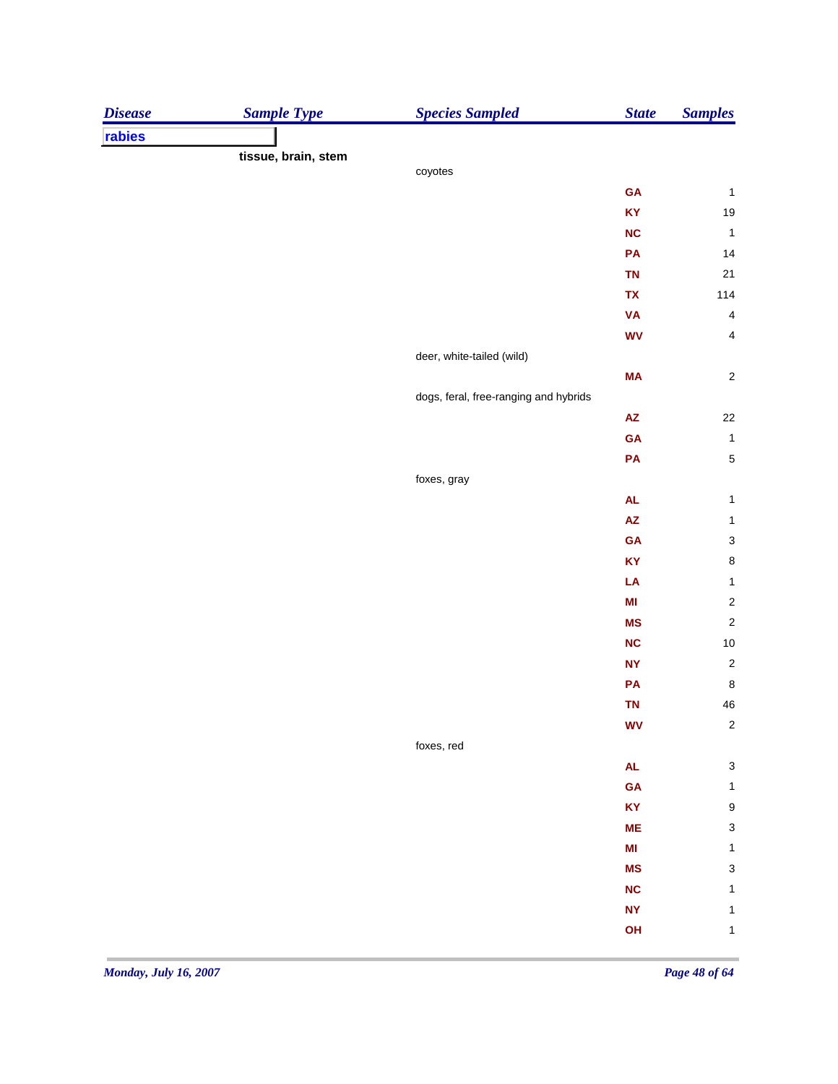| rabies<br>tissue, brain, stem<br>coyotes<br>GA<br>$\mathbf{1}$<br>$19$<br>KY<br><b>NC</b><br>$\mathbf{1}$<br>PA<br>14<br><b>TN</b><br>21<br>TX<br>114<br><b>VA</b><br>$\overline{4}$<br><b>WV</b><br>$\overline{\mathbf{4}}$<br>deer, white-tailed (wild)<br>MA<br>$\mathbf 2$<br>dogs, feral, free-ranging and hybrids<br>22<br>$\mathsf{A}\mathsf{Z}$<br>GA<br>$\mathbf{1}$<br>$\sqrt{5}$<br>PA<br>foxes, gray<br>${\sf AL}$<br>$\mathbf{1}$<br>$\mathsf{A}\mathsf{Z}$<br>$\mathbf{1}$<br>$\ensuremath{\mathsf{3}}$<br>GA<br>$\bf8$<br>KY<br>LA<br>$\mathbf 1$<br>M <sub>l</sub><br>$\overline{\mathbf{c}}$<br>$\overline{\mathbf{c}}$<br><b>MS</b><br>$10$<br><b>NC</b><br><b>NY</b><br>PA<br>TN<br><b>WV</b><br>foxes, red<br>$\mathsf{AL}$<br><b>GA</b><br>$\mathbf{1}$<br>$\boldsymbol{9}$<br>KY<br><b>ME</b><br>$\mathbf{1}$<br>$\mathsf{MI}$<br>$\mathsf 3$<br><b>MS</b><br><b>NC</b><br>1<br><b>NY</b><br>$\mathbf{1}$<br>OH<br>$\mathbf{1}$ | <b>Disease</b> | <b>Sample Type</b> | <b>Species Sampled</b> | <b>State</b> | <b>Samples</b>            |
|-------------------------------------------------------------------------------------------------------------------------------------------------------------------------------------------------------------------------------------------------------------------------------------------------------------------------------------------------------------------------------------------------------------------------------------------------------------------------------------------------------------------------------------------------------------------------------------------------------------------------------------------------------------------------------------------------------------------------------------------------------------------------------------------------------------------------------------------------------------------------------------------------------------------------------------------------------|----------------|--------------------|------------------------|--------------|---------------------------|
|                                                                                                                                                                                                                                                                                                                                                                                                                                                                                                                                                                                                                                                                                                                                                                                                                                                                                                                                                       |                |                    |                        |              |                           |
|                                                                                                                                                                                                                                                                                                                                                                                                                                                                                                                                                                                                                                                                                                                                                                                                                                                                                                                                                       |                |                    |                        |              |                           |
|                                                                                                                                                                                                                                                                                                                                                                                                                                                                                                                                                                                                                                                                                                                                                                                                                                                                                                                                                       |                |                    |                        |              |                           |
|                                                                                                                                                                                                                                                                                                                                                                                                                                                                                                                                                                                                                                                                                                                                                                                                                                                                                                                                                       |                |                    |                        |              |                           |
|                                                                                                                                                                                                                                                                                                                                                                                                                                                                                                                                                                                                                                                                                                                                                                                                                                                                                                                                                       |                |                    |                        |              |                           |
|                                                                                                                                                                                                                                                                                                                                                                                                                                                                                                                                                                                                                                                                                                                                                                                                                                                                                                                                                       |                |                    |                        |              |                           |
|                                                                                                                                                                                                                                                                                                                                                                                                                                                                                                                                                                                                                                                                                                                                                                                                                                                                                                                                                       |                |                    |                        |              |                           |
|                                                                                                                                                                                                                                                                                                                                                                                                                                                                                                                                                                                                                                                                                                                                                                                                                                                                                                                                                       |                |                    |                        |              |                           |
|                                                                                                                                                                                                                                                                                                                                                                                                                                                                                                                                                                                                                                                                                                                                                                                                                                                                                                                                                       |                |                    |                        |              |                           |
|                                                                                                                                                                                                                                                                                                                                                                                                                                                                                                                                                                                                                                                                                                                                                                                                                                                                                                                                                       |                |                    |                        |              |                           |
|                                                                                                                                                                                                                                                                                                                                                                                                                                                                                                                                                                                                                                                                                                                                                                                                                                                                                                                                                       |                |                    |                        |              |                           |
|                                                                                                                                                                                                                                                                                                                                                                                                                                                                                                                                                                                                                                                                                                                                                                                                                                                                                                                                                       |                |                    |                        |              |                           |
|                                                                                                                                                                                                                                                                                                                                                                                                                                                                                                                                                                                                                                                                                                                                                                                                                                                                                                                                                       |                |                    |                        |              |                           |
|                                                                                                                                                                                                                                                                                                                                                                                                                                                                                                                                                                                                                                                                                                                                                                                                                                                                                                                                                       |                |                    |                        |              |                           |
|                                                                                                                                                                                                                                                                                                                                                                                                                                                                                                                                                                                                                                                                                                                                                                                                                                                                                                                                                       |                |                    |                        |              |                           |
|                                                                                                                                                                                                                                                                                                                                                                                                                                                                                                                                                                                                                                                                                                                                                                                                                                                                                                                                                       |                |                    |                        |              |                           |
|                                                                                                                                                                                                                                                                                                                                                                                                                                                                                                                                                                                                                                                                                                                                                                                                                                                                                                                                                       |                |                    |                        |              |                           |
|                                                                                                                                                                                                                                                                                                                                                                                                                                                                                                                                                                                                                                                                                                                                                                                                                                                                                                                                                       |                |                    |                        |              |                           |
|                                                                                                                                                                                                                                                                                                                                                                                                                                                                                                                                                                                                                                                                                                                                                                                                                                                                                                                                                       |                |                    |                        |              |                           |
|                                                                                                                                                                                                                                                                                                                                                                                                                                                                                                                                                                                                                                                                                                                                                                                                                                                                                                                                                       |                |                    |                        |              |                           |
|                                                                                                                                                                                                                                                                                                                                                                                                                                                                                                                                                                                                                                                                                                                                                                                                                                                                                                                                                       |                |                    |                        |              |                           |
|                                                                                                                                                                                                                                                                                                                                                                                                                                                                                                                                                                                                                                                                                                                                                                                                                                                                                                                                                       |                |                    |                        |              |                           |
|                                                                                                                                                                                                                                                                                                                                                                                                                                                                                                                                                                                                                                                                                                                                                                                                                                                                                                                                                       |                |                    |                        |              |                           |
|                                                                                                                                                                                                                                                                                                                                                                                                                                                                                                                                                                                                                                                                                                                                                                                                                                                                                                                                                       |                |                    |                        |              |                           |
|                                                                                                                                                                                                                                                                                                                                                                                                                                                                                                                                                                                                                                                                                                                                                                                                                                                                                                                                                       |                |                    |                        |              |                           |
|                                                                                                                                                                                                                                                                                                                                                                                                                                                                                                                                                                                                                                                                                                                                                                                                                                                                                                                                                       |                |                    |                        |              | $\sqrt{2}$                |
|                                                                                                                                                                                                                                                                                                                                                                                                                                                                                                                                                                                                                                                                                                                                                                                                                                                                                                                                                       |                |                    |                        |              | $\bf 8$                   |
|                                                                                                                                                                                                                                                                                                                                                                                                                                                                                                                                                                                                                                                                                                                                                                                                                                                                                                                                                       |                |                    |                        |              | ${\bf 46}$                |
|                                                                                                                                                                                                                                                                                                                                                                                                                                                                                                                                                                                                                                                                                                                                                                                                                                                                                                                                                       |                |                    |                        |              | $\sqrt{2}$                |
|                                                                                                                                                                                                                                                                                                                                                                                                                                                                                                                                                                                                                                                                                                                                                                                                                                                                                                                                                       |                |                    |                        |              |                           |
|                                                                                                                                                                                                                                                                                                                                                                                                                                                                                                                                                                                                                                                                                                                                                                                                                                                                                                                                                       |                |                    |                        |              | $\ensuremath{\mathsf{3}}$ |
|                                                                                                                                                                                                                                                                                                                                                                                                                                                                                                                                                                                                                                                                                                                                                                                                                                                                                                                                                       |                |                    |                        |              |                           |
|                                                                                                                                                                                                                                                                                                                                                                                                                                                                                                                                                                                                                                                                                                                                                                                                                                                                                                                                                       |                |                    |                        |              |                           |
|                                                                                                                                                                                                                                                                                                                                                                                                                                                                                                                                                                                                                                                                                                                                                                                                                                                                                                                                                       |                |                    |                        |              | $\ensuremath{\mathsf{3}}$ |
|                                                                                                                                                                                                                                                                                                                                                                                                                                                                                                                                                                                                                                                                                                                                                                                                                                                                                                                                                       |                |                    |                        |              |                           |
|                                                                                                                                                                                                                                                                                                                                                                                                                                                                                                                                                                                                                                                                                                                                                                                                                                                                                                                                                       |                |                    |                        |              |                           |
|                                                                                                                                                                                                                                                                                                                                                                                                                                                                                                                                                                                                                                                                                                                                                                                                                                                                                                                                                       |                |                    |                        |              |                           |
|                                                                                                                                                                                                                                                                                                                                                                                                                                                                                                                                                                                                                                                                                                                                                                                                                                                                                                                                                       |                |                    |                        |              |                           |
|                                                                                                                                                                                                                                                                                                                                                                                                                                                                                                                                                                                                                                                                                                                                                                                                                                                                                                                                                       |                |                    |                        |              |                           |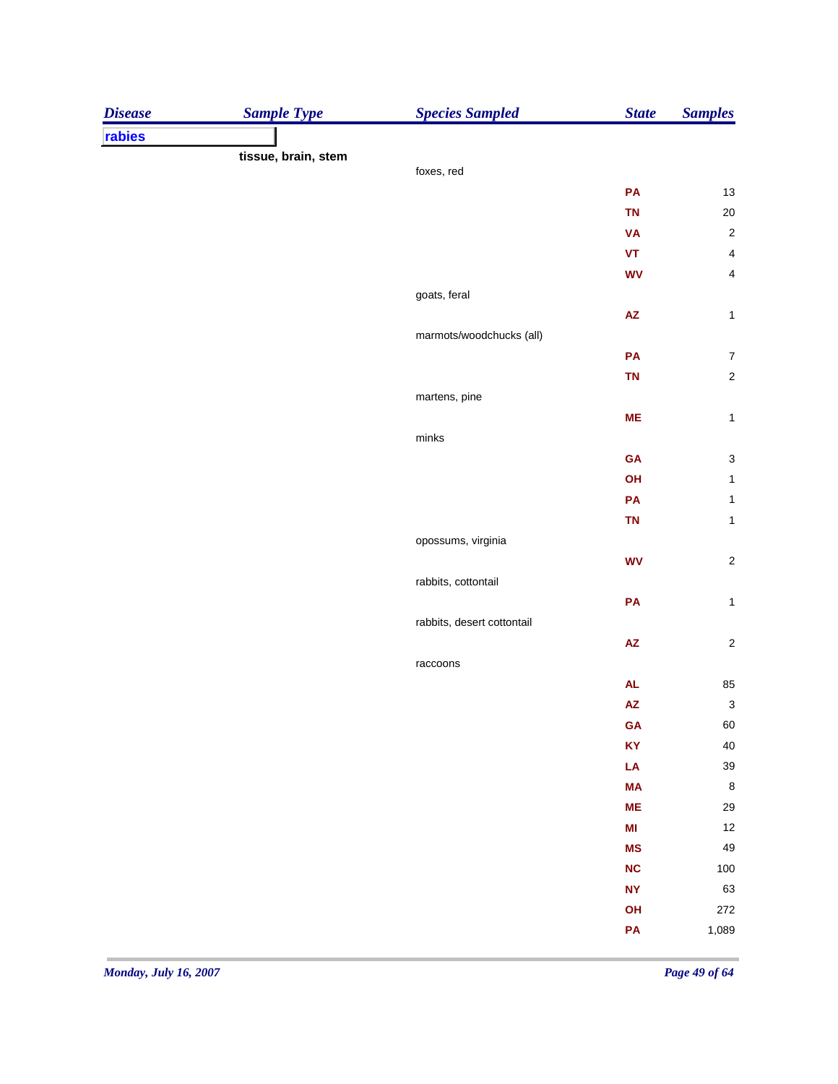| <b>Disease</b> | <b>Sample Type</b>  | <b>Species Sampled</b>     | <b>State</b>           | <b>Samples</b>            |
|----------------|---------------------|----------------------------|------------------------|---------------------------|
| rabies         |                     |                            |                        |                           |
|                | tissue, brain, stem |                            |                        |                           |
|                |                     | foxes, red                 |                        |                           |
|                |                     |                            | PA                     | $13\,$                    |
|                |                     |                            | <b>TN</b>              | $20\,$                    |
|                |                     |                            | <b>VA</b>              | $\sqrt{2}$                |
|                |                     |                            | $\pmb{\mathsf{VT}}$    | $\overline{4}$            |
|                |                     |                            | <b>WV</b>              | $\overline{4}$            |
|                |                     | goats, feral               |                        |                           |
|                |                     |                            | $\mathsf{A}\mathsf{Z}$ | $\mathbf{1}$              |
|                |                     | marmots/woodchucks (all)   |                        |                           |
|                |                     |                            | PA                     | $\boldsymbol{7}$          |
|                |                     |                            | TN                     | $\sqrt{2}$                |
|                |                     | martens, pine              |                        |                           |
|                |                     |                            | ME                     | $\mathbf{1}$              |
|                |                     | $\textsf{minks}$           |                        |                           |
|                |                     |                            | GA                     | $\ensuremath{\mathsf{3}}$ |
|                |                     |                            | OH                     | $\mathbf{1}$              |
|                |                     |                            | PA                     | $\mathbf{1}$              |
|                |                     |                            | TN                     | $\mathbf 1$               |
|                |                     | opossums, virginia         |                        |                           |
|                |                     |                            | <b>WV</b>              | $\sqrt{2}$                |
|                |                     | rabbits, cottontail        |                        |                           |
|                |                     |                            | PA                     | $\mathbf{1}$              |
|                |                     | rabbits, desert cottontail |                        |                           |
|                |                     |                            | ${\sf AZ}$             | $\sqrt{2}$                |
|                |                     | raccoons                   |                        |                           |
|                |                     |                            | AL                     | 85                        |
|                |                     |                            | ${\sf AZ}$             | $\ensuremath{\mathsf{3}}$ |
|                |                     |                            | GA                     | 60                        |
|                |                     |                            | KY                     | 40                        |
|                |                     |                            | LA                     | 39                        |
|                |                     |                            | <b>MA</b>              | $\,$ 8 $\,$               |
|                |                     |                            | ME                     | 29                        |
|                |                     |                            | $\mathsf{MI}$          | 12                        |
|                |                     |                            | <b>MS</b>              | 49                        |
|                |                     |                            | NC                     | 100                       |
|                |                     |                            | <b>NY</b>              | 63                        |
|                |                     |                            | OH                     | 272                       |
|                |                     |                            | PA                     | 1,089                     |
|                |                     |                            |                        |                           |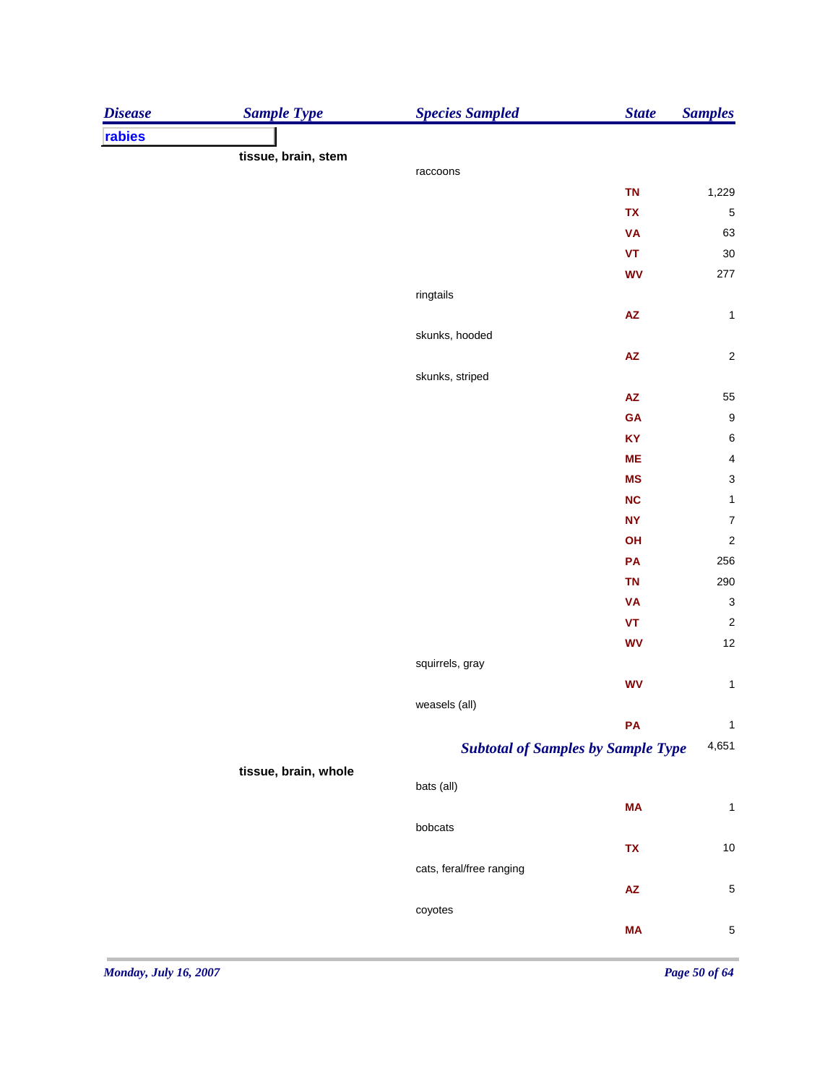| rabies<br>tissue, brain, stem<br>raccoons<br><b>TN</b><br>1,229<br>TX<br>5<br><b>VA</b><br>63<br>$\pmb{\mathsf{VT}}$<br>30<br><b>WV</b><br>277<br>ringtails<br>$\mathsf{A}\mathsf{Z}$<br>$\mathbf{1}$<br>skunks, hooded<br>$\overline{\mathbf{c}}$<br>$\mathsf{A}\mathsf{Z}$<br>skunks, striped<br>55<br>$\mathsf{A}\mathsf{Z}$<br>9<br>GA<br>$\boldsymbol{6}$<br>KY<br>$\overline{\mathbf{4}}$<br><b>ME</b><br>3<br><b>MS</b><br>$\mathbf{1}$<br>NC<br>$\overline{7}$<br><b>NY</b><br>$\overline{c}$<br>OH<br>256<br>PA<br>290<br><b>TN</b><br><b>VA</b><br>$\mathbf{3}$<br>$\pmb{\mathsf{VT}}$<br>$\overline{\mathbf{c}}$<br>12<br><b>WV</b><br>squirrels, gray<br>$\mathbf{1}$<br><b>WV</b><br>weasels (all)<br>$\mathbf{1}$<br>PA<br>4,651<br><b>Subtotal of Samples by Sample Type</b><br>tissue, brain, whole<br>bats (all)<br><b>MA</b><br>$\mathbf{1}$<br>bobcats<br>$10$<br>TX<br>cats, feral/free ranging<br>$\mathsf{AZ}$<br>5<br>coyotes<br><b>MA</b><br>5 | <b>Disease</b> | <b>Sample Type</b> | <b>Species Sampled</b> | <b>State</b> | <b>Samples</b> |
|------------------------------------------------------------------------------------------------------------------------------------------------------------------------------------------------------------------------------------------------------------------------------------------------------------------------------------------------------------------------------------------------------------------------------------------------------------------------------------------------------------------------------------------------------------------------------------------------------------------------------------------------------------------------------------------------------------------------------------------------------------------------------------------------------------------------------------------------------------------------------------------------------------------------------------------------------------------------|----------------|--------------------|------------------------|--------------|----------------|
|                                                                                                                                                                                                                                                                                                                                                                                                                                                                                                                                                                                                                                                                                                                                                                                                                                                                                                                                                                        |                |                    |                        |              |                |
|                                                                                                                                                                                                                                                                                                                                                                                                                                                                                                                                                                                                                                                                                                                                                                                                                                                                                                                                                                        |                |                    |                        |              |                |
|                                                                                                                                                                                                                                                                                                                                                                                                                                                                                                                                                                                                                                                                                                                                                                                                                                                                                                                                                                        |                |                    |                        |              |                |
|                                                                                                                                                                                                                                                                                                                                                                                                                                                                                                                                                                                                                                                                                                                                                                                                                                                                                                                                                                        |                |                    |                        |              |                |
|                                                                                                                                                                                                                                                                                                                                                                                                                                                                                                                                                                                                                                                                                                                                                                                                                                                                                                                                                                        |                |                    |                        |              |                |
|                                                                                                                                                                                                                                                                                                                                                                                                                                                                                                                                                                                                                                                                                                                                                                                                                                                                                                                                                                        |                |                    |                        |              |                |
|                                                                                                                                                                                                                                                                                                                                                                                                                                                                                                                                                                                                                                                                                                                                                                                                                                                                                                                                                                        |                |                    |                        |              |                |
|                                                                                                                                                                                                                                                                                                                                                                                                                                                                                                                                                                                                                                                                                                                                                                                                                                                                                                                                                                        |                |                    |                        |              |                |
|                                                                                                                                                                                                                                                                                                                                                                                                                                                                                                                                                                                                                                                                                                                                                                                                                                                                                                                                                                        |                |                    |                        |              |                |
|                                                                                                                                                                                                                                                                                                                                                                                                                                                                                                                                                                                                                                                                                                                                                                                                                                                                                                                                                                        |                |                    |                        |              |                |
|                                                                                                                                                                                                                                                                                                                                                                                                                                                                                                                                                                                                                                                                                                                                                                                                                                                                                                                                                                        |                |                    |                        |              |                |
|                                                                                                                                                                                                                                                                                                                                                                                                                                                                                                                                                                                                                                                                                                                                                                                                                                                                                                                                                                        |                |                    |                        |              |                |
|                                                                                                                                                                                                                                                                                                                                                                                                                                                                                                                                                                                                                                                                                                                                                                                                                                                                                                                                                                        |                |                    |                        |              |                |
|                                                                                                                                                                                                                                                                                                                                                                                                                                                                                                                                                                                                                                                                                                                                                                                                                                                                                                                                                                        |                |                    |                        |              |                |
|                                                                                                                                                                                                                                                                                                                                                                                                                                                                                                                                                                                                                                                                                                                                                                                                                                                                                                                                                                        |                |                    |                        |              |                |
|                                                                                                                                                                                                                                                                                                                                                                                                                                                                                                                                                                                                                                                                                                                                                                                                                                                                                                                                                                        |                |                    |                        |              |                |
|                                                                                                                                                                                                                                                                                                                                                                                                                                                                                                                                                                                                                                                                                                                                                                                                                                                                                                                                                                        |                |                    |                        |              |                |
|                                                                                                                                                                                                                                                                                                                                                                                                                                                                                                                                                                                                                                                                                                                                                                                                                                                                                                                                                                        |                |                    |                        |              |                |
|                                                                                                                                                                                                                                                                                                                                                                                                                                                                                                                                                                                                                                                                                                                                                                                                                                                                                                                                                                        |                |                    |                        |              |                |
|                                                                                                                                                                                                                                                                                                                                                                                                                                                                                                                                                                                                                                                                                                                                                                                                                                                                                                                                                                        |                |                    |                        |              |                |
|                                                                                                                                                                                                                                                                                                                                                                                                                                                                                                                                                                                                                                                                                                                                                                                                                                                                                                                                                                        |                |                    |                        |              |                |
|                                                                                                                                                                                                                                                                                                                                                                                                                                                                                                                                                                                                                                                                                                                                                                                                                                                                                                                                                                        |                |                    |                        |              |                |
|                                                                                                                                                                                                                                                                                                                                                                                                                                                                                                                                                                                                                                                                                                                                                                                                                                                                                                                                                                        |                |                    |                        |              |                |
|                                                                                                                                                                                                                                                                                                                                                                                                                                                                                                                                                                                                                                                                                                                                                                                                                                                                                                                                                                        |                |                    |                        |              |                |
|                                                                                                                                                                                                                                                                                                                                                                                                                                                                                                                                                                                                                                                                                                                                                                                                                                                                                                                                                                        |                |                    |                        |              |                |
|                                                                                                                                                                                                                                                                                                                                                                                                                                                                                                                                                                                                                                                                                                                                                                                                                                                                                                                                                                        |                |                    |                        |              |                |
|                                                                                                                                                                                                                                                                                                                                                                                                                                                                                                                                                                                                                                                                                                                                                                                                                                                                                                                                                                        |                |                    |                        |              |                |
|                                                                                                                                                                                                                                                                                                                                                                                                                                                                                                                                                                                                                                                                                                                                                                                                                                                                                                                                                                        |                |                    |                        |              |                |
|                                                                                                                                                                                                                                                                                                                                                                                                                                                                                                                                                                                                                                                                                                                                                                                                                                                                                                                                                                        |                |                    |                        |              |                |
|                                                                                                                                                                                                                                                                                                                                                                                                                                                                                                                                                                                                                                                                                                                                                                                                                                                                                                                                                                        |                |                    |                        |              |                |
|                                                                                                                                                                                                                                                                                                                                                                                                                                                                                                                                                                                                                                                                                                                                                                                                                                                                                                                                                                        |                |                    |                        |              |                |
|                                                                                                                                                                                                                                                                                                                                                                                                                                                                                                                                                                                                                                                                                                                                                                                                                                                                                                                                                                        |                |                    |                        |              |                |
|                                                                                                                                                                                                                                                                                                                                                                                                                                                                                                                                                                                                                                                                                                                                                                                                                                                                                                                                                                        |                |                    |                        |              |                |
|                                                                                                                                                                                                                                                                                                                                                                                                                                                                                                                                                                                                                                                                                                                                                                                                                                                                                                                                                                        |                |                    |                        |              |                |
|                                                                                                                                                                                                                                                                                                                                                                                                                                                                                                                                                                                                                                                                                                                                                                                                                                                                                                                                                                        |                |                    |                        |              |                |
|                                                                                                                                                                                                                                                                                                                                                                                                                                                                                                                                                                                                                                                                                                                                                                                                                                                                                                                                                                        |                |                    |                        |              |                |
|                                                                                                                                                                                                                                                                                                                                                                                                                                                                                                                                                                                                                                                                                                                                                                                                                                                                                                                                                                        |                |                    |                        |              |                |
|                                                                                                                                                                                                                                                                                                                                                                                                                                                                                                                                                                                                                                                                                                                                                                                                                                                                                                                                                                        |                |                    |                        |              |                |
|                                                                                                                                                                                                                                                                                                                                                                                                                                                                                                                                                                                                                                                                                                                                                                                                                                                                                                                                                                        |                |                    |                        |              |                |
|                                                                                                                                                                                                                                                                                                                                                                                                                                                                                                                                                                                                                                                                                                                                                                                                                                                                                                                                                                        |                |                    |                        |              |                |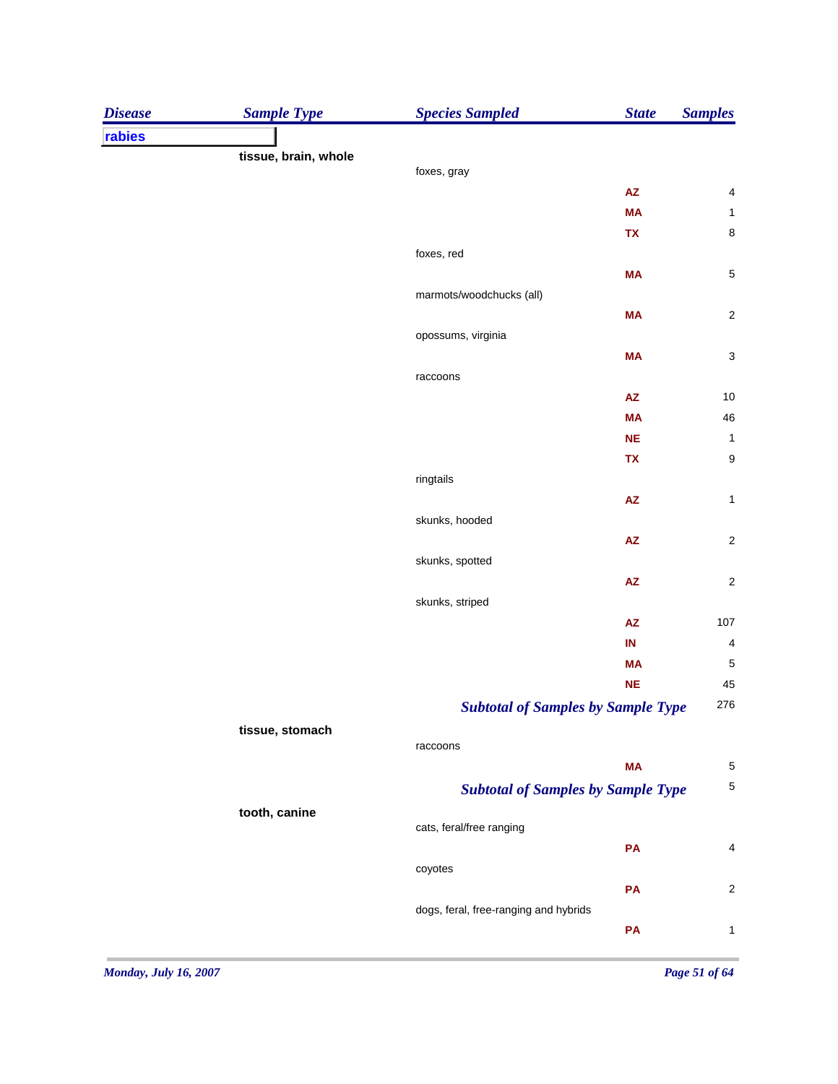| rabies<br>tissue, brain, whole<br>foxes, gray<br>${\sf AZ}$<br>$\overline{\mathcal{A}}$<br>$\mathbf{1}$<br><b>MA</b><br>8<br>TX<br>foxes, red<br>5<br><b>MA</b><br>marmots/woodchucks (all)<br>$\overline{c}$<br><b>MA</b><br>opossums, virginia<br>3<br><b>MA</b><br>raccoons<br>10<br>$\mathsf{A}\mathsf{Z}$<br>46<br><b>MA</b><br>$\mathbf{1}$<br><b>NE</b><br>9<br>TX<br>ringtails<br>$\pmb{\mathsf{AZ}}$<br>$\mathbf 1$<br>skunks, hooded<br>$\overline{\mathbf{c}}$<br>$\mathsf{A}\mathsf{Z}$<br>skunks, spotted<br>${\sf AZ}$<br>$\overline{c}$<br>skunks, striped<br>$\pmb{\mathsf{AZ}}$<br>107<br>$\overline{\mathbf{4}}$<br>IN<br><b>MA</b><br>NE<br><b>Subtotal of Samples by Sample Type</b><br>tissue, stomach<br>raccoons<br><b>MA</b><br><b>Subtotal of Samples by Sample Type</b><br>tooth, canine<br>cats, feral/free ranging<br>PA<br>coyotes<br>PA<br>dogs, feral, free-ranging and hybrids<br>PA | <b>Disease</b> | <b>Sample Type</b> | <b>Species Sampled</b> | <b>State</b> | <b>Samples</b>          |
|----------------------------------------------------------------------------------------------------------------------------------------------------------------------------------------------------------------------------------------------------------------------------------------------------------------------------------------------------------------------------------------------------------------------------------------------------------------------------------------------------------------------------------------------------------------------------------------------------------------------------------------------------------------------------------------------------------------------------------------------------------------------------------------------------------------------------------------------------------------------------------------------------------------------|----------------|--------------------|------------------------|--------------|-------------------------|
|                                                                                                                                                                                                                                                                                                                                                                                                                                                                                                                                                                                                                                                                                                                                                                                                                                                                                                                      |                |                    |                        |              |                         |
|                                                                                                                                                                                                                                                                                                                                                                                                                                                                                                                                                                                                                                                                                                                                                                                                                                                                                                                      |                |                    |                        |              |                         |
|                                                                                                                                                                                                                                                                                                                                                                                                                                                                                                                                                                                                                                                                                                                                                                                                                                                                                                                      |                |                    |                        |              |                         |
|                                                                                                                                                                                                                                                                                                                                                                                                                                                                                                                                                                                                                                                                                                                                                                                                                                                                                                                      |                |                    |                        |              |                         |
|                                                                                                                                                                                                                                                                                                                                                                                                                                                                                                                                                                                                                                                                                                                                                                                                                                                                                                                      |                |                    |                        |              |                         |
|                                                                                                                                                                                                                                                                                                                                                                                                                                                                                                                                                                                                                                                                                                                                                                                                                                                                                                                      |                |                    |                        |              |                         |
|                                                                                                                                                                                                                                                                                                                                                                                                                                                                                                                                                                                                                                                                                                                                                                                                                                                                                                                      |                |                    |                        |              |                         |
|                                                                                                                                                                                                                                                                                                                                                                                                                                                                                                                                                                                                                                                                                                                                                                                                                                                                                                                      |                |                    |                        |              |                         |
|                                                                                                                                                                                                                                                                                                                                                                                                                                                                                                                                                                                                                                                                                                                                                                                                                                                                                                                      |                |                    |                        |              |                         |
|                                                                                                                                                                                                                                                                                                                                                                                                                                                                                                                                                                                                                                                                                                                                                                                                                                                                                                                      |                |                    |                        |              |                         |
|                                                                                                                                                                                                                                                                                                                                                                                                                                                                                                                                                                                                                                                                                                                                                                                                                                                                                                                      |                |                    |                        |              |                         |
|                                                                                                                                                                                                                                                                                                                                                                                                                                                                                                                                                                                                                                                                                                                                                                                                                                                                                                                      |                |                    |                        |              |                         |
|                                                                                                                                                                                                                                                                                                                                                                                                                                                                                                                                                                                                                                                                                                                                                                                                                                                                                                                      |                |                    |                        |              |                         |
|                                                                                                                                                                                                                                                                                                                                                                                                                                                                                                                                                                                                                                                                                                                                                                                                                                                                                                                      |                |                    |                        |              |                         |
|                                                                                                                                                                                                                                                                                                                                                                                                                                                                                                                                                                                                                                                                                                                                                                                                                                                                                                                      |                |                    |                        |              |                         |
|                                                                                                                                                                                                                                                                                                                                                                                                                                                                                                                                                                                                                                                                                                                                                                                                                                                                                                                      |                |                    |                        |              |                         |
|                                                                                                                                                                                                                                                                                                                                                                                                                                                                                                                                                                                                                                                                                                                                                                                                                                                                                                                      |                |                    |                        |              |                         |
|                                                                                                                                                                                                                                                                                                                                                                                                                                                                                                                                                                                                                                                                                                                                                                                                                                                                                                                      |                |                    |                        |              |                         |
|                                                                                                                                                                                                                                                                                                                                                                                                                                                                                                                                                                                                                                                                                                                                                                                                                                                                                                                      |                |                    |                        |              |                         |
|                                                                                                                                                                                                                                                                                                                                                                                                                                                                                                                                                                                                                                                                                                                                                                                                                                                                                                                      |                |                    |                        |              |                         |
|                                                                                                                                                                                                                                                                                                                                                                                                                                                                                                                                                                                                                                                                                                                                                                                                                                                                                                                      |                |                    |                        |              |                         |
|                                                                                                                                                                                                                                                                                                                                                                                                                                                                                                                                                                                                                                                                                                                                                                                                                                                                                                                      |                |                    |                        |              |                         |
|                                                                                                                                                                                                                                                                                                                                                                                                                                                                                                                                                                                                                                                                                                                                                                                                                                                                                                                      |                |                    |                        |              |                         |
|                                                                                                                                                                                                                                                                                                                                                                                                                                                                                                                                                                                                                                                                                                                                                                                                                                                                                                                      |                |                    |                        |              |                         |
|                                                                                                                                                                                                                                                                                                                                                                                                                                                                                                                                                                                                                                                                                                                                                                                                                                                                                                                      |                |                    |                        |              |                         |
|                                                                                                                                                                                                                                                                                                                                                                                                                                                                                                                                                                                                                                                                                                                                                                                                                                                                                                                      |                |                    |                        |              | $\sqrt{5}$              |
|                                                                                                                                                                                                                                                                                                                                                                                                                                                                                                                                                                                                                                                                                                                                                                                                                                                                                                                      |                |                    |                        |              | 45                      |
|                                                                                                                                                                                                                                                                                                                                                                                                                                                                                                                                                                                                                                                                                                                                                                                                                                                                                                                      |                |                    |                        |              | 276                     |
|                                                                                                                                                                                                                                                                                                                                                                                                                                                                                                                                                                                                                                                                                                                                                                                                                                                                                                                      |                |                    |                        |              |                         |
|                                                                                                                                                                                                                                                                                                                                                                                                                                                                                                                                                                                                                                                                                                                                                                                                                                                                                                                      |                |                    |                        |              |                         |
|                                                                                                                                                                                                                                                                                                                                                                                                                                                                                                                                                                                                                                                                                                                                                                                                                                                                                                                      |                |                    |                        |              | 5                       |
|                                                                                                                                                                                                                                                                                                                                                                                                                                                                                                                                                                                                                                                                                                                                                                                                                                                                                                                      |                |                    |                        |              | 5                       |
|                                                                                                                                                                                                                                                                                                                                                                                                                                                                                                                                                                                                                                                                                                                                                                                                                                                                                                                      |                |                    |                        |              |                         |
|                                                                                                                                                                                                                                                                                                                                                                                                                                                                                                                                                                                                                                                                                                                                                                                                                                                                                                                      |                |                    |                        |              |                         |
|                                                                                                                                                                                                                                                                                                                                                                                                                                                                                                                                                                                                                                                                                                                                                                                                                                                                                                                      |                |                    |                        |              | 4                       |
|                                                                                                                                                                                                                                                                                                                                                                                                                                                                                                                                                                                                                                                                                                                                                                                                                                                                                                                      |                |                    |                        |              |                         |
|                                                                                                                                                                                                                                                                                                                                                                                                                                                                                                                                                                                                                                                                                                                                                                                                                                                                                                                      |                |                    |                        |              | $\overline{\mathbf{c}}$ |
|                                                                                                                                                                                                                                                                                                                                                                                                                                                                                                                                                                                                                                                                                                                                                                                                                                                                                                                      |                |                    |                        |              |                         |
|                                                                                                                                                                                                                                                                                                                                                                                                                                                                                                                                                                                                                                                                                                                                                                                                                                                                                                                      |                |                    |                        |              | $\mathbf{1}$            |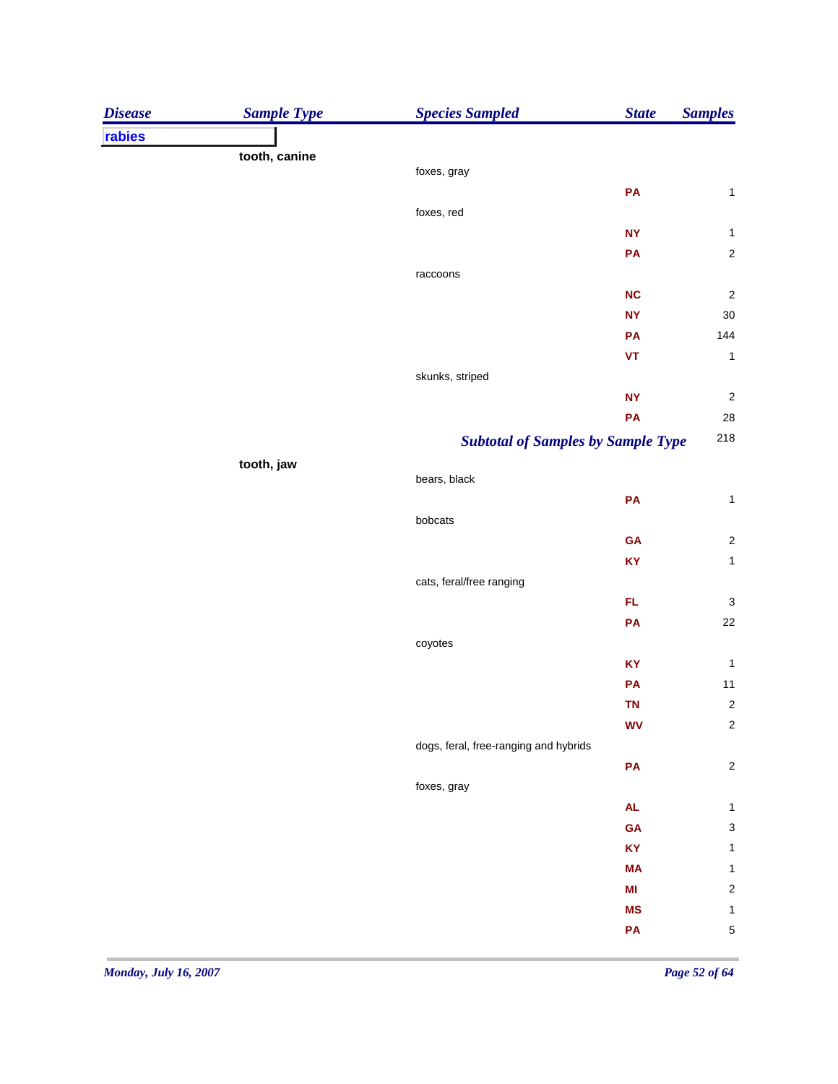| <b>Disease</b> | <b>Sample Type</b> | <b>Species Sampled</b>                | <b>State</b>                              | <b>Samples</b>            |
|----------------|--------------------|---------------------------------------|-------------------------------------------|---------------------------|
| rabies         |                    |                                       |                                           |                           |
|                | tooth, canine      |                                       |                                           |                           |
|                |                    | foxes, gray                           |                                           |                           |
|                |                    |                                       | PA                                        | $\mathbf{1}$              |
|                |                    | foxes, red                            | <b>NY</b>                                 | $\mathbf{1}$              |
|                |                    |                                       | PA                                        | $\mathbf 2$               |
|                |                    | raccoons                              |                                           |                           |
|                |                    |                                       | NC                                        | $\sqrt{2}$                |
|                |                    |                                       | <b>NY</b>                                 | $30\,$                    |
|                |                    |                                       | PA                                        | 144                       |
|                |                    |                                       | VT                                        | $\mathbf{1}$              |
|                |                    | skunks, striped                       |                                           |                           |
|                |                    |                                       | <b>NY</b>                                 | $\sqrt{2}$                |
|                |                    |                                       | PA                                        | 28                        |
|                |                    |                                       | <b>Subtotal of Samples by Sample Type</b> | 218                       |
|                | tooth, jaw         |                                       |                                           |                           |
|                |                    | bears, black                          |                                           |                           |
|                |                    |                                       | PA                                        | $\mathbf{1}$              |
|                |                    | bobcats                               |                                           |                           |
|                |                    |                                       | GA                                        | $\sqrt{2}$                |
|                |                    |                                       | KY                                        | $\mathbf{1}$              |
|                |                    | cats, feral/free ranging              |                                           |                           |
|                |                    |                                       | FL.                                       | $\ensuremath{\mathsf{3}}$ |
|                |                    |                                       | PA                                        | $22\,$                    |
|                |                    | coyotes                               |                                           |                           |
|                |                    |                                       | KY                                        | $\mathbf{1}$              |
|                |                    |                                       | PA                                        | $11$                      |
|                |                    |                                       | <b>TN</b>                                 | $\sqrt{2}$                |
|                |                    |                                       | <b>WV</b>                                 | $\boldsymbol{2}$          |
|                |                    | dogs, feral, free-ranging and hybrids |                                           |                           |
|                |                    |                                       | PA                                        | $\boldsymbol{2}$          |
|                |                    | foxes, gray                           |                                           |                           |
|                |                    |                                       | <b>AL</b>                                 | $\mathbf 1$               |
|                |                    |                                       | GA                                        | $\ensuremath{\mathsf{3}}$ |
|                |                    |                                       | KY                                        | $\mathbf 1$               |
|                |                    |                                       | <b>MA</b>                                 | $\mathbf{1}$              |
|                |                    |                                       | MI<br><b>MS</b>                           | $\boldsymbol{2}$          |
|                |                    |                                       |                                           | $\mathbf{1}$              |
|                |                    |                                       | PA                                        | $\mathbf 5$               |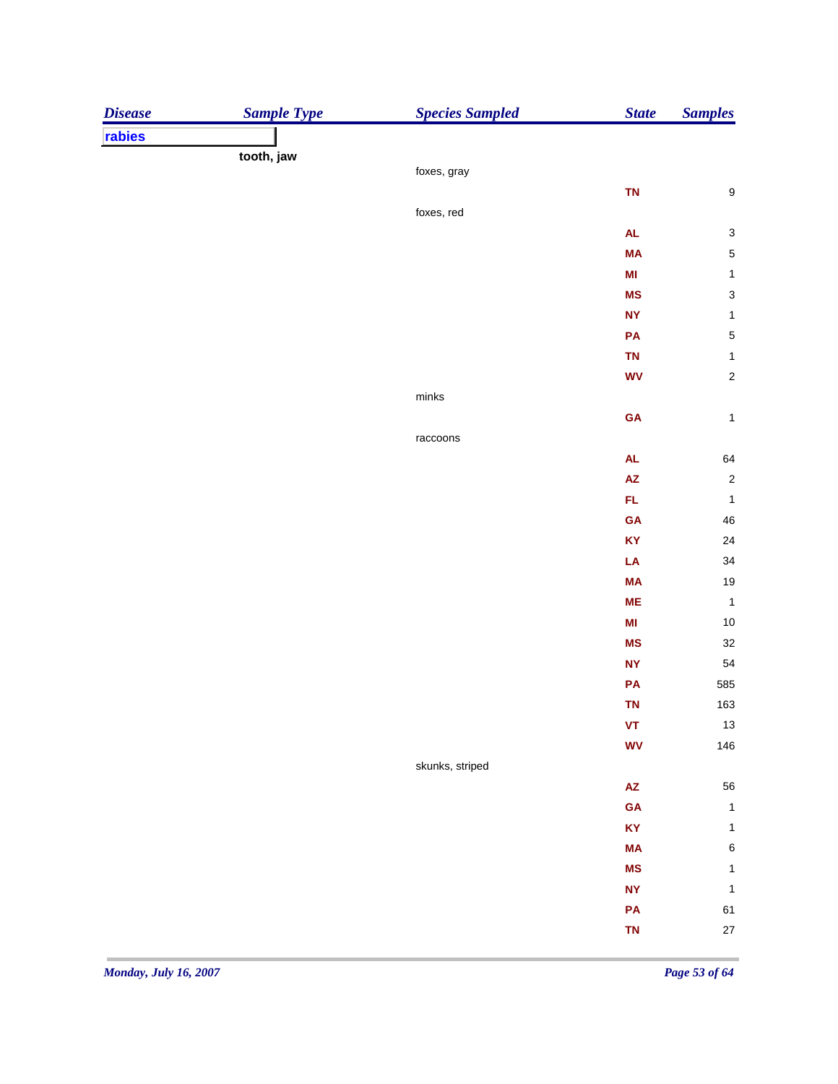| <b>Disease</b> | <b>Sample Type</b> | <b>Species Sampled</b> | <b>State</b>               | <b>Samples</b>            |
|----------------|--------------------|------------------------|----------------------------|---------------------------|
| rabies         |                    |                        |                            |                           |
|                | tooth, jaw         |                        |                            |                           |
|                |                    | foxes, gray            |                            |                           |
|                |                    |                        | <b>TN</b>                  | $\boldsymbol{9}$          |
|                |                    | foxes, red             |                            |                           |
|                |                    |                        | <b>AL</b>                  | $\ensuremath{\mathsf{3}}$ |
|                |                    |                        | <b>MA</b>                  | $\sqrt{5}$                |
|                |                    |                        | MI                         | $\mathbf{1}$              |
|                |                    |                        | <b>MS</b>                  | $\mathbf{3}$              |
|                |                    |                        | <b>NY</b>                  | $\mathbf 1$               |
|                |                    |                        | PA                         | $\sqrt{5}$                |
|                |                    |                        | <b>TN</b>                  | $\mathbf 1$               |
|                |                    |                        | <b>WV</b>                  | $\sqrt{2}$                |
|                |                    | ${\sf minks}$          |                            |                           |
|                |                    |                        | GA                         | $\mathbf 1$               |
|                |                    | raccoons               |                            |                           |
|                |                    |                        | <b>AL</b>                  | 64                        |
|                |                    |                        | AZ                         | $\sqrt{2}$                |
|                |                    |                        | FL.                        | $\mathbf 1$               |
|                |                    |                        | GA                         | $\sqrt{46}$               |
|                |                    |                        | KY                         | 24                        |
|                |                    |                        | LA                         | 34                        |
|                |                    |                        | <b>MA</b>                  | 19                        |
|                |                    |                        | <b>ME</b>                  | $\mathbf{1}$              |
|                |                    |                        | MI                         | $10$                      |
|                |                    |                        | <b>MS</b>                  | $32\,$                    |
|                |                    |                        | <b>NY</b>                  | 54                        |
|                |                    |                        | PA                         | 585                       |
|                |                    |                        | <b>TN</b>                  | 163                       |
|                |                    |                        | VT                         | $13$                      |
|                |                    |                        | <b>WV</b>                  | 146                       |
|                |                    | skunks, striped        |                            |                           |
|                |                    |                        | $\mathsf{A}\mathsf{Z}$     | 56                        |
|                |                    |                        | <b>GA</b>                  | $\mathbf 1$               |
|                |                    |                        | KY                         | $\mathbf 1$               |
|                |                    |                        | MA                         | $\, 6$                    |
|                |                    |                        | <b>MS</b>                  | $\mathbf 1$               |
|                |                    |                        | $\ensuremath{\mathsf{NY}}$ | $\mathbf 1$               |
|                |                    |                        | PA                         | 61                        |
|                |                    |                        | <b>TN</b>                  | $27\,$                    |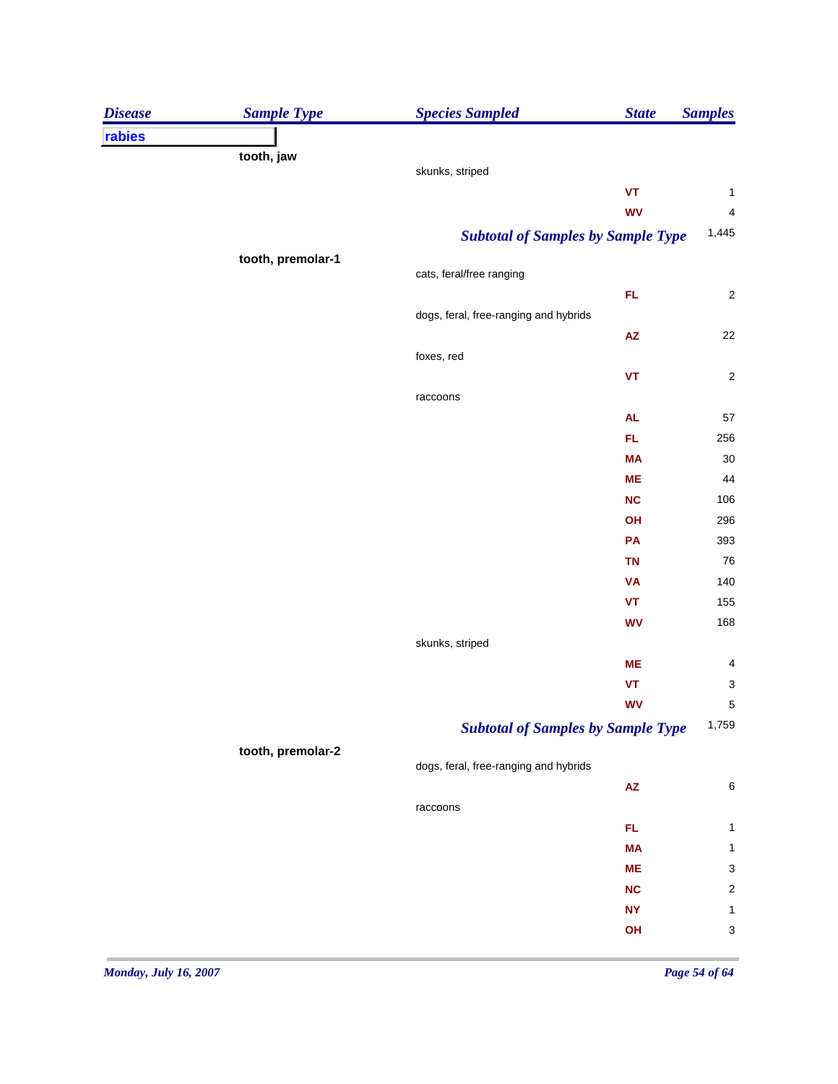| <b>Disease</b> | <b>Sample Type</b> | <b>Species Sampled</b>                | <b>State</b>                              | <b>Samples</b>          |
|----------------|--------------------|---------------------------------------|-------------------------------------------|-------------------------|
| rabies         |                    |                                       |                                           |                         |
|                | tooth, jaw         |                                       |                                           |                         |
|                |                    | skunks, striped                       |                                           |                         |
|                |                    |                                       | $\pmb{\mathsf{VT}}$                       | $\mathbf{1}$            |
|                |                    |                                       | <b>WV</b>                                 | $\overline{4}$          |
|                |                    |                                       | <b>Subtotal of Samples by Sample Type</b> | 1,445                   |
|                | tooth, premolar-1  |                                       |                                           |                         |
|                |                    | cats, feral/free ranging              |                                           |                         |
|                |                    |                                       | FL                                        | $\overline{\mathbf{c}}$ |
|                |                    | dogs, feral, free-ranging and hybrids |                                           | 22                      |
|                |                    | foxes, red                            | $\mathsf{A}\mathsf{Z}$                    |                         |
|                |                    |                                       |                                           | $\overline{\mathbf{c}}$ |
|                |                    |                                       | $\pmb{\mathsf{VT}}$                       |                         |
|                |                    | raccoons                              |                                           |                         |
|                |                    |                                       | AL<br>FL                                  | 57<br>256               |
|                |                    |                                       |                                           | 30                      |
|                |                    |                                       | <b>MA</b><br><b>ME</b>                    | 44                      |
|                |                    |                                       | <b>NC</b>                                 | 106                     |
|                |                    |                                       |                                           | 296                     |
|                |                    |                                       | OH<br>PA                                  | 393                     |
|                |                    |                                       | <b>TN</b>                                 | 76                      |
|                |                    |                                       | <b>VA</b>                                 | 140                     |
|                |                    |                                       | $\pmb{\mathsf{VT}}$                       | 155                     |
|                |                    |                                       | <b>WV</b>                                 | 168                     |
|                |                    | skunks, striped                       |                                           |                         |
|                |                    |                                       | <b>ME</b>                                 | 4                       |
|                |                    |                                       | $\pmb{\mathsf{VT}}$                       | 3                       |
|                |                    |                                       | <b>WV</b>                                 | 5                       |
|                |                    |                                       | <b>Subtotal of Samples by Sample Type</b> | 1,759                   |
|                |                    |                                       |                                           |                         |
|                | tooth, premolar-2  | dogs, feral, free-ranging and hybrids |                                           |                         |
|                |                    |                                       | $\mathsf{AZ}$                             | $\,6$                   |
|                |                    | raccoons                              |                                           |                         |
|                |                    |                                       | FL                                        | $\mathbf 1$             |
|                |                    |                                       | <b>MA</b>                                 | $\mathbf{1}$            |
|                |                    |                                       | <b>ME</b>                                 | 3                       |
|                |                    |                                       | <b>NC</b>                                 | $\overline{\mathbf{c}}$ |
|                |                    |                                       | <b>NY</b>                                 | $\mathbf{1}$            |
|                |                    |                                       | OH                                        | 3                       |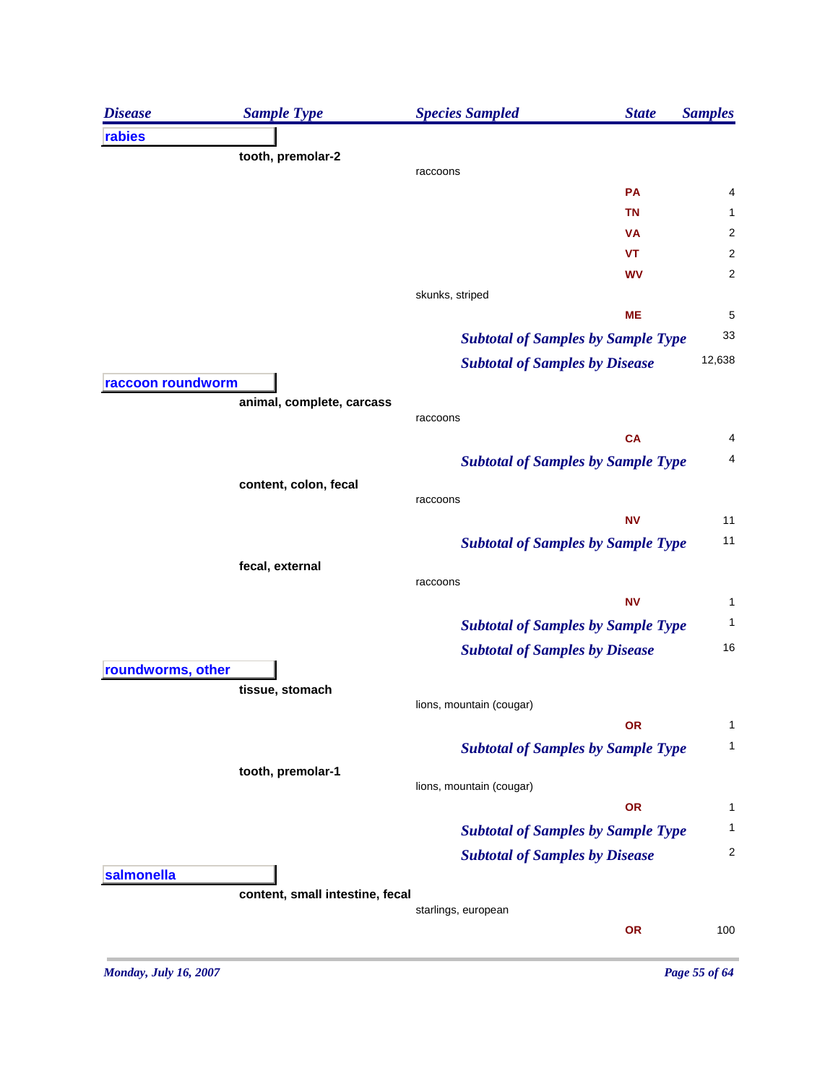| <b>Disease</b>    | <b>Sample Type</b>              | <b>Species Sampled</b>                    | <b>State</b> | <b>Samples</b>          |
|-------------------|---------------------------------|-------------------------------------------|--------------|-------------------------|
| rabies            |                                 |                                           |              |                         |
|                   | tooth, premolar-2               | raccoons                                  |              |                         |
|                   |                                 |                                           | PA           | 4                       |
|                   |                                 |                                           | <b>TN</b>    | 1                       |
|                   |                                 |                                           | VA           | $\overline{\mathbf{c}}$ |
|                   |                                 |                                           | <b>VT</b>    | $\overline{c}$          |
|                   |                                 |                                           | WV           | $\overline{2}$          |
|                   |                                 | skunks, striped                           |              |                         |
|                   |                                 |                                           | <b>ME</b>    | 5                       |
|                   |                                 | <b>Subtotal of Samples by Sample Type</b> |              | 33                      |
|                   |                                 | <b>Subtotal of Samples by Disease</b>     |              | 12,638                  |
| raccoon roundworm |                                 |                                           |              |                         |
|                   | animal, complete, carcass       |                                           |              |                         |
|                   |                                 | raccoons                                  | <b>CA</b>    | 4                       |
|                   |                                 |                                           |              | 4                       |
|                   |                                 | <b>Subtotal of Samples by Sample Type</b> |              |                         |
|                   | content, colon, fecal           | raccoons                                  |              |                         |
|                   |                                 |                                           | <b>NV</b>    | 11                      |
|                   |                                 | <b>Subtotal of Samples by Sample Type</b> |              | 11                      |
|                   | fecal, external                 |                                           |              |                         |
|                   |                                 | raccoons                                  |              |                         |
|                   |                                 |                                           | <b>NV</b>    | 1                       |
|                   |                                 | <b>Subtotal of Samples by Sample Type</b> |              | 1                       |
|                   |                                 | <b>Subtotal of Samples by Disease</b>     |              | 16                      |
| roundworms, other |                                 |                                           |              |                         |
|                   | tissue, stomach                 |                                           |              |                         |
|                   |                                 | lions, mountain (cougar)                  | <b>OR</b>    | 1                       |
|                   |                                 |                                           |              | 1                       |
|                   |                                 | <b>Subtotal of Samples by Sample Type</b> |              |                         |
|                   | tooth, premolar-1               | lions, mountain (cougar)                  |              |                         |
|                   |                                 |                                           | <b>OR</b>    | 1                       |
|                   |                                 | <b>Subtotal of Samples by Sample Type</b> |              | 1                       |
|                   |                                 | <b>Subtotal of Samples by Disease</b>     |              | $\overline{c}$          |
| salmonella        |                                 |                                           |              |                         |
|                   | content, small intestine, fecal |                                           |              |                         |
|                   |                                 | starlings, european                       |              |                         |
|                   |                                 |                                           | <b>OR</b>    | 100                     |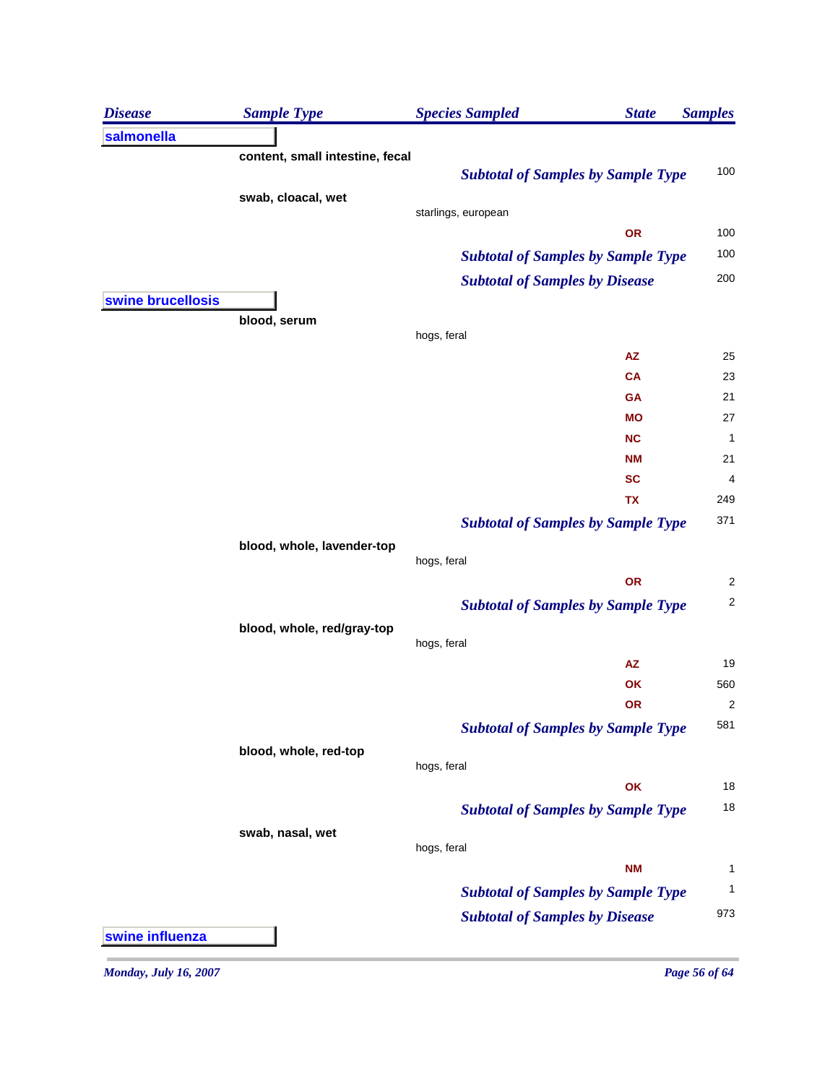| <b>Disease</b>    | <b>Sample Type</b>              | <b>Species Sampled</b><br><b>State</b>    | <b>Samples</b>          |
|-------------------|---------------------------------|-------------------------------------------|-------------------------|
| salmonella        |                                 |                                           |                         |
|                   | content, small intestine, fecal |                                           |                         |
|                   |                                 | <b>Subtotal of Samples by Sample Type</b> | 100                     |
|                   | swab, cloacal, wet              |                                           |                         |
|                   |                                 | starlings, european<br>OR                 | 100                     |
|                   |                                 |                                           | 100                     |
|                   |                                 | <b>Subtotal of Samples by Sample Type</b> | 200                     |
|                   |                                 | <b>Subtotal of Samples by Disease</b>     |                         |
| swine brucellosis | blood, serum                    |                                           |                         |
|                   |                                 | hogs, feral                               |                         |
|                   |                                 | <b>AZ</b>                                 | 25                      |
|                   |                                 | <b>CA</b>                                 | 23                      |
|                   |                                 | GA                                        | 21                      |
|                   |                                 | <b>MO</b>                                 | 27                      |
|                   |                                 | <b>NC</b>                                 | 1                       |
|                   |                                 | <b>NM</b>                                 | 21                      |
|                   |                                 | <b>SC</b>                                 | 4                       |
|                   |                                 | <b>TX</b>                                 | 249                     |
|                   |                                 | <b>Subtotal of Samples by Sample Type</b> | 371                     |
|                   | blood, whole, lavender-top      | hogs, feral                               |                         |
|                   |                                 | OR                                        | $\overline{\mathbf{c}}$ |
|                   |                                 | <b>Subtotal of Samples by Sample Type</b> | $\overline{\mathbf{c}}$ |
|                   | blood, whole, red/gray-top      |                                           |                         |
|                   |                                 | hogs, feral                               |                         |
|                   |                                 | ${\sf AZ}$                                | 19                      |
|                   |                                 | OK                                        | 560                     |
|                   |                                 | <b>OR</b>                                 | $\overline{\mathbf{c}}$ |
|                   |                                 | <b>Subtotal of Samples by Sample Type</b> | 581                     |
|                   | blood, whole, red-top           |                                           |                         |
|                   |                                 | hogs, feral                               |                         |
|                   |                                 | OK                                        | 18                      |
|                   |                                 | <b>Subtotal of Samples by Sample Type</b> | 18                      |
|                   | swab, nasal, wet                | hogs, feral                               |                         |
|                   |                                 | <b>NM</b>                                 | 1                       |
|                   |                                 |                                           | 1                       |
|                   |                                 | <b>Subtotal of Samples by Sample Type</b> |                         |
|                   |                                 | <b>Subtotal of Samples by Disease</b>     | 973                     |
| swine influenza   |                                 |                                           |                         |

*Monday, July 16, 2007 Page 56 of 64*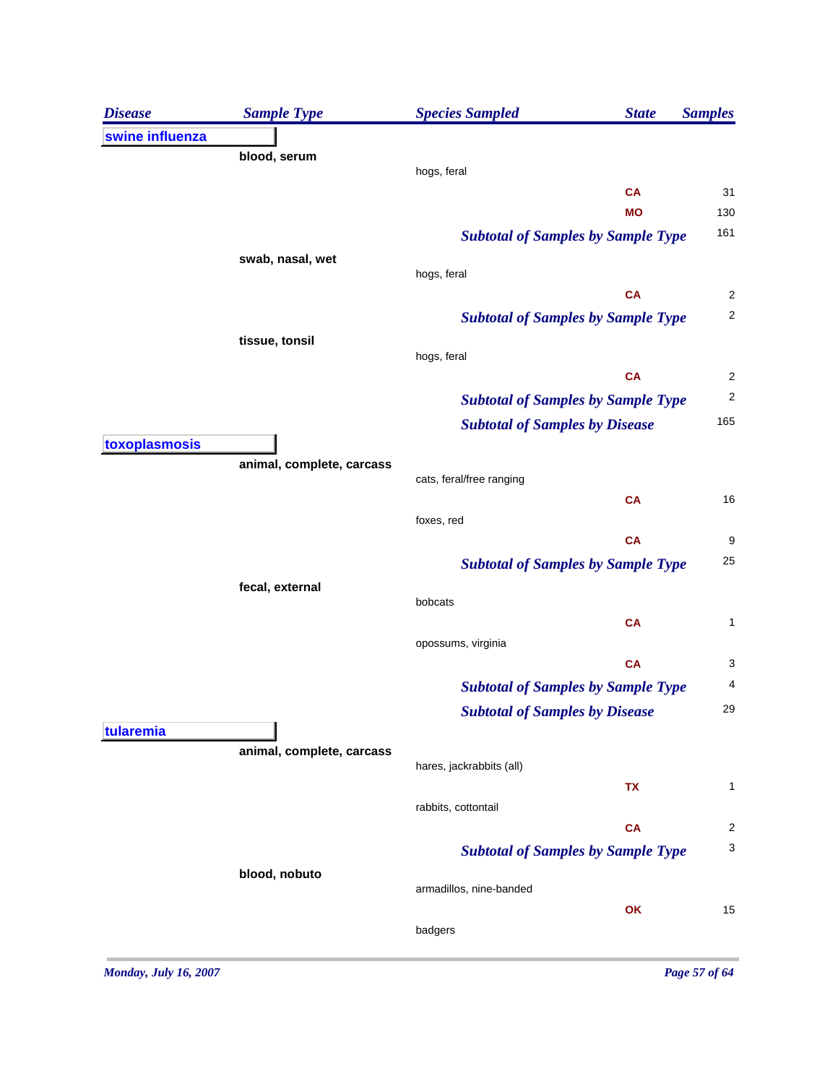| <b>Disease</b>  | <b>Sample Type</b>        | <b>Species Sampled</b><br><b>State</b>    | <b>Samples</b>           |
|-----------------|---------------------------|-------------------------------------------|--------------------------|
| swine influenza |                           |                                           |                          |
|                 | blood, serum              |                                           |                          |
|                 |                           | hogs, feral<br><b>CA</b>                  | 31                       |
|                 |                           | <b>MO</b>                                 | 130                      |
|                 |                           | <b>Subtotal of Samples by Sample Type</b> | 161                      |
|                 | swab, nasal, wet          |                                           |                          |
|                 |                           | hogs, feral                               |                          |
|                 |                           | <b>CA</b>                                 | $\overline{\mathbf{c}}$  |
|                 |                           | <b>Subtotal of Samples by Sample Type</b> | $\overline{\mathbf{c}}$  |
|                 | tissue, tonsil            | hogs, feral                               |                          |
|                 |                           | <b>CA</b>                                 | $\overline{\mathbf{c}}$  |
|                 |                           | <b>Subtotal of Samples by Sample Type</b> | $\overline{\mathbf{c}}$  |
|                 |                           | <b>Subtotal of Samples by Disease</b>     | 165                      |
| toxoplasmosis   |                           |                                           |                          |
|                 | animal, complete, carcass |                                           |                          |
|                 |                           | cats, feral/free ranging<br><b>CA</b>     | 16                       |
|                 |                           | foxes, red                                |                          |
|                 |                           | <b>CA</b>                                 | $\boldsymbol{9}$         |
|                 |                           | <b>Subtotal of Samples by Sample Type</b> | 25                       |
|                 | fecal, external           |                                           |                          |
|                 |                           | bobcats                                   |                          |
|                 |                           | <b>CA</b>                                 | $\mathbf 1$              |
|                 |                           | opossums, virginia<br><b>CA</b>           | 3                        |
|                 |                           | <b>Subtotal of Samples by Sample Type</b> | $\overline{\mathcal{A}}$ |
|                 |                           |                                           | 29                       |
| tularemia       |                           | <b>Subtotal of Samples by Disease</b>     |                          |
|                 | animal, complete, carcass |                                           |                          |
|                 |                           | hares, jackrabbits (all)                  |                          |
|                 |                           | TX                                        | 1                        |
|                 |                           | rabbits, cottontail                       | $\overline{2}$           |
|                 |                           | <b>CA</b>                                 | 3                        |
|                 | blood, nobuto             | <b>Subtotal of Samples by Sample Type</b> |                          |
|                 |                           | armadillos, nine-banded                   |                          |
|                 |                           | OK                                        | 15                       |
|                 |                           | badgers                                   |                          |
|                 |                           |                                           |                          |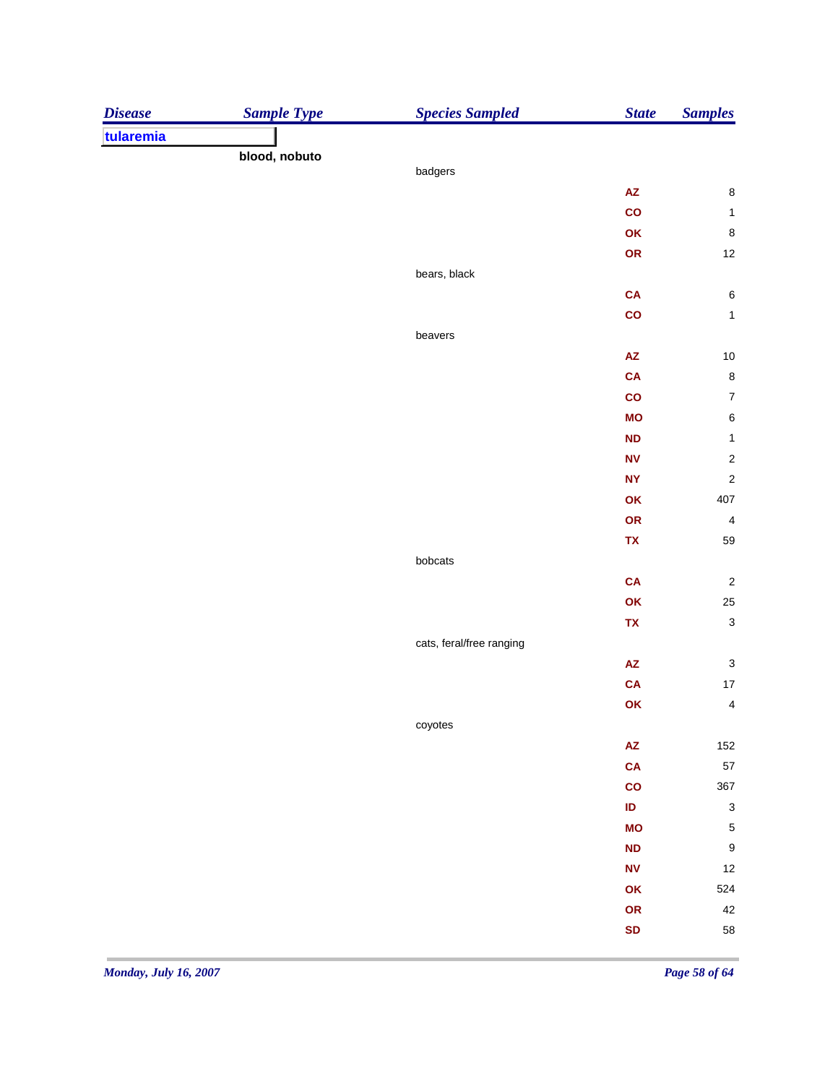| tularemia<br>blood, nobuto<br>badgers<br>$\bf 8$<br>${\sf AZ}$<br>$\mathbf{co}$<br>$\mathbf{1}$<br>$\bf 8$<br>OK<br>OR<br>$12\,$<br>bears, black<br>CA<br>$\,6\,$<br>$\mathsf{co}$<br>$\mathbf{1}$<br>beavers<br>$10$<br>${\sf AZ}$<br>CA<br>$\bf 8$<br>$\boldsymbol{7}$<br>$\mathsf{co}$<br>$\,6\,$<br><b>MO</b><br>$\mathbf 1$<br>ND<br>$\sqrt{2}$<br>$\textsf{NV}$<br>$\sqrt{2}$<br><b>NY</b><br>407<br>OK<br>$\overline{\mathbf{4}}$<br>OR<br>59<br>TX<br>bobcats<br>${\bf C}{\bf A}$<br>OK<br>$25\,$<br>TX<br>cats, feral/free ranging<br>${\sf AZ}$<br>CA<br>$\overline{\mathbf{4}}$<br>OK<br>coyotes<br>$\mathsf{A}\mathsf{Z}$<br>CA<br>367<br>$\mathsf{co}$<br>$\sf ID$<br><b>MO</b><br>$\boldsymbol{\mathsf{ND}}$<br>12<br>${\sf NV}$<br>OK<br>OR<br>SD | <b>Disease</b> | <b>Sample Type</b> | <b>Species Sampled</b> | <b>State</b> | <b>Samples</b>            |
|------------------------------------------------------------------------------------------------------------------------------------------------------------------------------------------------------------------------------------------------------------------------------------------------------------------------------------------------------------------------------------------------------------------------------------------------------------------------------------------------------------------------------------------------------------------------------------------------------------------------------------------------------------------------------------------------------------------------------------------------------------------|----------------|--------------------|------------------------|--------------|---------------------------|
|                                                                                                                                                                                                                                                                                                                                                                                                                                                                                                                                                                                                                                                                                                                                                                  |                |                    |                        |              |                           |
|                                                                                                                                                                                                                                                                                                                                                                                                                                                                                                                                                                                                                                                                                                                                                                  |                |                    |                        |              |                           |
|                                                                                                                                                                                                                                                                                                                                                                                                                                                                                                                                                                                                                                                                                                                                                                  |                |                    |                        |              |                           |
|                                                                                                                                                                                                                                                                                                                                                                                                                                                                                                                                                                                                                                                                                                                                                                  |                |                    |                        |              |                           |
|                                                                                                                                                                                                                                                                                                                                                                                                                                                                                                                                                                                                                                                                                                                                                                  |                |                    |                        |              |                           |
|                                                                                                                                                                                                                                                                                                                                                                                                                                                                                                                                                                                                                                                                                                                                                                  |                |                    |                        |              |                           |
|                                                                                                                                                                                                                                                                                                                                                                                                                                                                                                                                                                                                                                                                                                                                                                  |                |                    |                        |              |                           |
|                                                                                                                                                                                                                                                                                                                                                                                                                                                                                                                                                                                                                                                                                                                                                                  |                |                    |                        |              |                           |
|                                                                                                                                                                                                                                                                                                                                                                                                                                                                                                                                                                                                                                                                                                                                                                  |                |                    |                        |              |                           |
|                                                                                                                                                                                                                                                                                                                                                                                                                                                                                                                                                                                                                                                                                                                                                                  |                |                    |                        |              |                           |
|                                                                                                                                                                                                                                                                                                                                                                                                                                                                                                                                                                                                                                                                                                                                                                  |                |                    |                        |              |                           |
|                                                                                                                                                                                                                                                                                                                                                                                                                                                                                                                                                                                                                                                                                                                                                                  |                |                    |                        |              |                           |
|                                                                                                                                                                                                                                                                                                                                                                                                                                                                                                                                                                                                                                                                                                                                                                  |                |                    |                        |              |                           |
|                                                                                                                                                                                                                                                                                                                                                                                                                                                                                                                                                                                                                                                                                                                                                                  |                |                    |                        |              |                           |
|                                                                                                                                                                                                                                                                                                                                                                                                                                                                                                                                                                                                                                                                                                                                                                  |                |                    |                        |              |                           |
|                                                                                                                                                                                                                                                                                                                                                                                                                                                                                                                                                                                                                                                                                                                                                                  |                |                    |                        |              |                           |
|                                                                                                                                                                                                                                                                                                                                                                                                                                                                                                                                                                                                                                                                                                                                                                  |                |                    |                        |              |                           |
|                                                                                                                                                                                                                                                                                                                                                                                                                                                                                                                                                                                                                                                                                                                                                                  |                |                    |                        |              |                           |
|                                                                                                                                                                                                                                                                                                                                                                                                                                                                                                                                                                                                                                                                                                                                                                  |                |                    |                        |              |                           |
|                                                                                                                                                                                                                                                                                                                                                                                                                                                                                                                                                                                                                                                                                                                                                                  |                |                    |                        |              |                           |
|                                                                                                                                                                                                                                                                                                                                                                                                                                                                                                                                                                                                                                                                                                                                                                  |                |                    |                        |              |                           |
|                                                                                                                                                                                                                                                                                                                                                                                                                                                                                                                                                                                                                                                                                                                                                                  |                |                    |                        |              |                           |
|                                                                                                                                                                                                                                                                                                                                                                                                                                                                                                                                                                                                                                                                                                                                                                  |                |                    |                        |              | $\sqrt{2}$                |
|                                                                                                                                                                                                                                                                                                                                                                                                                                                                                                                                                                                                                                                                                                                                                                  |                |                    |                        |              |                           |
|                                                                                                                                                                                                                                                                                                                                                                                                                                                                                                                                                                                                                                                                                                                                                                  |                |                    |                        |              | $\ensuremath{\mathsf{3}}$ |
|                                                                                                                                                                                                                                                                                                                                                                                                                                                                                                                                                                                                                                                                                                                                                                  |                |                    |                        |              |                           |
|                                                                                                                                                                                                                                                                                                                                                                                                                                                                                                                                                                                                                                                                                                                                                                  |                |                    |                        |              | $\ensuremath{\mathsf{3}}$ |
|                                                                                                                                                                                                                                                                                                                                                                                                                                                                                                                                                                                                                                                                                                                                                                  |                |                    |                        |              | $17\,$                    |
|                                                                                                                                                                                                                                                                                                                                                                                                                                                                                                                                                                                                                                                                                                                                                                  |                |                    |                        |              |                           |
|                                                                                                                                                                                                                                                                                                                                                                                                                                                                                                                                                                                                                                                                                                                                                                  |                |                    |                        |              |                           |
|                                                                                                                                                                                                                                                                                                                                                                                                                                                                                                                                                                                                                                                                                                                                                                  |                |                    |                        |              | 152                       |
|                                                                                                                                                                                                                                                                                                                                                                                                                                                                                                                                                                                                                                                                                                                                                                  |                |                    |                        |              | 57                        |
|                                                                                                                                                                                                                                                                                                                                                                                                                                                                                                                                                                                                                                                                                                                                                                  |                |                    |                        |              |                           |
|                                                                                                                                                                                                                                                                                                                                                                                                                                                                                                                                                                                                                                                                                                                                                                  |                |                    |                        |              | $\ensuremath{\mathsf{3}}$ |
|                                                                                                                                                                                                                                                                                                                                                                                                                                                                                                                                                                                                                                                                                                                                                                  |                |                    |                        |              | $\mathbf 5$               |
|                                                                                                                                                                                                                                                                                                                                                                                                                                                                                                                                                                                                                                                                                                                                                                  |                |                    |                        |              | $\boldsymbol{9}$          |
|                                                                                                                                                                                                                                                                                                                                                                                                                                                                                                                                                                                                                                                                                                                                                                  |                |                    |                        |              |                           |
|                                                                                                                                                                                                                                                                                                                                                                                                                                                                                                                                                                                                                                                                                                                                                                  |                |                    |                        |              | 524                       |
|                                                                                                                                                                                                                                                                                                                                                                                                                                                                                                                                                                                                                                                                                                                                                                  |                |                    |                        |              | 42                        |
|                                                                                                                                                                                                                                                                                                                                                                                                                                                                                                                                                                                                                                                                                                                                                                  |                |                    |                        |              | 58                        |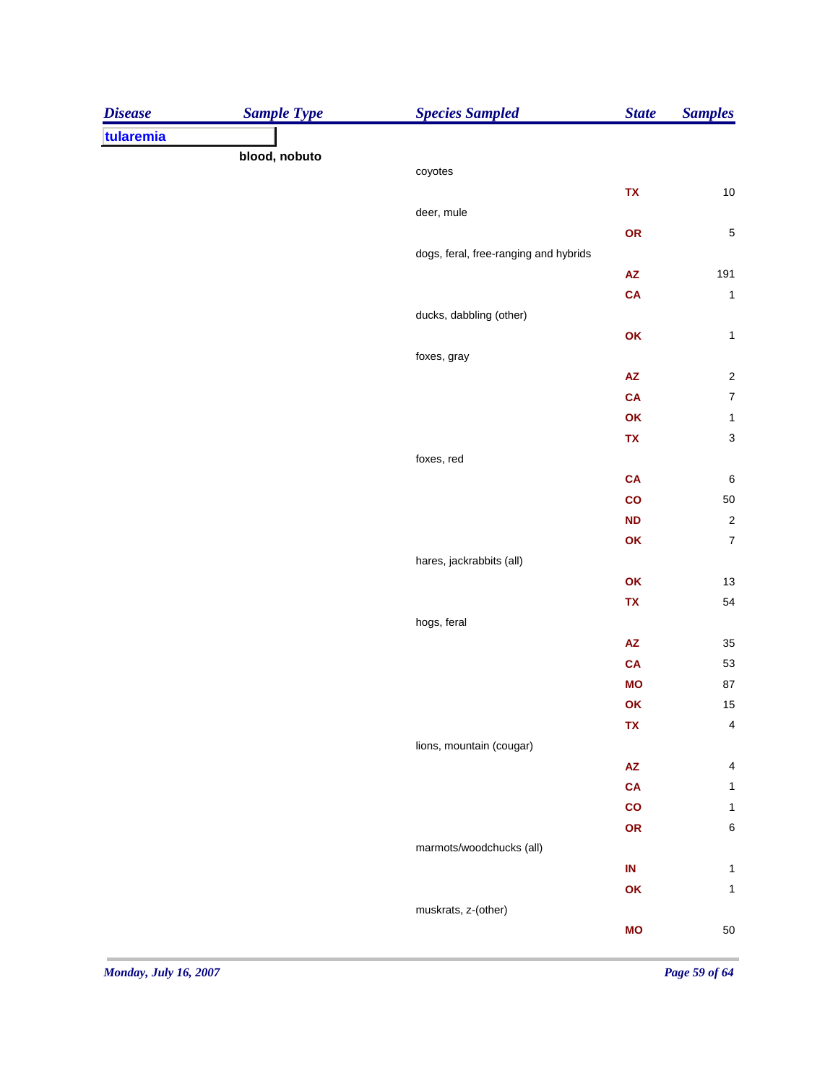| tularemia<br>blood, nobuto<br>coyotes<br>${\bf TX}$<br>deer, mule<br>OR<br>dogs, feral, free-ranging and hybrids<br>$\mathsf{A}\mathsf{Z}$<br>CA<br>ducks, dabbling (other)<br>OK<br>foxes, gray<br>$\mathsf{A}\mathsf{Z}$<br><b>CA</b><br>OK<br>${\bf TX}$<br>foxes, red<br><b>CA</b><br>co<br>ND<br>OK<br>hares, jackrabbits (all)<br>OK<br>TX<br>hogs, feral<br>$\mathsf{A}\mathsf{Z}$<br><b>CA</b><br><b>MO</b><br>OK<br><b>TX</b><br>lions, mountain (cougar)<br>$\mathsf{A}\mathsf{Z}$<br><b>CA</b><br>co<br>OR<br>marmots/woodchucks (all)<br>$\sf IN$<br>OK<br>muskrats, z-(other) | <b>Disease</b> | <b>Sample Type</b> | <b>Species Sampled</b> | <b>State</b> | <b>Samples</b>                           |
|--------------------------------------------------------------------------------------------------------------------------------------------------------------------------------------------------------------------------------------------------------------------------------------------------------------------------------------------------------------------------------------------------------------------------------------------------------------------------------------------------------------------------------------------------------------------------------------------|----------------|--------------------|------------------------|--------------|------------------------------------------|
|                                                                                                                                                                                                                                                                                                                                                                                                                                                                                                                                                                                            |                |                    |                        |              |                                          |
|                                                                                                                                                                                                                                                                                                                                                                                                                                                                                                                                                                                            |                |                    |                        |              |                                          |
|                                                                                                                                                                                                                                                                                                                                                                                                                                                                                                                                                                                            |                |                    |                        |              |                                          |
|                                                                                                                                                                                                                                                                                                                                                                                                                                                                                                                                                                                            |                |                    |                        |              | $10\,$                                   |
|                                                                                                                                                                                                                                                                                                                                                                                                                                                                                                                                                                                            |                |                    |                        |              |                                          |
|                                                                                                                                                                                                                                                                                                                                                                                                                                                                                                                                                                                            |                |                    |                        |              | $\sqrt{5}$                               |
|                                                                                                                                                                                                                                                                                                                                                                                                                                                                                                                                                                                            |                |                    |                        |              |                                          |
|                                                                                                                                                                                                                                                                                                                                                                                                                                                                                                                                                                                            |                |                    |                        |              | 191                                      |
|                                                                                                                                                                                                                                                                                                                                                                                                                                                                                                                                                                                            |                |                    |                        |              | $\mathbf{1}$                             |
|                                                                                                                                                                                                                                                                                                                                                                                                                                                                                                                                                                                            |                |                    |                        |              |                                          |
|                                                                                                                                                                                                                                                                                                                                                                                                                                                                                                                                                                                            |                |                    |                        |              | $\mathbf{1}$                             |
|                                                                                                                                                                                                                                                                                                                                                                                                                                                                                                                                                                                            |                |                    |                        |              |                                          |
|                                                                                                                                                                                                                                                                                                                                                                                                                                                                                                                                                                                            |                |                    |                        |              | $\sqrt{2}$<br>$\boldsymbol{7}$           |
|                                                                                                                                                                                                                                                                                                                                                                                                                                                                                                                                                                                            |                |                    |                        |              |                                          |
|                                                                                                                                                                                                                                                                                                                                                                                                                                                                                                                                                                                            |                |                    |                        |              | $\mathbf 1$<br>$\ensuremath{\mathsf{3}}$ |
|                                                                                                                                                                                                                                                                                                                                                                                                                                                                                                                                                                                            |                |                    |                        |              |                                          |
|                                                                                                                                                                                                                                                                                                                                                                                                                                                                                                                                                                                            |                |                    |                        |              | $\boldsymbol{6}$                         |
|                                                                                                                                                                                                                                                                                                                                                                                                                                                                                                                                                                                            |                |                    |                        |              | $50\,$                                   |
|                                                                                                                                                                                                                                                                                                                                                                                                                                                                                                                                                                                            |                |                    |                        |              | $\sqrt{2}$                               |
|                                                                                                                                                                                                                                                                                                                                                                                                                                                                                                                                                                                            |                |                    |                        |              | $\boldsymbol{7}$                         |
|                                                                                                                                                                                                                                                                                                                                                                                                                                                                                                                                                                                            |                |                    |                        |              |                                          |
|                                                                                                                                                                                                                                                                                                                                                                                                                                                                                                                                                                                            |                |                    |                        |              | 13                                       |
|                                                                                                                                                                                                                                                                                                                                                                                                                                                                                                                                                                                            |                |                    |                        |              | 54                                       |
|                                                                                                                                                                                                                                                                                                                                                                                                                                                                                                                                                                                            |                |                    |                        |              |                                          |
|                                                                                                                                                                                                                                                                                                                                                                                                                                                                                                                                                                                            |                |                    |                        |              | 35                                       |
|                                                                                                                                                                                                                                                                                                                                                                                                                                                                                                                                                                                            |                |                    |                        |              | 53                                       |
|                                                                                                                                                                                                                                                                                                                                                                                                                                                                                                                                                                                            |                |                    |                        |              | ${\bf 87}$                               |
|                                                                                                                                                                                                                                                                                                                                                                                                                                                                                                                                                                                            |                |                    |                        |              | 15                                       |
|                                                                                                                                                                                                                                                                                                                                                                                                                                                                                                                                                                                            |                |                    |                        |              | $\overline{\mathbf{4}}$                  |
|                                                                                                                                                                                                                                                                                                                                                                                                                                                                                                                                                                                            |                |                    |                        |              |                                          |
|                                                                                                                                                                                                                                                                                                                                                                                                                                                                                                                                                                                            |                |                    |                        |              | 4                                        |
|                                                                                                                                                                                                                                                                                                                                                                                                                                                                                                                                                                                            |                |                    |                        |              | $\mathbf{1}$                             |
|                                                                                                                                                                                                                                                                                                                                                                                                                                                                                                                                                                                            |                |                    |                        |              | $\mathbf{1}$                             |
|                                                                                                                                                                                                                                                                                                                                                                                                                                                                                                                                                                                            |                |                    |                        |              | $\,$ 6 $\,$                              |
|                                                                                                                                                                                                                                                                                                                                                                                                                                                                                                                                                                                            |                |                    |                        |              |                                          |
|                                                                                                                                                                                                                                                                                                                                                                                                                                                                                                                                                                                            |                |                    |                        |              | $\mathbf{1}$                             |
|                                                                                                                                                                                                                                                                                                                                                                                                                                                                                                                                                                                            |                |                    |                        |              | $\mathbf{1}$                             |
|                                                                                                                                                                                                                                                                                                                                                                                                                                                                                                                                                                                            |                |                    |                        |              |                                          |
|                                                                                                                                                                                                                                                                                                                                                                                                                                                                                                                                                                                            |                |                    |                        | <b>MO</b>    | $50\,$                                   |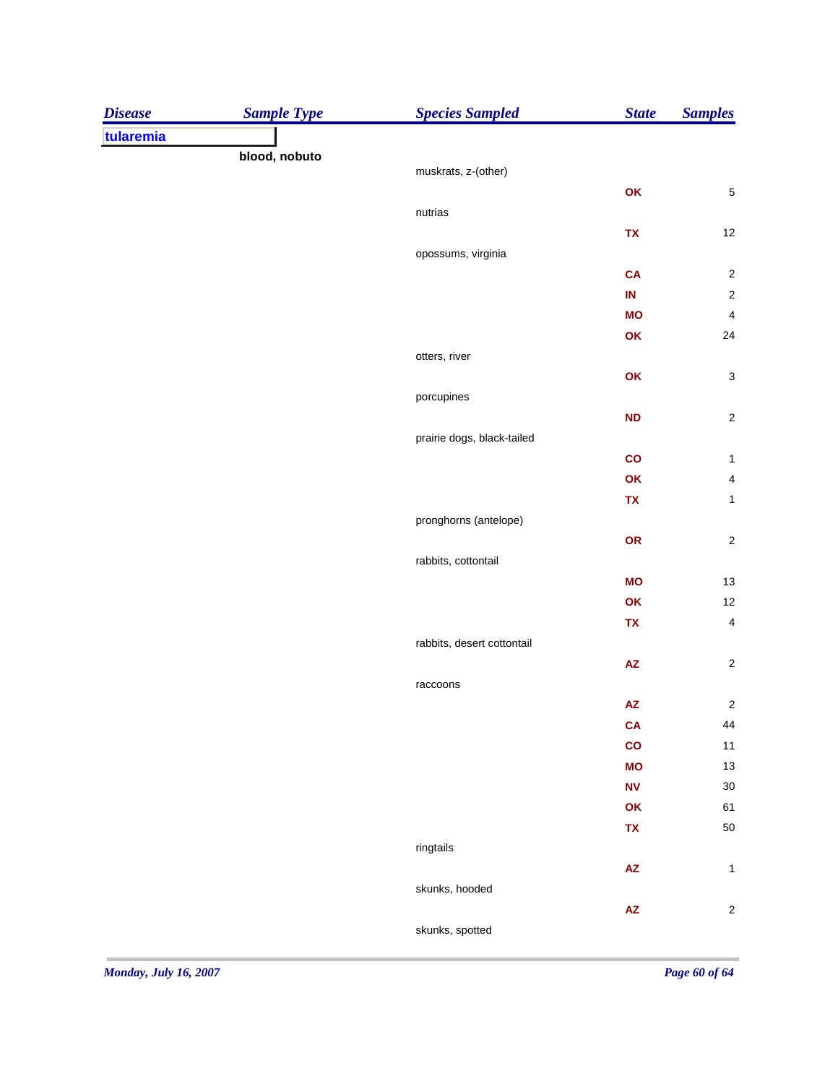| <b>Disease</b> | <b>Sample Type</b> | <b>Species Sampled</b>     | <b>State</b>           | <b>Samples</b>            |
|----------------|--------------------|----------------------------|------------------------|---------------------------|
| tularemia      |                    |                            |                        |                           |
|                | blood, nobuto      |                            |                        |                           |
|                |                    | muskrats, z-(other)        |                        |                           |
|                |                    | nutrias                    | OK                     | $\mathbf 5$               |
|                |                    |                            | TX                     | 12                        |
|                |                    | opossums, virginia         |                        |                           |
|                |                    |                            | CA                     | $\sqrt{2}$                |
|                |                    |                            | $\sf IN$               | $\sqrt{2}$                |
|                |                    |                            | <b>MO</b>              | $\overline{\mathbf{4}}$   |
|                |                    |                            | OK                     | 24                        |
|                |                    | otters, river              |                        |                           |
|                |                    |                            | OK                     | $\ensuremath{\mathsf{3}}$ |
|                |                    | porcupines                 |                        |                           |
|                |                    |                            | $\mathsf{ND}$          | $\sqrt{2}$                |
|                |                    | prairie dogs, black-tailed |                        |                           |
|                |                    |                            | co                     | $\mathbf{1}$              |
|                |                    |                            | OK                     | $\overline{\mathbf{4}}$   |
|                |                    |                            | TX                     | $\mathbf{1}$              |
|                |                    | pronghorns (antelope)      |                        |                           |
|                |                    |                            | OR                     | $\sqrt{2}$                |
|                |                    | rabbits, cottontail        |                        |                           |
|                |                    |                            | <b>MO</b>              | $13$                      |
|                |                    |                            | OK                     | 12                        |
|                |                    |                            | TX                     | $\overline{\mathbf{4}}$   |
|                |                    | rabbits, desert cottontail |                        |                           |
|                |                    |                            | $\pmb{\mathsf{AZ}}$    | $\sqrt{2}$                |
|                |                    | raccoons                   |                        |                           |
|                |                    |                            | ${\sf AZ}$             | $\boldsymbol{2}$          |
|                |                    |                            | CA                     | 44                        |
|                |                    |                            | $\mathbf{co}$          | 11                        |
|                |                    |                            | <b>MO</b>              | 13                        |
|                |                    |                            | N <sub>V</sub>         | 30                        |
|                |                    |                            | OK                     | 61                        |
|                |                    |                            | TX                     | 50                        |
|                |                    | ringtails                  |                        |                           |
|                |                    |                            | $\mathsf{A}\mathsf{Z}$ | $\mathbf{1}$              |
|                |                    | skunks, hooded             | $\mathsf{A}\mathsf{Z}$ | $\sqrt{2}$                |
|                |                    | skunks, spotted            |                        |                           |
|                |                    |                            |                        |                           |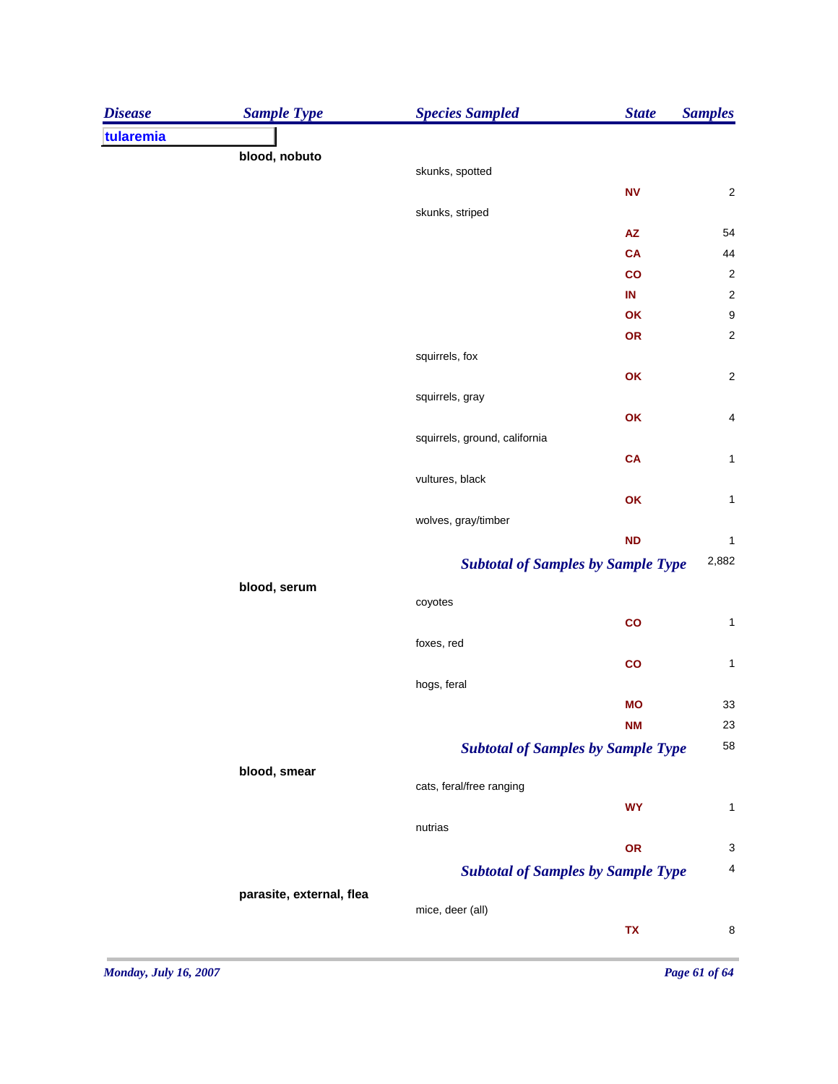| <b>Disease</b> | <b>Sample Type</b>       | <b>Species Sampled</b>                    | <b>State</b>   | <b>Samples</b>           |
|----------------|--------------------------|-------------------------------------------|----------------|--------------------------|
| tularemia      |                          |                                           |                |                          |
|                | blood, nobuto            |                                           |                |                          |
|                |                          | skunks, spotted                           |                |                          |
|                |                          |                                           | N <sub>V</sub> | $\overline{\mathbf{c}}$  |
|                |                          | skunks, striped                           | <b>AZ</b>      | 54                       |
|                |                          |                                           | <b>CA</b>      | 44                       |
|                |                          |                                           | $\overline{c}$ | $\overline{\mathbf{c}}$  |
|                |                          |                                           | IN             | $\overline{c}$           |
|                |                          |                                           | OK             | 9                        |
|                |                          |                                           | OR             | $\overline{\mathbf{c}}$  |
|                |                          | squirrels, fox                            |                |                          |
|                |                          |                                           | OK             | $\overline{\mathbf{c}}$  |
|                |                          | squirrels, gray                           |                |                          |
|                |                          |                                           | OK             | $\overline{\mathcal{A}}$ |
|                |                          | squirrels, ground, california             |                |                          |
|                |                          |                                           | <b>CA</b>      | $\mathbf{1}$             |
|                |                          | vultures, black                           |                |                          |
|                |                          |                                           | OK             | $\mathbf 1$              |
|                |                          | wolves, gray/timber                       |                |                          |
|                |                          |                                           | <b>ND</b>      | $\mathbf 1$              |
|                |                          | <b>Subtotal of Samples by Sample Type</b> |                | 2,882                    |
|                | blood, serum             |                                           |                |                          |
|                |                          | coyotes                                   |                |                          |
|                |                          |                                           | $\mathbf{co}$  | $\mathbf{1}$             |
|                |                          | foxes, red                                |                |                          |
|                |                          |                                           | $\mathbf{co}$  | $\mathbf{1}$             |
|                |                          | hogs, feral                               |                |                          |
|                |                          |                                           | <b>MO</b>      | 33                       |
|                |                          |                                           | <b>NM</b>      | 23                       |
|                |                          | <b>Subtotal of Samples by Sample Type</b> |                | 58                       |
|                | blood, smear             | cats, feral/free ranging                  |                |                          |
|                |                          |                                           | <b>WY</b>      | $\mathbf{1}$             |
|                |                          | nutrias                                   |                |                          |
|                |                          |                                           | OR             | $\mathbf{3}$             |
|                |                          | <b>Subtotal of Samples by Sample Type</b> |                | 4                        |
|                |                          |                                           |                |                          |
|                | parasite, external, flea | mice, deer (all)                          |                |                          |
|                |                          |                                           | TX             | 8                        |
|                |                          |                                           |                |                          |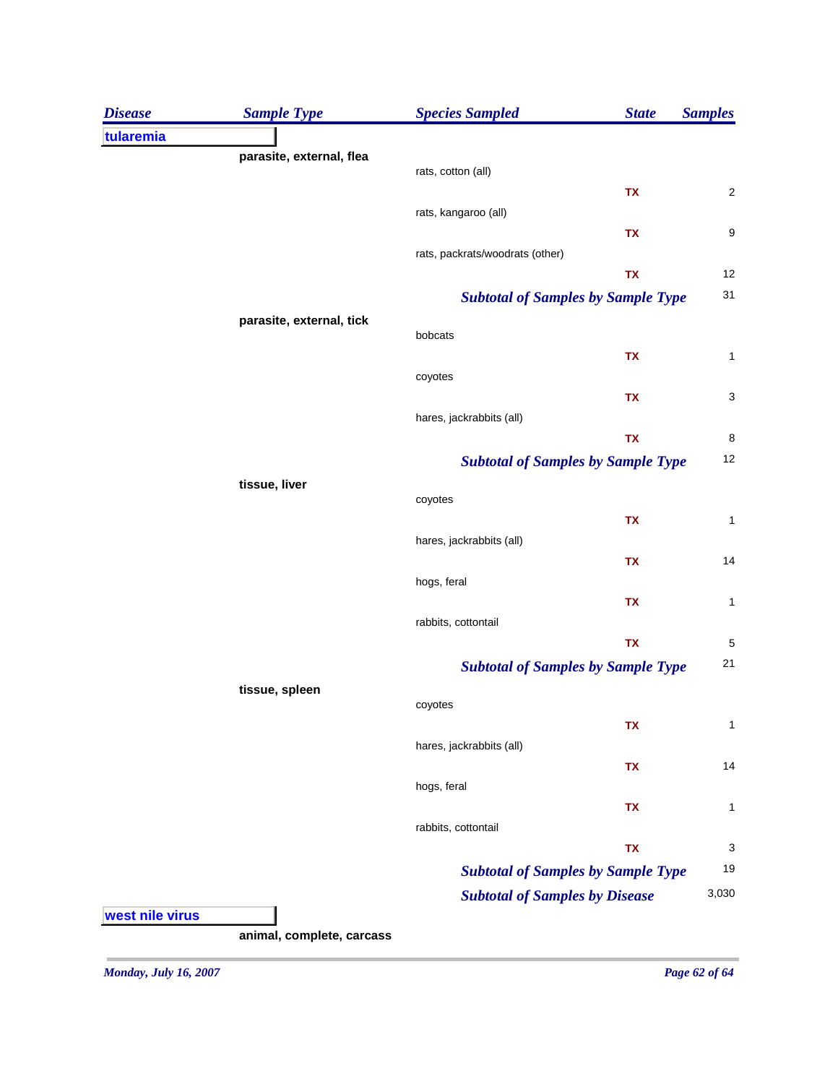| <b>Disease</b>  | <b>Sample Type</b>        | <b>Species Sampled</b>                    | <b>State</b> | <b>Samples</b>          |
|-----------------|---------------------------|-------------------------------------------|--------------|-------------------------|
| tularemia       |                           |                                           |              |                         |
|                 | parasite, external, flea  | rats, cotton (all)                        |              |                         |
|                 |                           |                                           | TX           | $\overline{\mathbf{c}}$ |
|                 |                           | rats, kangaroo (all)                      |              |                         |
|                 |                           |                                           | TX           | 9                       |
|                 |                           | rats, packrats/woodrats (other)           |              |                         |
|                 |                           |                                           | TX           | 12                      |
|                 |                           | <b>Subtotal of Samples by Sample Type</b> |              | 31                      |
|                 | parasite, external, tick  | bobcats                                   |              |                         |
|                 |                           |                                           | TX           | 1                       |
|                 |                           | coyotes                                   |              |                         |
|                 |                           |                                           | TX           | 3                       |
|                 |                           | hares, jackrabbits (all)                  |              |                         |
|                 |                           |                                           | TX           | 8                       |
|                 |                           | <b>Subtotal of Samples by Sample Type</b> |              | 12                      |
|                 | tissue, liver             |                                           |              |                         |
|                 |                           | coyotes                                   | TX           | $\mathbf{1}$            |
|                 |                           | hares, jackrabbits (all)                  |              |                         |
|                 |                           |                                           | TX           | 14                      |
|                 |                           | hogs, feral                               |              |                         |
|                 |                           |                                           | TX           | 1                       |
|                 |                           | rabbits, cottontail                       |              |                         |
|                 |                           |                                           | TX           | 5                       |
|                 |                           | <b>Subtotal of Samples by Sample Type</b> |              | 21                      |
|                 | tissue, spleen            | coyotes                                   |              |                         |
|                 |                           |                                           | TX           | $\mathbf{1}$            |
|                 |                           | hares, jackrabbits (all)                  |              |                         |
|                 |                           |                                           | TX           | 14                      |
|                 |                           | hogs, feral                               |              |                         |
|                 |                           |                                           | TX           | 1                       |
|                 |                           | rabbits, cottontail                       |              |                         |
|                 |                           |                                           | TX           | 3                       |
|                 |                           | <b>Subtotal of Samples by Sample Type</b> |              | 19                      |
|                 |                           | <b>Subtotal of Samples by Disease</b>     |              | 3,030                   |
| west nile virus |                           |                                           |              |                         |
|                 | animal, complete, carcass |                                           |              |                         |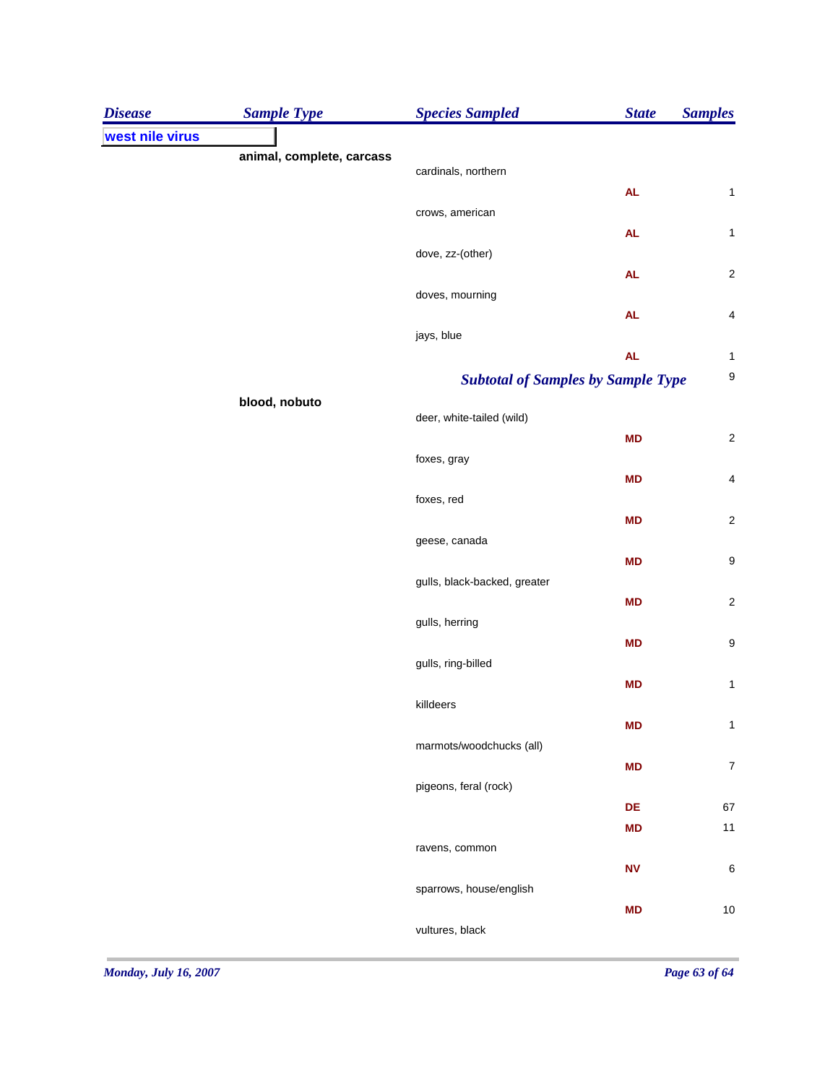| <b>Disease</b>  | <b>Sample Type</b>        | <b>Species Sampled</b>                    | <b>State</b> | <b>Samples</b>   |
|-----------------|---------------------------|-------------------------------------------|--------------|------------------|
| west nile virus |                           |                                           |              |                  |
|                 | animal, complete, carcass | cardinals, northern                       |              |                  |
|                 |                           |                                           | AL           | $\mathbf 1$      |
|                 |                           | crows, american                           |              |                  |
|                 |                           |                                           | <b>AL</b>    | $\mathbf 1$      |
|                 |                           | dove, zz-(other)                          |              |                  |
|                 |                           |                                           | <b>AL</b>    | $\boldsymbol{2}$ |
|                 |                           | doves, mourning                           | <b>AL</b>    | 4                |
|                 |                           | jays, blue                                |              |                  |
|                 |                           |                                           | <b>AL</b>    | $\mathbf{1}$     |
|                 |                           | <b>Subtotal of Samples by Sample Type</b> |              | $\boldsymbol{9}$ |
|                 | blood, nobuto             |                                           |              |                  |
|                 |                           | deer, white-tailed (wild)                 |              |                  |
|                 |                           | foxes, gray                               | <b>MD</b>    | $\boldsymbol{2}$ |
|                 |                           |                                           | <b>MD</b>    | 4                |
|                 |                           | foxes, red                                |              |                  |
|                 |                           |                                           | <b>MD</b>    | $\boldsymbol{2}$ |
|                 |                           | geese, canada                             |              |                  |
|                 |                           |                                           | <b>MD</b>    | $\boldsymbol{9}$ |
|                 |                           | gulls, black-backed, greater              |              |                  |
|                 |                           | gulls, herring                            | <b>MD</b>    | $\boldsymbol{2}$ |
|                 |                           |                                           | <b>MD</b>    | $\boldsymbol{9}$ |
|                 |                           | gulls, ring-billed                        |              |                  |
|                 |                           |                                           | <b>MD</b>    | $\mathbf{1}$     |
|                 |                           | killdeers                                 |              |                  |
|                 |                           |                                           | <b>MD</b>    | 1                |
|                 |                           | marmots/woodchucks (all)                  | <b>MD</b>    | $\boldsymbol{7}$ |
|                 |                           | pigeons, feral (rock)                     |              |                  |
|                 |                           |                                           | DE           | 67               |
|                 |                           |                                           | <b>MD</b>    | $11$             |
|                 |                           | ravens, common                            |              |                  |
|                 |                           |                                           | ${\sf NV}$   | 6                |
|                 |                           | sparrows, house/english                   | <b>MD</b>    | 10               |
|                 |                           | vultures, black                           |              |                  |
|                 |                           |                                           |              |                  |